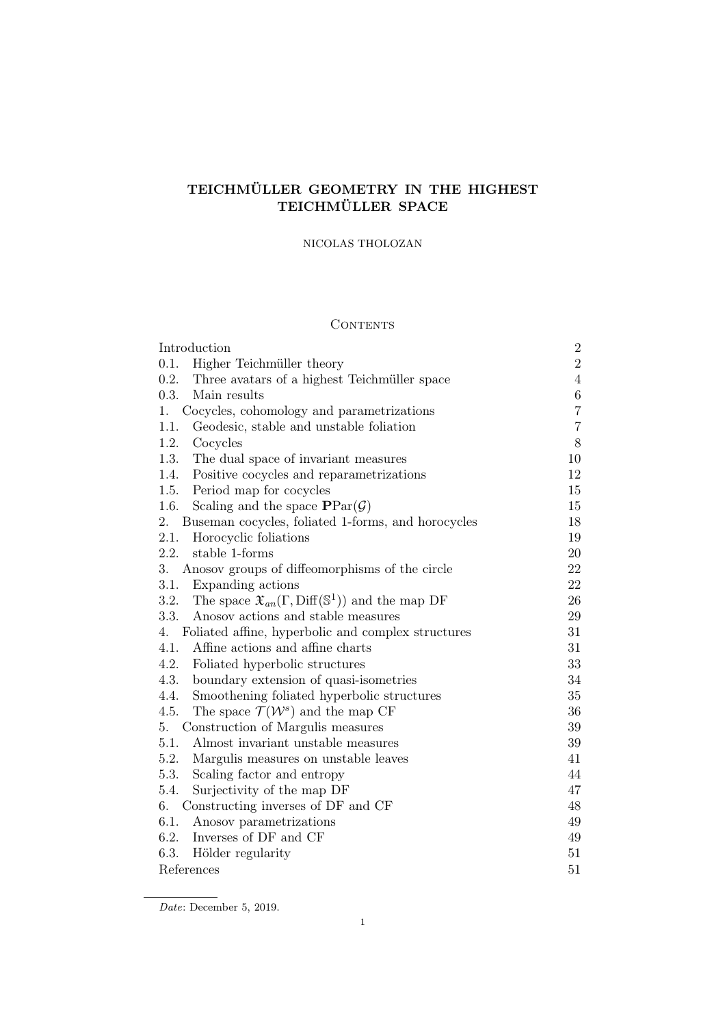# TEICHMÜLLER GEOMETRY IN THE HIGHEST TEICHMÜLLER SPACE

# NICOLAS THOLOZAN

# CONTENTS

| Introduction                                                                            | $\sqrt{2}$     |
|-----------------------------------------------------------------------------------------|----------------|
| 0.1.<br>Higher Teichmüller theory                                                       | $\overline{2}$ |
| 0.2.<br>Three avatars of a highest Teichmüller space                                    | $\overline{4}$ |
| 0.3.<br>Main results                                                                    | $6\,$          |
| Cocycles, cohomology and parametrizations<br>1.                                         | $\overline{7}$ |
| 1.1.<br>Geodesic, stable and unstable foliation                                         | $\overline{7}$ |
| 1.2.<br>Cocycles                                                                        | 8              |
| 1.3.<br>The dual space of invariant measures                                            | 10             |
| Positive cocycles and reparametrizations<br>1.4.                                        | 12             |
| Period map for cocycles<br>1.5.                                                         | 15             |
| 1.6.<br>Scaling and the space $\text{PPar}(\mathcal{G})$                                | 15             |
| Buseman cocycles, foliated 1-forms, and horocycles<br>2.                                | 18             |
| 2.1.<br>Horocyclic foliations                                                           | 19             |
| 2.2.<br>stable 1-forms                                                                  | 20             |
| 3.<br>Anosov groups of diffeomorphisms of the circle                                    | 22             |
| 3.1.<br>Expanding actions                                                               | 22             |
| The space $\mathfrak{X}_{an}(\Gamma, \text{Diff}(\mathbb{S}^1))$ and the map DF<br>3.2. | 26             |
| 3.3.<br>Anosov actions and stable measures                                              | 29             |
| Foliated affine, hyperbolic and complex structures<br>4.                                | 31             |
| 4.1.<br>Affine actions and affine charts                                                | 31             |
| 4.2.<br>Foliated hyperbolic structures                                                  | 33             |
| 4.3.<br>boundary extension of quasi-isometries                                          | 34             |
| Smoothening foliated hyperbolic structures<br>4.4.                                      | 35             |
| 4.5.<br>The space $\mathcal{T}(\mathcal{W}^s)$ and the map CF                           | 36             |
| Construction of Margulis measures<br>5.                                                 | $39\,$         |
| Almost invariant unstable measures<br>5.1.                                              | 39             |
| 5.2.<br>Margulis measures on unstable leaves                                            | 41             |
| 5.3.<br>Scaling factor and entropy                                                      | 44             |
| Surjectivity of the map DF<br>5.4.                                                      | 47             |
| Constructing inverses of DF and CF<br>6.                                                | 48             |
| 6.1.<br>Anosov parametrizations                                                         | 49             |
| 6.2.<br>Inverses of DF and CF                                                           | 49             |
| Hölder regularity<br>6.3.                                                               | 51             |
| References                                                                              | 51             |

Date: December 5, 2019.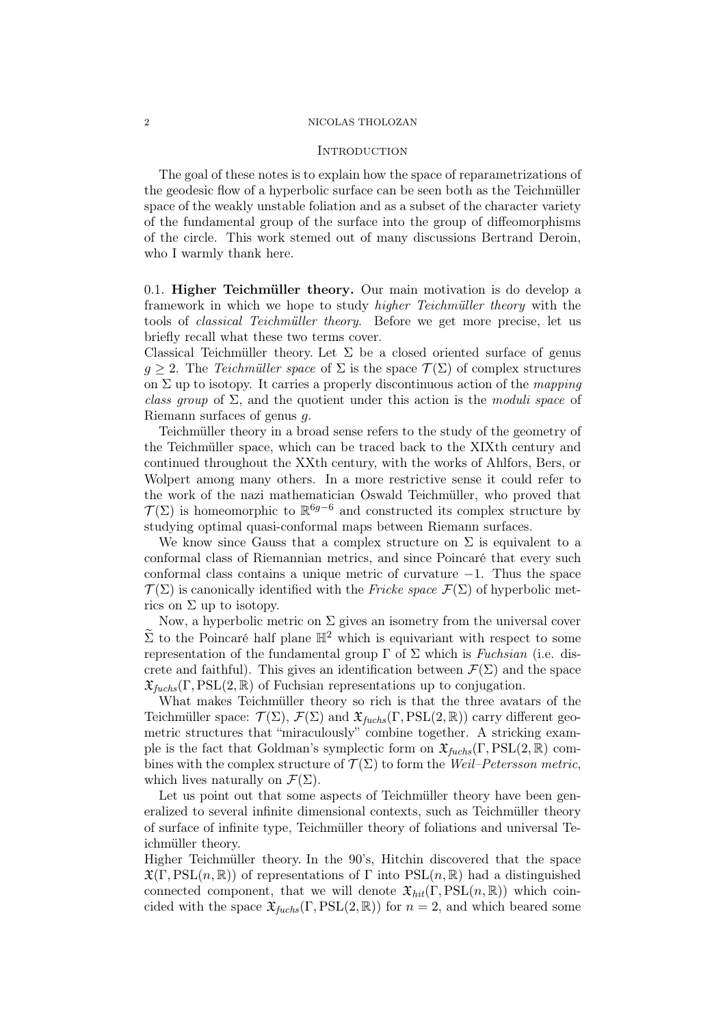### 2 NICOLAS THOLOZAN

### **INTRODUCTION**

The goal of these notes is to explain how the space of reparametrizations of the geodesic flow of a hyperbolic surface can be seen both as the Teichmüller space of the weakly unstable foliation and as a subset of the character variety of the fundamental group of the surface into the group of diffeomorphisms of the circle. This work stemed out of many discussions Bertrand Deroin, who I warmly thank here.

0.1. Higher Teichmüller theory. Our main motivation is do develop a framework in which we hope to study higher Teichmüller theory with the tools of classical Teichmüller theory. Before we get more precise, let us briefly recall what these two terms cover.

Classical Teichmüller theory. Let  $\Sigma$  be a closed oriented surface of genus  $q \geq 2$ . The Teichmüller space of  $\Sigma$  is the space  $\mathcal{T}(\Sigma)$  of complex structures on  $\Sigma$  up to isotopy. It carries a properly discontinuous action of the *mapping* class group of  $\Sigma$ , and the quotient under this action is the *moduli space* of Riemann surfaces of genus g.

Teichmüller theory in a broad sense refers to the study of the geometry of the Teichmüller space, which can be traced back to the XIXth century and continued throughout the XXth century, with the works of Ahlfors, Bers, or Wolpert among many others. In a more restrictive sense it could refer to the work of the nazi mathematician Oswald Teichmüller, who proved that  $\mathcal{T}(\Sigma)$  is homeomorphic to  $\mathbb{R}^{6g-6}$  and constructed its complex structure by studying optimal quasi-conformal maps between Riemann surfaces.

We know since Gauss that a complex structure on  $\Sigma$  is equivalent to a conformal class of Riemannian metrics, and since Poincaré that every such conformal class contains a unique metric of curvature −1. Thus the space  $\mathcal{T}(\Sigma)$  is canonically identified with the Fricke space  $\mathcal{F}(\Sigma)$  of hyperbolic metrics on  $\Sigma$  up to isotopy.

Now, a hyperbolic metric on  $\Sigma$  gives an isometry from the universal cover  $\widetilde{\Sigma}$  to the Poincaré half plane  $\mathbb{H}^2$  which is equivariant with respect to some representation of the fundamental group  $\Gamma$  of  $\Sigma$  which is Fuchsian (i.e. discrete and faithful). This gives an identification between  $\mathcal{F}(\Sigma)$  and the space  $\mathfrak{X}_{fuchs}(\Gamma, \mathrm{PSL}(2, \mathbb{R})$  of Fuchsian representations up to conjugation.

What makes Teichmüller theory so rich is that the three avatars of the Teichmüller space:  $\mathcal{T}(\Sigma)$ ,  $\mathcal{F}(\Sigma)$  and  $\mathfrak{X}_{\text{fuchs}}(\Gamma, \text{PSL}(2,\mathbb{R}))$  carry different geometric structures that "miraculously" combine together. A stricking example is the fact that Goldman's symplectic form on  $\mathfrak{X}_{\text{fuchs}}(\Gamma, \text{PSL}(2, \mathbb{R})$  combines with the complex structure of  $\mathcal{T}(\Sigma)$  to form the Weil–Petersson metric, which lives naturally on  $\mathcal{F}(\Sigma)$ .

Let us point out that some aspects of Teichmüller theory have been generalized to several infinite dimensional contexts, such as Teichmüller theory of surface of infinite type, Teichmüller theory of foliations and universal Teichmüller theory.

Higher Teichmüller theory. In the 90's, Hitchin discovered that the space  $\mathfrak{X}(\Gamma, \mathrm{PSL}(n, \mathbb{R}))$  of representations of  $\Gamma$  into  $\mathrm{PSL}(n, \mathbb{R})$  had a distinguished connected component, that we will denote  $\mathfrak{X}_{hit}(\Gamma, \mathrm{PSL}(n, \mathbb{R}))$  which coincided with the space  $\mathfrak{X}_{fuchs}(\Gamma, \mathrm{PSL}(2, \mathbb{R}))$  for  $n = 2$ , and which beared some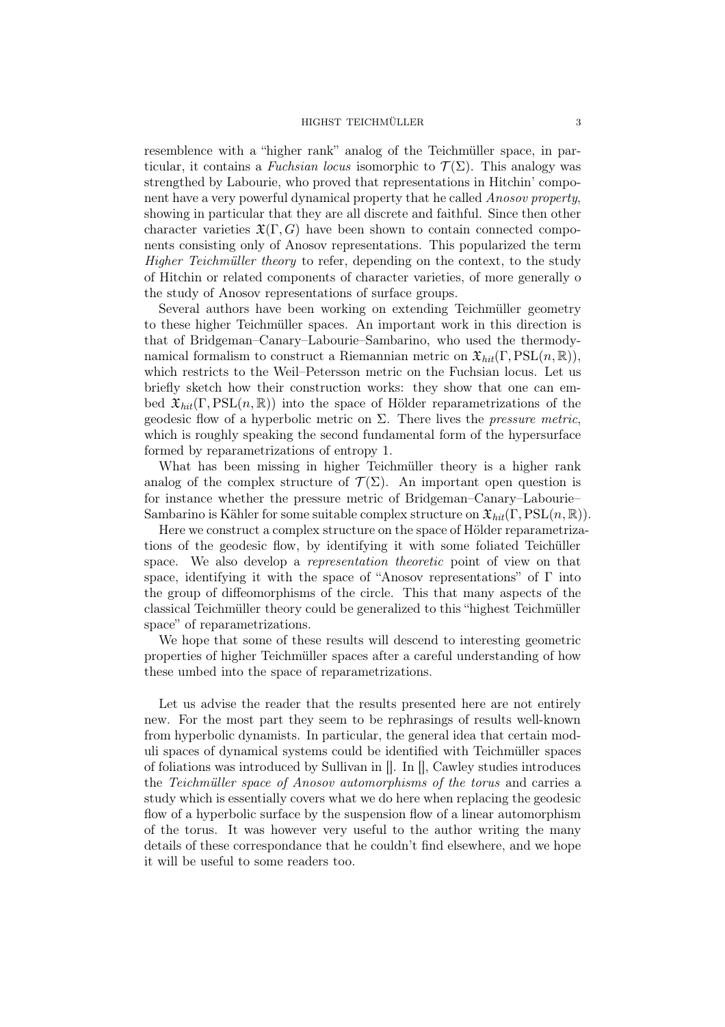### HIGHST TEICHMÜLLER 3

resemblence with a "higher rank" analog of the Teichmüller space, in particular, it contains a Fuchsian locus isomorphic to  $\mathcal{T}(\Sigma)$ . This analogy was strengthed by Labourie, who proved that representations in Hitchin' component have a very powerful dynamical property that he called Anosov property, showing in particular that they are all discrete and faithful. Since then other character varieties  $\mathfrak{X}(\Gamma, G)$  have been shown to contain connected components consisting only of Anosov representations. This popularized the term Higher Teichmüller theory to refer, depending on the context, to the study of Hitchin or related components of character varieties, of more generally o the study of Anosov representations of surface groups.

Several authors have been working on extending Teichmüller geometry to these higher Teichmüller spaces. An important work in this direction is that of Bridgeman–Canary–Labourie–Sambarino, who used the thermodynamical formalism to construct a Riemannian metric on  $\mathfrak{X}_{hit}(\Gamma, \mathrm{PSL}(n, \mathbb{R}))$ , which restricts to the Weil–Petersson metric on the Fuchsian locus. Let us briefly sketch how their construction works: they show that one can embed  $\mathfrak{X}_{hit}(\Gamma, \mathrm{PSL}(n, \mathbb{R}))$  into the space of Hölder reparametrizations of the geodesic flow of a hyperbolic metric on Σ. There lives the *pressure metric*, which is roughly speaking the second fundamental form of the hypersurface formed by reparametrizations of entropy 1.

What has been missing in higher Teichmüller theory is a higher rank analog of the complex structure of  $\mathcal{T}(\Sigma)$ . An important open question is for instance whether the pressure metric of Bridgeman–Canary–Labourie– Sambarino is Kähler for some suitable complex structure on  $\mathfrak{X}_{hit}(\Gamma, \mathrm{PSL}(n, \mathbb{R}))$ .

Here we construct a complex structure on the space of Hölder reparametrizations of the geodesic flow, by identifying it with some foliated Teichüller space. We also develop a representation theoretic point of view on that space, identifying it with the space of "Anosov representations" of  $\Gamma$  into the group of diffeomorphisms of the circle. This that many aspects of the classical Teichmüller theory could be generalized to this "highest Teichmüller space" of reparametrizations.

We hope that some of these results will descend to interesting geometric properties of higher Teichmüller spaces after a careful understanding of how these umbed into the space of reparametrizations.

Let us advise the reader that the results presented here are not entirely new. For the most part they seem to be rephrasings of results well-known from hyperbolic dynamists. In particular, the general idea that certain moduli spaces of dynamical systems could be identified with Teichmüller spaces of foliations was introduced by Sullivan in []. In [], Cawley studies introduces the Teichmüller space of Anosov automorphisms of the torus and carries a study which is essentially covers what we do here when replacing the geodesic flow of a hyperbolic surface by the suspension flow of a linear automorphism of the torus. It was however very useful to the author writing the many details of these correspondance that he couldn't find elsewhere, and we hope it will be useful to some readers too.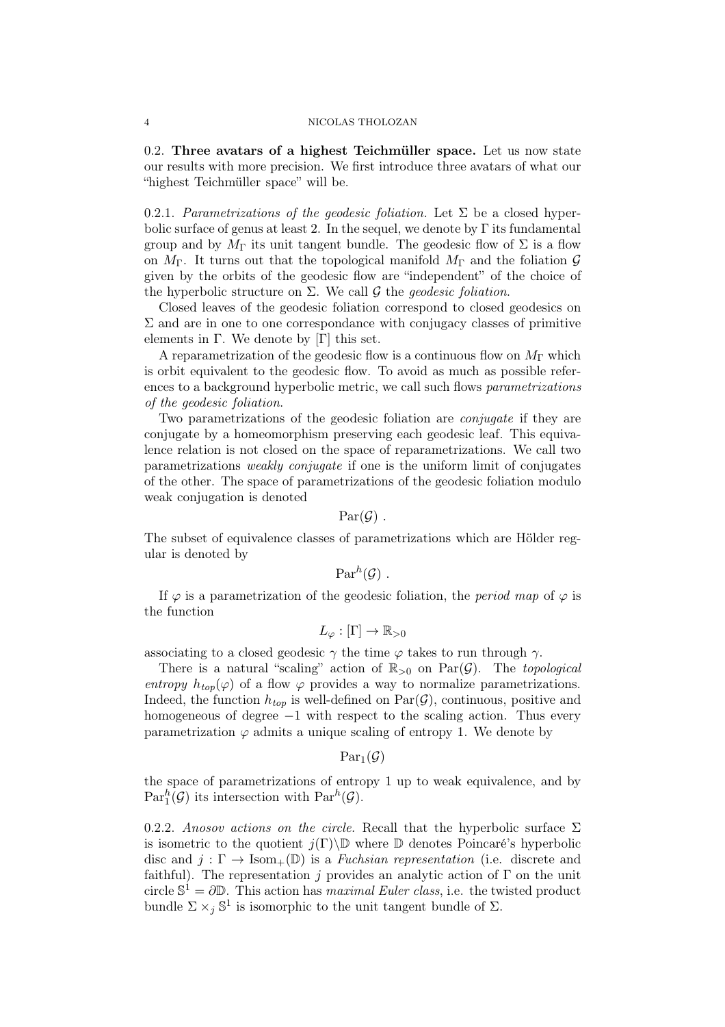### 4 NICOLAS THOLOZAN

0.2. Three avatars of a highest Teichmüller space. Let us now state our results with more precision. We first introduce three avatars of what our "highest Teichmüller space" will be.

0.2.1. Parametrizations of the geodesic foliation. Let  $\Sigma$  be a closed hyperbolic surface of genus at least 2. In the sequel, we denote by  $\Gamma$  its fundamental group and by  $M_{\Gamma}$  its unit tangent bundle. The geodesic flow of  $\Sigma$  is a flow on  $M_{\Gamma}$ . It turns out that the topological manifold  $M_{\Gamma}$  and the foliation  $\mathcal{G}$ given by the orbits of the geodesic flow are "independent" of the choice of the hyperbolic structure on  $\Sigma$ . We call  $\mathcal G$  the *geodesic foliation*.

Closed leaves of the geodesic foliation correspond to closed geodesics on  $\Sigma$  and are in one to one correspondance with conjugacy classes of primitive elements in  $\Gamma$ . We denote by  $[\Gamma]$  this set.

A reparametrization of the geodesic flow is a continuous flow on  $M_{\Gamma}$  which is orbit equivalent to the geodesic flow. To avoid as much as possible references to a background hyperbolic metric, we call such flows parametrizations of the geodesic foliation.

Two parametrizations of the geodesic foliation are *conjugate* if they are conjugate by a homeomorphism preserving each geodesic leaf. This equivalence relation is not closed on the space of reparametrizations. We call two parametrizations weakly conjugate if one is the uniform limit of conjugates of the other. The space of parametrizations of the geodesic foliation modulo weak conjugation is denoted

 $Par(\mathcal{G})$ .

The subset of equivalence classes of parametrizations which are Hölder regular is denoted by

$$
\operatorname{Par}^{h}(\mathcal{G}) .
$$

If  $\varphi$  is a parametrization of the geodesic foliation, the *period map* of  $\varphi$  is the function

$$
L_{\varphi} : [\Gamma] \to \mathbb{R}_{>0}
$$

associating to a closed geodesic  $\gamma$  the time  $\varphi$  takes to run through  $\gamma$ .

There is a natural "scaling" action of  $\mathbb{R}_{>0}$  on  $\text{Par}(\mathcal{G})$ . The topological entropy  $h_{top}(\varphi)$  of a flow  $\varphi$  provides a way to normalize parametrizations. Indeed, the function  $h_{top}$  is well-defined on  $Par(\mathcal{G})$ , continuous, positive and homogeneous of degree  $-1$  with respect to the scaling action. Thus every parametrization  $\varphi$  admits a unique scaling of entropy 1. We denote by

$$
\mathrm{Par}_1(\mathcal{G})
$$

the space of parametrizations of entropy 1 up to weak equivalence, and by  $\text{Par}_1^h(\mathcal{G})$  its intersection with  $\text{Par}^h(\mathcal{G})$ .

0.2.2. Anosov actions on the circle. Recall that the hyperbolic surface  $\Sigma$ is isometric to the quotient  $j(\Gamma) \backslash \mathbb{D}$  where  $\mathbb D$  denotes Poincaré's hyperbolic disc and  $j : \Gamma \to \text{Isom}_+(\mathbb{D})$  is a Fuchsian representation (i.e. discrete and faithful). The representation j provides an analytic action of  $\Gamma$  on the unit circle  $\mathbb{S}^1 = \partial \mathbb{D}$ . This action has *maximal Euler class*, i.e. the twisted product bundle  $\Sigma \times_j \mathbb{S}^1$  is isomorphic to the unit tangent bundle of  $\Sigma$ .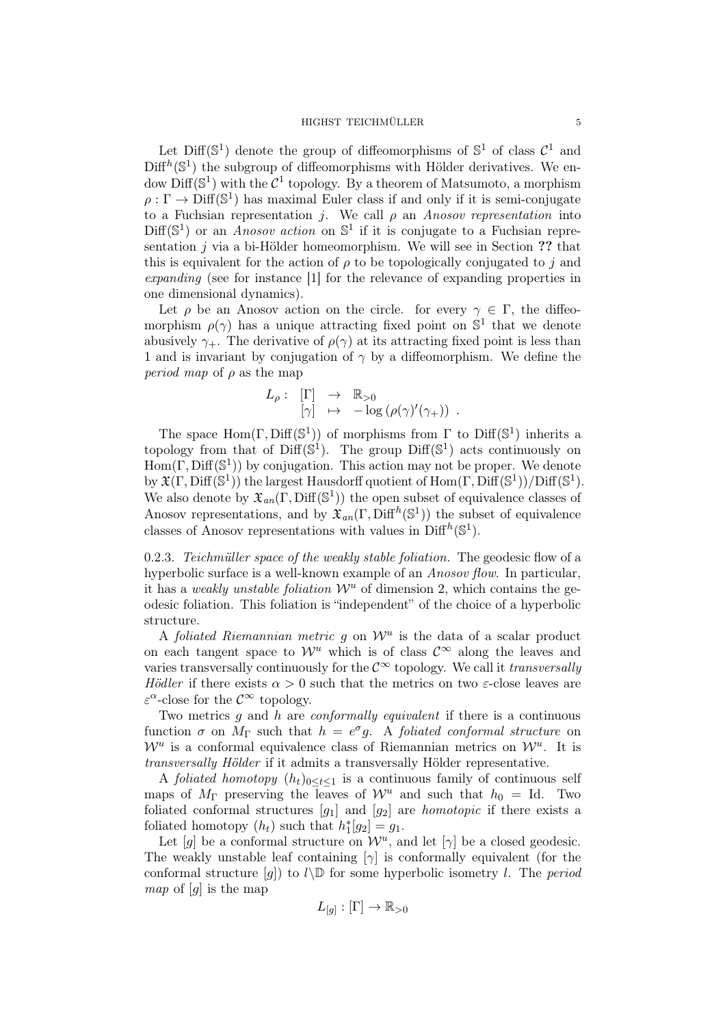Let Diff( $\mathbb{S}^1$ ) denote the group of diffeomorphisms of  $\mathbb{S}^1$  of class  $\mathcal{C}^1$  and  $\text{Diff}^{h}(\mathbb{S}^{1})$  the subgroup of diffeomorphisms with Hölder derivatives. We endow  $\text{Diff}(\mathbb{S}^1)$  with the  $\mathcal{C}^1$  topology. By a theorem of Matsumoto, a morphism  $\rho: \Gamma \to \text{Diff}(\mathbb{S}^1)$  has maximal Euler class if and only if it is semi-conjugate to a Fuchsian representation *j*. We call  $\rho$  an Anosov representation into  $Diff(\mathbb{S}^1)$  or an *Anosov action* on  $\mathbb{S}^1$  if it is conjugate to a Fuchsian representation j via a bi-Hölder homeomorphism. We will see in Section ?? that this is equivalent for the action of  $\rho$  to be topologically conjugated to j and expanding (see for instance [1] for the relevance of expanding properties in one dimensional dynamics).

Let  $\rho$  be an Anosov action on the circle. for every  $\gamma \in \Gamma$ , the diffeomorphism  $\rho(\gamma)$  has a unique attracting fixed point on  $\mathbb{S}^1$  that we denote abusively  $\gamma_+$ . The derivative of  $\rho(\gamma)$  at its attracting fixed point is less than 1 and is invariant by conjugation of  $\gamma$  by a diffeomorphism. We define the *period map* of  $\rho$  as the map

$$
L_{\rho}: \begin{bmatrix} \Gamma \end{bmatrix} \rightarrow \mathbb{R}_{>0} \begin{bmatrix} \gamma \end{bmatrix} \rightarrow -\log (\rho(\gamma)'(\gamma_{+})) .
$$

The space  $Hom(\Gamma, Diff(S^1))$  of morphisms from  $\Gamma$  to  $Diff(S^1)$  inherits a topology from that of  $\text{Diff}(\mathbb{S}^1)$ . The group  $\text{Diff}(\mathbb{S}^1)$  acts continuously on  $Hom(\Gamma, Diff(S^1))$  by conjugation. This action may not be proper. We denote by  $\mathfrak{X}(\Gamma,\mathrm{Diff}(\mathbb{S}^1))$  the largest Hausdorff quotient of  $\mathrm{Hom}(\Gamma,\mathrm{Diff}(\mathbb{S}^1))/\mathrm{Diff}(\mathbb{S}^1)$ . We also denote by  $\mathfrak{X}_{an}(\Gamma, \text{Diff}(\mathbb{S}^1))$  the open subset of equivalence classes of Anosov representations, and by  $\mathfrak{X}_{an}(\Gamma, \text{Diff}^h(\mathbb{S}^1))$  the subset of equivalence classes of Anosov representations with values in  $\text{Diff}^h(\mathbb{S}^1)$ .

0.2.3. Teichmüller space of the weakly stable foliation. The geodesic flow of a hyperbolic surface is a well-known example of an *Anosov flow*. In particular, it has a weakly unstable foliation  $\mathcal{W}^u$  of dimension 2, which contains the geodesic foliation. This foliation is "independent" of the choice of a hyperbolic structure.

A foliated Riemannian metric  $g$  on  $\mathcal{W}^u$  is the data of a scalar product on each tangent space to  $\mathcal{W}^u$  which is of class  $\mathcal{C}^{\infty}$  along the leaves and varies transversally continuously for the  $\mathcal{C}^{\infty}$  topology. We call it transversally Hödler if there exists  $\alpha > 0$  such that the metrics on two  $\varepsilon$ -close leaves are  $\varepsilon^{\alpha}$ -close for the  $\mathcal{C}^{\infty}$  topology.

Two metrics q and h are *conformally equivalent* if there is a continuous function  $\sigma$  on  $M_{\Gamma}$  such that  $h = e^{\sigma}g$ . A foliated conformal structure on  $\mathcal{W}^u$  is a conformal equivalence class of Riemannian metrics on  $\mathcal{W}^u$ . It is transversally Hölder if it admits a transversally Hölder representative.

A foliated homotopy  $(h_t)_{0 \leq t \leq 1}$  is a continuous family of continuous self maps of  $M_{\Gamma}$  preserving the leaves of  $\mathcal{W}^u$  and such that  $h_0 = \text{Id}$ . Two foliated conformal structures  $[g_1]$  and  $[g_2]$  are *homotopic* if there exists a foliated homotopy  $(h_t)$  such that  $h_1^*[g_2] = g_1$ .

Let [g] be a conformal structure on  $\mathcal{W}^u$ , and let [ $\gamma$ ] be a closed geodesic. The weakly unstable leaf containing  $[\gamma]$  is conformally equivalent (for the conformal structure [g]) to  $l\backslash\mathbb{D}$  for some hyperbolic isometry l. The period *map* of  $[q]$  is the map

$$
L_{[g]}:[\Gamma]\to\mathbb{R}_{>0}
$$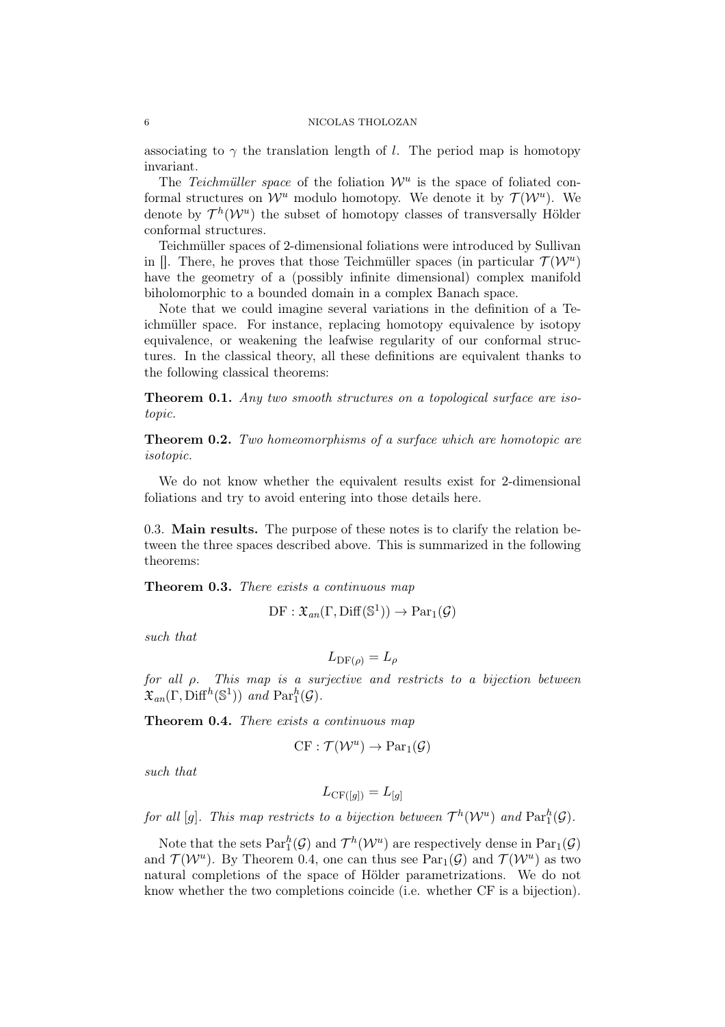### 6 NICOLAS THOLOZAN

associating to  $\gamma$  the translation length of l. The period map is homotopy invariant.

The Teichmüller space of the foliation  $\mathcal{W}^u$  is the space of foliated conformal structures on  $\mathcal{W}^u$  modulo homotopy. We denote it by  $\mathcal{T}(\mathcal{W}^u)$ . We denote by  $\mathcal{T}^h(\mathcal{W}^u)$  the subset of homotopy classes of transversally Hölder conformal structures.

Teichmüller spaces of 2-dimensional foliations were introduced by Sullivan in []. There, he proves that those Teichmüller spaces (in particular  $\mathcal{T}(\mathcal{W}^u)$ have the geometry of a (possibly infinite dimensional) complex manifold biholomorphic to a bounded domain in a complex Banach space.

Note that we could imagine several variations in the definition of a Teichmüller space. For instance, replacing homotopy equivalence by isotopy equivalence, or weakening the leafwise regularity of our conformal structures. In the classical theory, all these definitions are equivalent thanks to the following classical theorems:

Theorem 0.1. Any two smooth structures on a topological surface are isotopic.

**Theorem 0.2.** Two homeomorphisms of a surface which are homotopic are isotopic.

We do not know whether the equivalent results exist for 2-dimensional foliations and try to avoid entering into those details here.

0.3. Main results. The purpose of these notes is to clarify the relation between the three spaces described above. This is summarized in the following theorems:

Theorem 0.3. There exists a continuous map

$$
\mathrm{DF}: \mathfrak{X}_{an}(\Gamma, \mathrm{Diff}(\mathbb{S}^1)) \to \mathrm{Par}_1(\mathcal{G})
$$

such that

$$
L_{\mathrm{DF}(\rho)} = L_{\rho}
$$

for all ρ. This map is a surjective and restricts to a bijection between  $\mathfrak{X}_{an}(\Gamma, \text{Diff}^{h}(\mathbb{S}^{1}))$  and  $\text{Par}_{1}^{h}(\mathcal{G})$ .

Theorem 0.4. There exists a continuous map

$$
CF: \mathcal{T}(\mathcal{W}^u) \to \mathrm{Par}_1(\mathcal{G})
$$

such that

$$
L_{\mathrm{CF}([g])} = L_{[g]}
$$

for all [g]. This map restricts to a bijection between  $\mathcal{T}^h(\mathcal{W}^u)$  and  $\text{Par}^h_1(\mathcal{G})$ .

Note that the sets  $\text{Par}_1^h(\mathcal{G})$  and  $\mathcal{T}^h(\mathcal{W}^u)$  are respectively dense in  $\text{Par}_1(\mathcal{G})$ and  $\mathcal{T}(\mathcal{W}^u)$ . By Theorem 0.4, one can thus see  $Par_1(\mathcal{G})$  and  $\mathcal{T}(\mathcal{W}^u)$  as two natural completions of the space of Hölder parametrizations. We do not know whether the two completions coincide (i.e. whether CF is a bijection).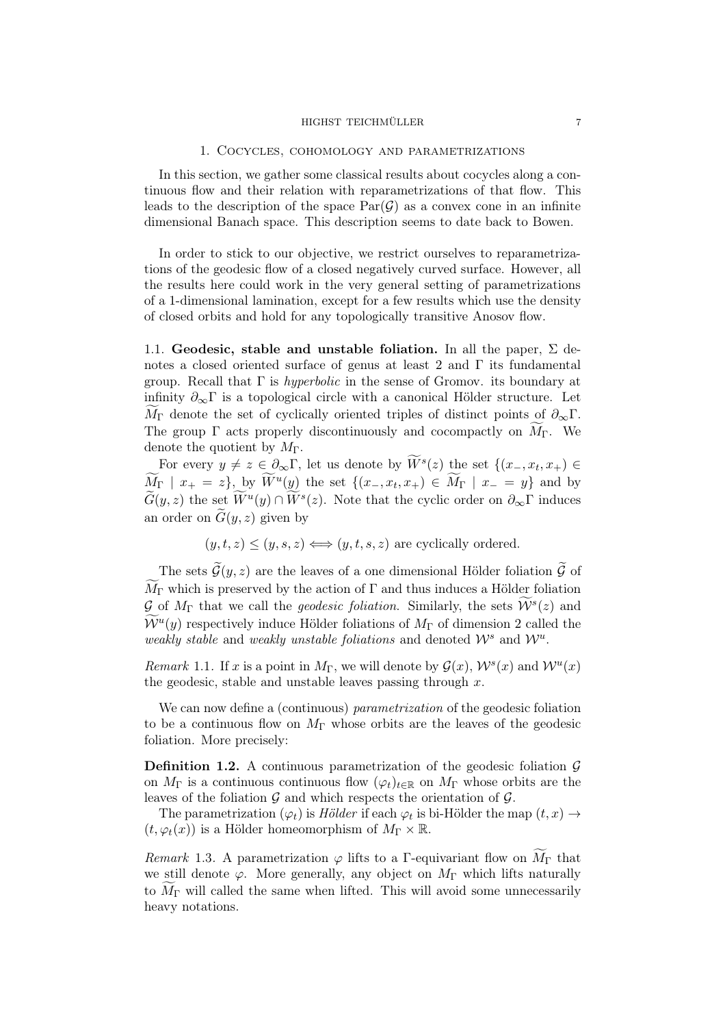#### HIGHST TEICHMÜLLER 7

### 1. Cocycles, cohomology and parametrizations

In this section, we gather some classical results about cocycles along a continuous flow and their relation with reparametrizations of that flow. This leads to the description of the space  $Par(\mathcal{G})$  as a convex cone in an infinite dimensional Banach space. This description seems to date back to Bowen.

In order to stick to our objective, we restrict ourselves to reparametrizations of the geodesic flow of a closed negatively curved surface. However, all the results here could work in the very general setting of parametrizations of a 1-dimensional lamination, except for a few results which use the density of closed orbits and hold for any topologically transitive Anosov flow.

1.1. Geodesic, stable and unstable foliation. In all the paper,  $\Sigma$  denotes a closed oriented surface of genus at least 2 and  $\Gamma$  its fundamental group. Recall that  $\Gamma$  is *hyperbolic* in the sense of Gromov. its boundary at infinity  $\partial_{\infty} \Gamma$  is a topological circle with a canonical Hölder structure. Let  $M_{\Gamma}$  denote the set of cyclically oriented triples of distinct points of  $\partial_{\infty}\Gamma$ . The group  $\Gamma$  acts properly discontinuously and cocompactly on  $M_{\Gamma}$ . We denote the quotient by  $M_{\Gamma}$ .

For every  $y \neq z \in \partial_{\infty} \Gamma$ , let us denote by  $W^s(z)$  the set  $\{(x_-, x_t, x_+) \in$  $M_{\Gamma}$  |  $x_{+} = z$ , by  $W^{u}(y)$  the set  $\{(x_{-}, x_{t}, x_{+}) \in M_{\Gamma} \mid x_{-} = y\}$  and by  $\widetilde{G}(y, z)$  the set  $\widetilde{W}^{u}(y) \cap \widetilde{W}^{s}(z)$ . Note that the cyclic order on  $\partial_{\infty}\Gamma$  induces an order on  $\tilde{G}(y, z)$  given by

$$
(y, t, z) \leq (y, s, z) \iff (y, t, s, z)
$$
 are cyclically ordered.

The sets  $\widetilde{\mathcal{G}}(y, z)$  are the leaves of a one dimensional Hölder foliation  $\widetilde{\mathcal{G}}$  of  $\widetilde{M}_{\Gamma}$  which is preserved by the action of  $\Gamma$  and thus induces a Hölder foliation  $\mathcal{G}$  of  $M_{\Gamma}$  that we call the *geodesic foliation*. Similarly, the sets  $\widetilde{\mathcal{W}}^{s}(z)$  and  $\widetilde{\mathcal{W}}^{u}(y)$  respectively induce Hölder foliations of  $M_{\Gamma}$  of dimension 2 called the weakly stable and weakly unstable foliations and denoted  $\mathcal{W}^s$  and  $\mathcal{W}^u$ .

Remark 1.1. If x is a point in  $M_{\Gamma}$ , we will denote by  $\mathcal{G}(x)$ ,  $\mathcal{W}^s(x)$  and  $\mathcal{W}^u(x)$ the geodesic, stable and unstable leaves passing through  $x$ .

We can now define a (continuous) *parametrization* of the geodesic foliation to be a continuous flow on  $M_{\Gamma}$  whose orbits are the leaves of the geodesic foliation. More precisely:

**Definition 1.2.** A continuous parametrization of the geodesic foliation  $\mathcal{G}$ on  $M_{\Gamma}$  is a continuous continuous flow  $(\varphi_t)_{t\in\mathbb{R}}$  on  $M_{\Gamma}$  whose orbits are the leaves of the foliation  $\mathcal G$  and which respects the orientation of  $\mathcal G.$ 

The parametrization  $(\varphi_t)$  is Hölder if each  $\varphi_t$  is bi-Hölder the map  $(t, x) \rightarrow$  $(t, \varphi_t(x))$  is a Hölder homeomorphism of  $M_\Gamma \times \mathbb{R}$ .

Remark 1.3. A parametrization  $\varphi$  lifts to a Γ-equivariant flow on  $\widetilde{M}_{\Gamma}$  that we still denote  $\varphi$ . More generally, any object on  $M_{\Gamma}$  which lifts naturally to  $M_{\Gamma}$  will called the same when lifted. This will avoid some unnecessarily heavy notations.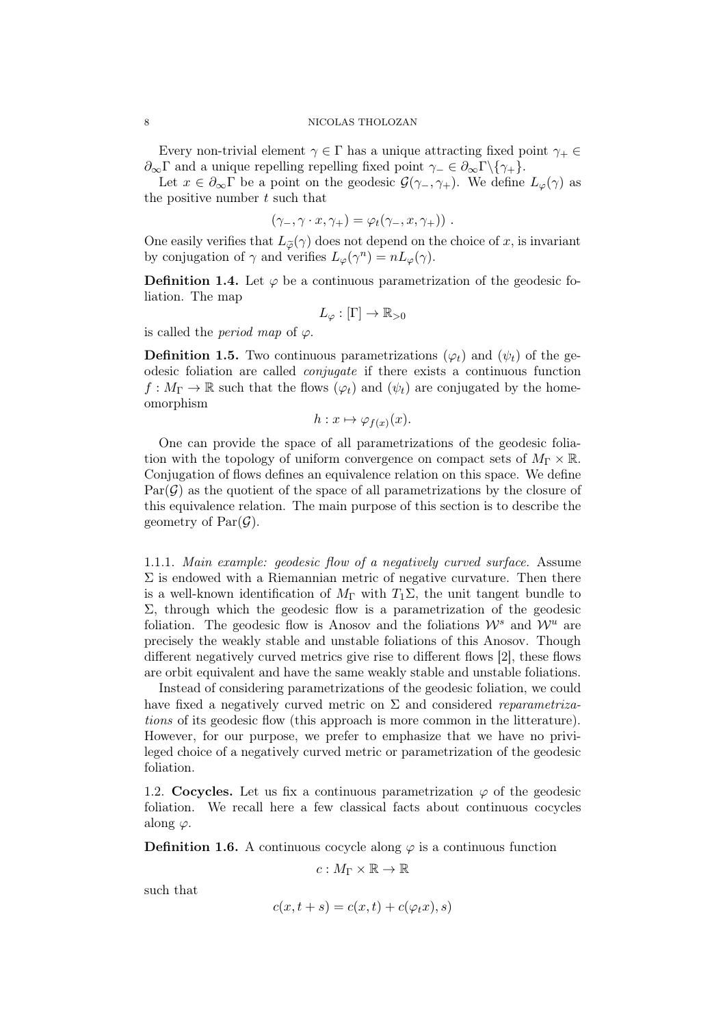### 8 NICOLAS THOLOZAN

Every non-trivial element  $\gamma \in \Gamma$  has a unique attracting fixed point  $\gamma_+ \in \Gamma$  $\partial_{\infty} \Gamma$  and a unique repelling repelling fixed point  $\gamma_-\in \partial_{\infty} \Gamma \backslash {\gamma_+}$ .

Let  $x \in \partial_{\infty} \Gamma$  be a point on the geodesic  $\mathcal{G}(\gamma_-, \gamma_+)$ . We define  $L_{\varphi}(\gamma)$  as the positive number  $t$  such that

$$
(\gamma_-, \gamma \cdot x, \gamma_+) = \varphi_t(\gamma_-, x, \gamma_+)) \; .
$$

One easily verifies that  $L_{\tilde{\varphi}}(\gamma)$  does not depend on the choice of x, is invariant by conjugation of  $\gamma$  and verifies  $L_{\varphi}(\gamma^n) = nL_{\varphi}(\gamma)$ .

**Definition 1.4.** Let  $\varphi$  be a continuous parametrization of the geodesic foliation. The map

$$
L_{\varphi} : [\Gamma] \to \mathbb{R}_{>0}
$$

is called the *period* map of  $\varphi$ .

**Definition 1.5.** Two continuous parametrizations  $(\varphi_t)$  and  $(\psi_t)$  of the geodesic foliation are called conjugate if there exists a continuous function  $f: M_{\Gamma} \to \mathbb{R}$  such that the flows  $(\varphi_t)$  and  $(\psi_t)$  are conjugated by the homeomorphism

$$
h: x \mapsto \varphi_{f(x)}(x).
$$

One can provide the space of all parametrizations of the geodesic foliation with the topology of uniform convergence on compact sets of  $M_{\Gamma} \times \mathbb{R}$ . Conjugation of flows defines an equivalence relation on this space. We define  $Par(\mathcal{G})$  as the quotient of the space of all parametrizations by the closure of this equivalence relation. The main purpose of this section is to describe the geometry of  $Par(\mathcal{G})$ .

1.1.1. Main example: geodesic flow of a negatively curved surface. Assume  $\Sigma$  is endowed with a Riemannian metric of negative curvature. Then there is a well-known identification of  $M_{\Gamma}$  with  $T_1\Sigma$ , the unit tangent bundle to  $\Sigma$ , through which the geodesic flow is a parametrization of the geodesic foliation. The geodesic flow is Anosov and the foliations  $\mathcal{W}^s$  and  $\mathcal{W}^u$  are precisely the weakly stable and unstable foliations of this Anosov. Though different negatively curved metrics give rise to different flows [2], these flows are orbit equivalent and have the same weakly stable and unstable foliations.

Instead of considering parametrizations of the geodesic foliation, we could have fixed a negatively curved metric on  $\Sigma$  and considered *reparametriza*tions of its geodesic flow (this approach is more common in the litterature). However, for our purpose, we prefer to emphasize that we have no privileged choice of a negatively curved metric or parametrization of the geodesic foliation.

1.2. Cocycles. Let us fix a continuous parametrization  $\varphi$  of the geodesic foliation. We recall here a few classical facts about continuous cocycles along  $\varphi$ .

**Definition 1.6.** A continuous cocycle along  $\varphi$  is a continuous function

$$
c:M_\Gamma\times\mathbb{R}\to\mathbb{R}
$$

such that

$$
c(x, t+s) = c(x, t) + c(\varphi_t x), s)
$$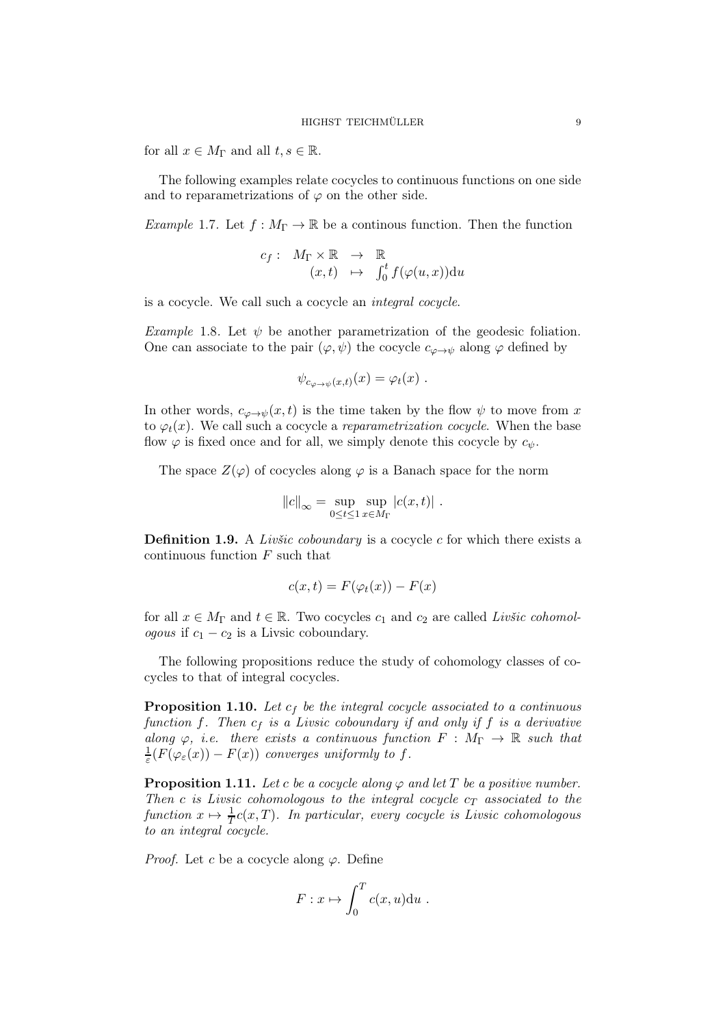for all  $x \in M_{\Gamma}$  and all  $t, s \in \mathbb{R}$ .

The following examples relate cocycles to continuous functions on one side and to reparametrizations of  $\varphi$  on the other side.

Example 1.7. Let  $f: M_{\Gamma} \to \mathbb{R}$  be a continous function. Then the function

$$
c_f: M_{\Gamma} \times \mathbb{R} \rightarrow \mathbb{R}
$$
  

$$
(x, t) \mapsto \int_0^t f(\varphi(u, x)) \mathrm{d}u
$$

is a cocycle. We call such a cocycle an integral cocycle.

Example 1.8. Let  $\psi$  be another parametrization of the geodesic foliation. One can associate to the pair  $(\varphi, \psi)$  the cocycle  $c_{\varphi \to \psi}$  along  $\varphi$  defined by

$$
\psi_{c_{\varphi \to \psi}(x,t)}(x) = \varphi_t(x) .
$$

In other words,  $c_{\varphi \to \psi}(x, t)$  is the time taken by the flow  $\psi$  to move from x to  $\varphi_t(x)$ . We call such a cocycle a *reparametrization cocycle*. When the base flow  $\varphi$  is fixed once and for all, we simply denote this cocycle by  $c_{\psi}$ .

The space  $Z(\varphi)$  of cocycles along  $\varphi$  is a Banach space for the norm

$$
||c||_{\infty} = \sup_{0 \leq t \leq 1} \sup_{x \in M_{\Gamma}} |c(x, t)|.
$$

**Definition 1.9.** A *Livšic coboundary* is a cocycle  $c$  for which there exists a continuous function  $F$  such that

$$
c(x,t) = F(\varphi_t(x)) - F(x)
$$

for all  $x \in M_{\Gamma}$  and  $t \in \mathbb{R}$ . Two cocycles  $c_1$  and  $c_2$  are called Livšic cohomologous if  $c_1 - c_2$  is a Livsic coboundary.

The following propositions reduce the study of cohomology classes of cocycles to that of integral cocycles.

**Proposition 1.10.** Let  $c_f$  be the integral cocycle associated to a continuous function f. Then  $c_f$  is a Livsic coboundary if and only if f is a derivative along  $\varphi$ , i.e. there exists a continuous function  $F : M_{\Gamma} \to \mathbb{R}$  such that 1  $\frac{1}{\varepsilon}(F(\varphi_{\varepsilon}(x)) - F(x))$  converges uniformly to f.

**Proposition 1.11.** Let c be a cocycle along  $\varphi$  and let T be a positive number. Then c is Livsic cohomologous to the integral cocycle  $c<sub>T</sub>$  associated to the function  $x \mapsto \frac{1}{T}c(x,T)$ . In particular, every cocycle is Livsic cohomologous to an integral cocycle.

*Proof.* Let c be a cocycle along  $\varphi$ . Define

$$
F: x \mapsto \int_0^T c(x, u) \mathrm{d}u \; .
$$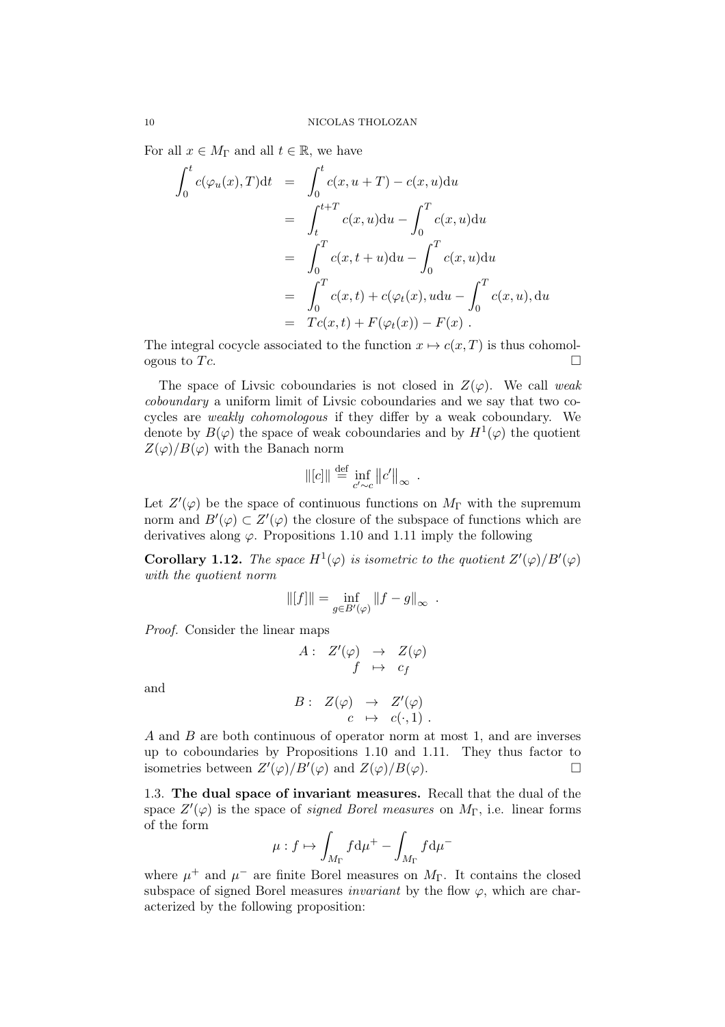For all  $x \in M_{\Gamma}$  and all  $t \in \mathbb{R}$ , we have

$$
\int_0^t c(\varphi_u(x), T) dt = \int_0^t c(x, u + T) - c(x, u) du
$$
  
\n
$$
= \int_t^{t+T} c(x, u) du - \int_0^T c(x, u) du
$$
  
\n
$$
= \int_0^T c(x, t+u) du - \int_0^T c(x, u) du
$$
  
\n
$$
= \int_0^T c(x, t) + c(\varphi_t(x), u du - \int_0^T c(x, u), du
$$
  
\n
$$
= Tc(x, t) + F(\varphi_t(x)) - F(x).
$$

The integral cocycle associated to the function  $x \mapsto c(x,T)$  is thus cohomologous to Tc.

The space of Livsic coboundaries is not closed in  $Z(\varphi)$ . We call weak coboundary a uniform limit of Livsic coboundaries and we say that two cocycles are weakly cohomologous if they differ by a weak coboundary. We denote by  $B(\varphi)$  the space of weak coboundaries and by  $H^1(\varphi)$  the quotient  $Z(\varphi)/B(\varphi)$  with the Banach norm

$$
\| [c] \| \stackrel{\text{def}}{=} \inf_{c' \sim c} \| c' \|_{\infty} .
$$

Let  $Z'(\varphi)$  be the space of continuous functions on  $M_{\Gamma}$  with the supremum norm and  $B'(\varphi) \subset Z'(\varphi)$  the closure of the subspace of functions which are derivatives along  $\varphi$ . Propositions 1.10 and 1.11 imply the following

**Corollary 1.12.** The space  $H^1(\varphi)$  is isometric to the quotient  $Z'(\varphi)/B'(\varphi)$ with the quotient norm

$$
\|[f]\|=\inf_{g\in B'(\varphi)}\|f-g\|_\infty\enspace.
$$

Proof. Consider the linear maps

$$
A: Z'(\varphi) \rightarrow Z(\varphi) \n f \mapsto c_f
$$

and

$$
B: Z(\varphi) \rightarrow Z'(\varphi)
$$
  

$$
c \mapsto c(\cdot, 1).
$$

A and B are both continuous of operator norm at most 1, and are inverses up to coboundaries by Propositions 1.10 and 1.11. They thus factor to isometries between  $Z'(\varphi)/B'(\varphi)$  and  $Z(\varphi)/B(\varphi)$ .

1.3. The dual space of invariant measures. Recall that the dual of the space  $Z'(\varphi)$  is the space of *signed Borel measures* on  $M_{\Gamma}$ , i.e. linear forms of the form

$$
\mu: f \mapsto \int_{M_\Gamma} f \mathrm{d} \mu^+ - \int_{M_\Gamma} f \mathrm{d} \mu^-
$$

where  $\mu^+$  and  $\mu^-$  are finite Borel measures on  $M_{\Gamma}$ . It contains the closed subspace of signed Borel measures *invariant* by the flow  $\varphi$ , which are characterized by the following proposition: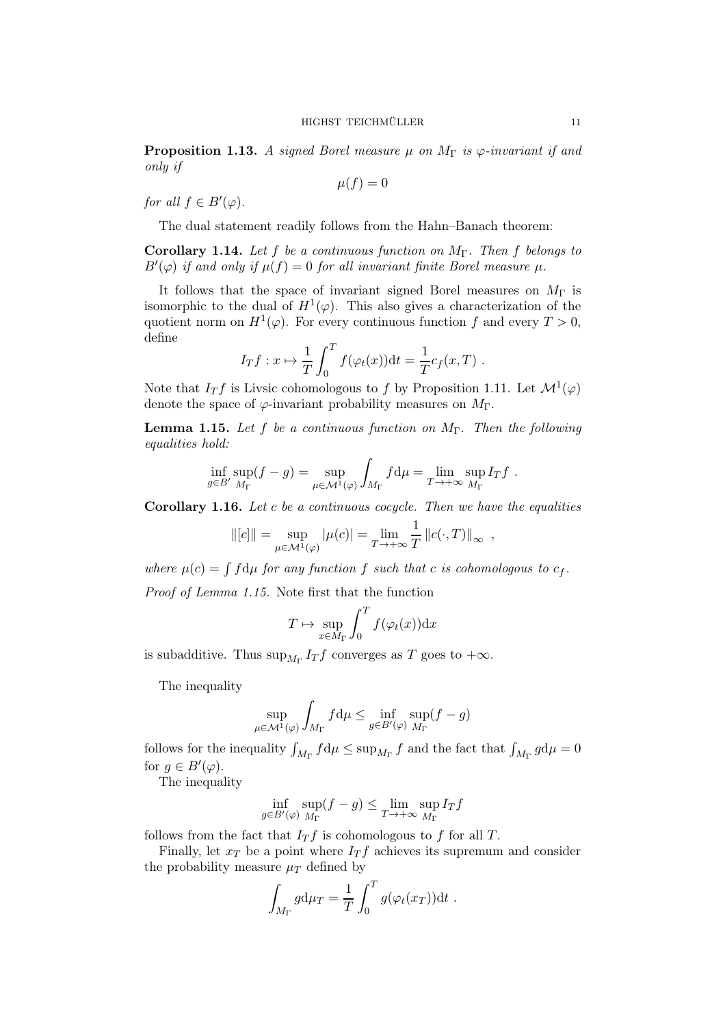**Proposition 1.13.** A signed Borel measure  $\mu$  on  $M_{\Gamma}$  is  $\varphi$ -invariant if and only if

$$
\mu(f)=0
$$

for all  $f \in B'(\varphi)$ .

The dual statement readily follows from the Hahn–Banach theorem:

**Corollary 1.14.** Let f be a continuous function on  $M_{\Gamma}$ . Then f belongs to  $B'(\varphi)$  if and only if  $\mu(f) = 0$  for all invariant finite Borel measure  $\mu$ .

It follows that the space of invariant signed Borel measures on  $M_{\Gamma}$  is isomorphic to the dual of  $H^1(\varphi)$ . This also gives a characterization of the quotient norm on  $H^1(\varphi)$ . For every continuous function f and every  $T > 0$ , define

$$
I_T f : x \mapsto \frac{1}{T} \int_0^T f(\varphi_t(x)) dt = \frac{1}{T} c_f(x, T) .
$$

Note that  $I_T f$  is Livsic cohomologous to f by Proposition 1.11. Let  $\mathcal{M}^1(\varphi)$ denote the space of  $\varphi$ -invariant probability measures on  $M_{\Gamma}$ .

**Lemma 1.15.** Let f be a continuous function on  $M_{\Gamma}$ . Then the following equalities hold:

$$
\inf_{g \in B'} \sup_{M_{\Gamma}} (f - g) = \sup_{\mu \in \mathcal{M}^1(\varphi)} \int_{M_{\Gamma}} f d\mu = \lim_{T \to +\infty} \sup_{M_{\Gamma}} I_T f.
$$

Corollary 1.16. Let c be a continuous cocycle. Then we have the equalities

$$
\| [c] \| = \sup_{\mu \in \mathcal{M}^1(\varphi)} |\mu(c)| = \lim_{T \to +\infty} \frac{1}{T} ||c(\cdot, T)||_{\infty} ,
$$

where  $\mu(c) = \int f d\mu$  for any function f such that c is cohomologous to  $c_f$ .

Proof of Lemma 1.15. Note first that the function

$$
T \mapsto \sup_{x \in M_{\Gamma}} \int_0^T f(\varphi_t(x)) \mathrm{d} x
$$

is subadditive. Thus  $\sup_{M_{\Gamma}} I_T f$  converges as T goes to  $+\infty$ .

The inequality

$$
\sup_{\mu \in \mathcal{M}^1(\varphi)} \int_{M_{\Gamma}} f d\mu \le \inf_{g \in B'(\varphi)} \sup_{M_{\Gamma}} (f - g)
$$

follows for the inequality  $\int_{M_{\Gamma}} f d\mu \le \sup_{M_{\Gamma}} f$  and the fact that  $\int_{M_{\Gamma}} g d\mu = 0$ for  $g \in B'(\varphi)$ .

The inequality

$$
\inf_{g \in B'(\varphi)} \sup_{M_{\Gamma}} (f - g) \le \lim_{T \to +\infty} \sup_{M_{\Gamma}} I_T f
$$

follows from the fact that  $I_T f$  is cohomologous to f for all T.

Finally, let  $x_T$  be a point where  $I_T f$  achieves its supremum and consider the probability measure  $\mu_T$  defined by

$$
\int_{M_{\Gamma}} g d\mu_T = \frac{1}{T} \int_0^T g(\varphi_t(x_T)) dt.
$$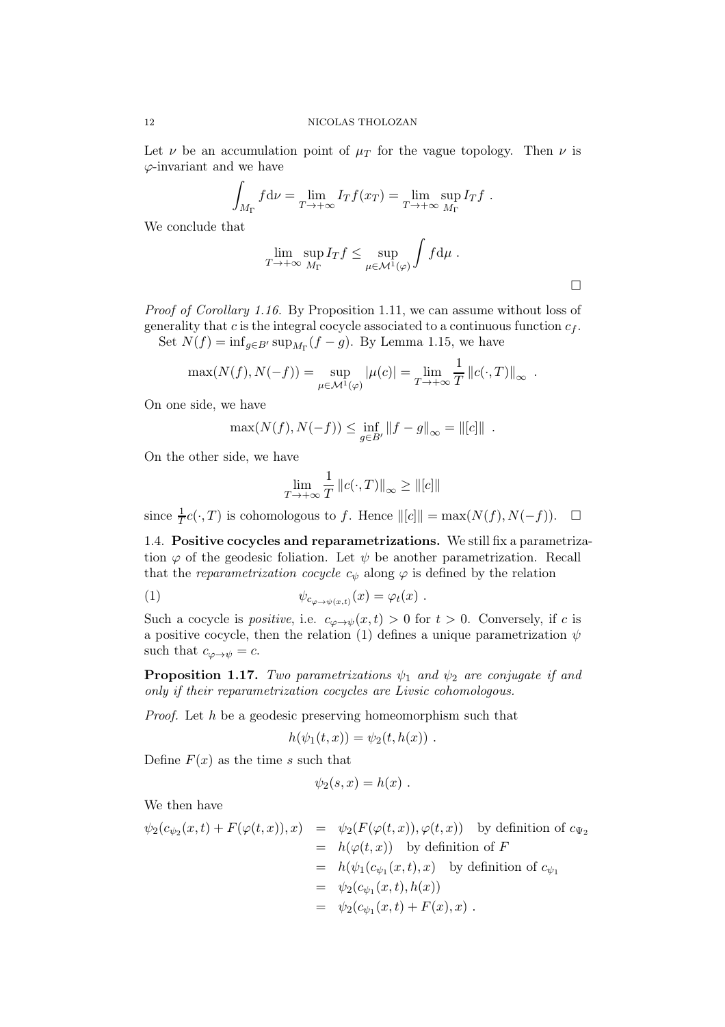Let  $\nu$  be an accumulation point of  $\mu$ <sup>T</sup> for the vague topology. Then  $\nu$  is  $\varphi$ -invariant and we have

$$
\int_{M_{\Gamma}} f d\nu = \lim_{T \to +\infty} I_T f(x_T) = \lim_{T \to +\infty} \sup_{M_{\Gamma}} I_T f.
$$

We conclude that

$$
\lim_{T \to +\infty} \sup_{M_{\Gamma}} I_T f \leq \sup_{\mu \in \mathcal{M}^1(\varphi)} \int f d\mu.
$$

Proof of Corollary 1.16. By Proposition 1.11, we can assume without loss of generality that c is the integral cocycle associated to a continuous function  $c_f$ . Set  $N(f) = \inf_{g \in B'} \sup_{M_{\Gamma}} (f - g)$ . By Lemma 1.15, we have

$$
\max(N(f), N(-f)) = \sup_{\mu \in \mathcal{M}^1(\varphi)} |\mu(c)| = \lim_{T \to +\infty} \frac{1}{T} ||c(\cdot, T)||_{\infty} .
$$

On one side, we have

$$
\max(N(f), N(-f)) \le \inf_{g \in B'} ||f - g||_{\infty} = ||[c]||.
$$

On the other side, we have

$$
\lim_{T \to +\infty} \frac{1}{T} ||c(\cdot, T)||_{\infty} \ge ||[c]||
$$

since  $\frac{1}{T}c(\cdot,T)$  is cohomologous to f. Hence  $\|[c]\| = \max(N(f), N(-f)). \quad \Box$ 

1.4. Positive cocycles and reparametrizations. We still fix a parametrization  $\varphi$  of the geodesic foliation. Let  $\psi$  be another parametrization. Recall that the reparametrization cocycle  $c_{\psi}$  along  $\varphi$  is defined by the relation

(1) 
$$
\psi_{c_{\varphi \to \psi(x,t)}}(x) = \varphi_t(x) .
$$

Such a cocycle is *positive*, i.e.  $c_{\varphi \to \psi}(x, t) > 0$  for  $t > 0$ . Conversely, if c is a positive cocycle, then the relation (1) defines a unique parametrization  $\psi$ such that  $c_{\varphi \to \psi} = c$ .

**Proposition 1.17.** Two parametrizations  $\psi_1$  and  $\psi_2$  are conjugate if and only if their reparametrization cocycles are Livsic cohomologous.

Proof. Let h be a geodesic preserving homeomorphism such that

$$
h(\psi_1(t,x))=\psi_2(t,h(x))\ .
$$

Define  $F(x)$  as the time s such that

$$
\psi_2(s,x)=h(x) .
$$

We then have

$$
\psi_2(c_{\psi_2}(x,t) + F(\varphi(t,x)), x) = \psi_2(F(\varphi(t,x)), \varphi(t,x)) \text{ by definition of } c_{\Psi_2}
$$
  
\n
$$
= h(\varphi(t,x)) \text{ by definition of } F
$$
  
\n
$$
= h(\psi_1(c_{\psi_1}(x,t), x) \text{ by definition of } c_{\psi_1}
$$
  
\n
$$
= \psi_2(c_{\psi_1}(x,t), h(x))
$$
  
\n
$$
= \psi_2(c_{\psi_1}(x,t) + F(x), x) .
$$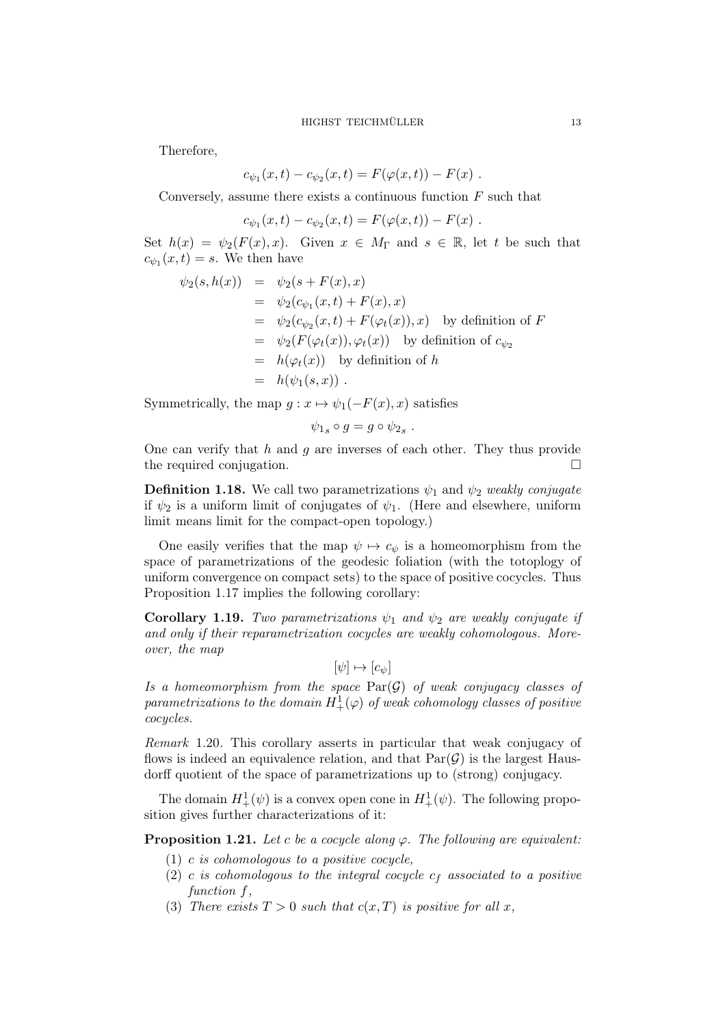Therefore,

$$
c_{\psi_1}(x,t) - c_{\psi_2}(x,t) = F(\varphi(x,t)) - F(x) .
$$

Conversely, assume there exists a continuous function  $F$  such that

$$
c_{\psi_1}(x,t) - c_{\psi_2}(x,t) = F(\varphi(x,t)) - F(x) .
$$

Set  $h(x) = \psi_2(F(x), x)$ . Given  $x \in M_\Gamma$  and  $s \in \mathbb{R}$ , let t be such that  $c_{\psi_1}(x,t) = s$ . We then have

$$
\psi_2(s, h(x)) = \psi_2(s + F(x), x)
$$
  
\n
$$
= \psi_2(c_{\psi_1}(x, t) + F(x), x)
$$
  
\n
$$
= \psi_2(c_{\psi_2}(x, t) + F(\varphi_t(x)), x)
$$
 by definition of  $F$   
\n
$$
= \psi_2(F(\varphi_t(x)), \varphi_t(x))
$$
 by definition of  $c_{\psi_2}$   
\n
$$
= h(\varphi_t(x))
$$
 by definition of  $h$   
\n
$$
= h(\psi_1(s, x)).
$$

Symmetrically, the map  $g: x \mapsto \psi_1(-F(x), x)$  satisfies

$$
\psi_{1s} \circ g = g \circ \psi_{2s} .
$$

One can verify that  $h$  and  $g$  are inverses of each other. They thus provide the required conjugation.

**Definition 1.18.** We call two parametrizations  $\psi_1$  and  $\psi_2$  weakly conjugate if  $\psi_2$  is a uniform limit of conjugates of  $\psi_1$ . (Here and elsewhere, uniform limit means limit for the compact-open topology.)

One easily verifies that the map  $\psi \mapsto c_{\psi}$  is a homeomorphism from the space of parametrizations of the geodesic foliation (with the totoplogy of uniform convergence on compact sets) to the space of positive cocycles. Thus Proposition 1.17 implies the following corollary:

Corollary 1.19. Two parametrizations  $\psi_1$  and  $\psi_2$  are weakly conjugate if and only if their reparametrization cocycles are weakly cohomologous. Moreover, the map

$$
[\psi] \mapsto [c_{\psi}]
$$

Is a homeomorphism from the space  $\text{Par}(\mathcal{G})$  of weak conjugacy classes of  $parametrizations\ to\ the\ domain\ H_+^1(\varphi)\ of\ weak\ cohomology\ classes\ of\ positive$ cocycles.

Remark 1.20. This corollary asserts in particular that weak conjugacy of flows is indeed an equivalence relation, and that  $Par(\mathcal{G})$  is the largest Hausdorff quotient of the space of parametrizations up to (strong) conjugacy.

The domain  $H^1_+(\psi)$  is a convex open cone in  $H^1_+(\psi)$ . The following proposition gives further characterizations of it:

**Proposition 1.21.** Let c be a cocycle along  $\varphi$ . The following are equivalent:

- (1) c is cohomologous to a positive cocycle,
- (2) c is cohomologous to the integral cocycle  $c_f$  associated to a positive function f.
- (3) There exists  $T > 0$  such that  $c(x,T)$  is positive for all x,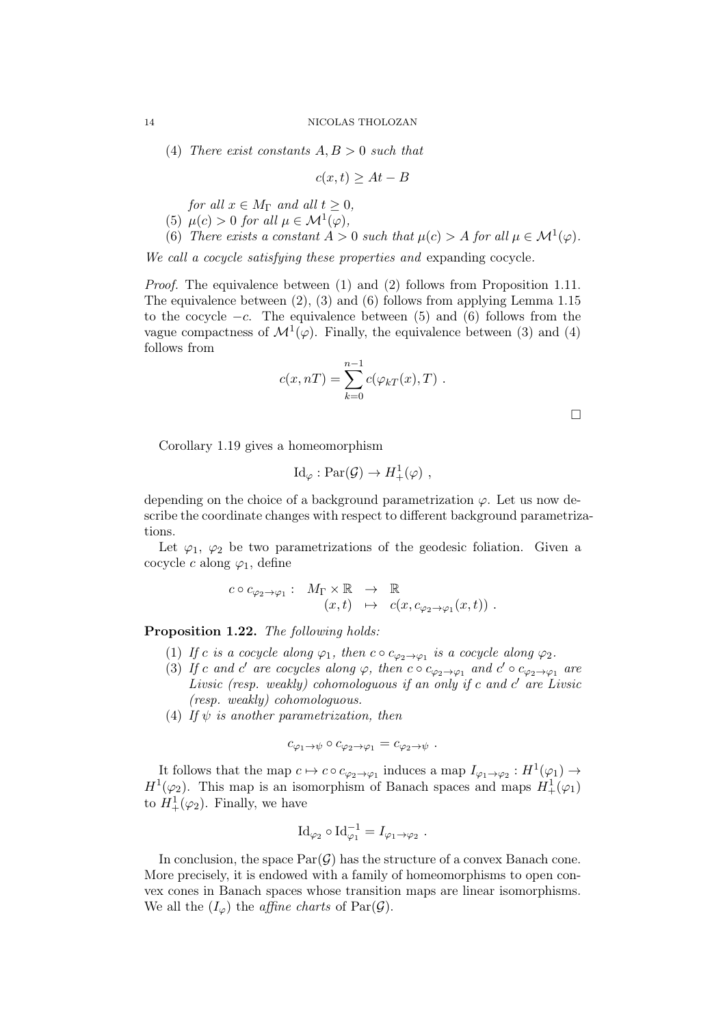(4) There exist constants  $A, B > 0$  such that

$$
c(x,t) \ge At - B
$$

for all  $x \in M_{\Gamma}$  and all  $t \geq 0$ ,

- (5)  $\mu(c) > 0$  for all  $\mu \in \mathcal{M}^1(\varphi)$ ,
- (6) There exists a constant  $A > 0$  such that  $\mu(c) > A$  for all  $\mu \in \mathcal{M}^1(\varphi)$ .

We call a cocycle satisfying these properties and expanding cocycle.

Proof. The equivalence between (1) and (2) follows from Proposition 1.11. The equivalence between (2), (3) and (6) follows from applying Lemma 1.15 to the cocycle  $-c$ . The equivalence between (5) and (6) follows from the vague compactness of  $\mathcal{M}^1(\varphi)$ . Finally, the equivalence between (3) and (4) follows from

$$
c(x, nT) = \sum_{k=0}^{n-1} c(\varphi_{kT}(x), T) .
$$

 $\Box$ 

Corollary 1.19 gives a homeomorphism

$$
\mathrm{Id}_{\varphi}:\mathrm{Par}(\mathcal{G})\to H^1_+(\varphi) ,
$$

depending on the choice of a background parametrization  $\varphi$ . Let us now describe the coordinate changes with respect to different background parametrizations.

Let  $\varphi_1$ ,  $\varphi_2$  be two parametrizations of the geodesic foliation. Given a cocycle c along  $\varphi_1$ , define

$$
c \circ c_{\varphi_2 \to \varphi_1}: M_{\Gamma} \times \mathbb{R} \to \mathbb{R}
$$
  
 $(x, t) \mapsto c(x, c_{\varphi_2 \to \varphi_1}(x, t))$ .

Proposition 1.22. The following holds:

- (1) If c is a cocycle along  $\varphi_1$ , then  $c \circ c_{\varphi_2 \to \varphi_1}$  is a cocycle along  $\varphi_2$ .
- (3) If c and c' are cocycles along  $\varphi$ , then c  $\circ c_{\varphi_2 \to \varphi_1}$  and  $c' \circ c_{\varphi_2 \to \varphi_1}$  are Livsic (resp. weakly) cohomologuous if an only if c and c' are Livsic (resp. weakly) cohomologuous.
- (4) If  $\psi$  is another parametrization, then

$$
c_{\varphi_1 \to \psi} \circ c_{\varphi_2 \to \varphi_1} = c_{\varphi_2 \to \psi} .
$$

It follows that the map  $c \mapsto c \circ c_{\varphi_2 \to \varphi_1}$  induces a map  $I_{\varphi_1 \to \varphi_2} : H^1(\varphi_1) \to$  $H^1(\varphi_2)$ . This map is an isomorphism of Banach spaces and maps  $H^1_+(\varphi_1)$ to  $H_+^1(\varphi_2)$ . Finally, we have

$$
\mathrm{Id}_{\varphi_2} \circ \mathrm{Id}_{\varphi_1}^{-1} = I_{\varphi_1 \to \varphi_2} .
$$

In conclusion, the space  $Par(\mathcal{G})$  has the structure of a convex Banach cone. More precisely, it is endowed with a family of homeomorphisms to open convex cones in Banach spaces whose transition maps are linear isomorphisms. We all the  $(I_{\varphi})$  the *affine charts* of  $Par(\mathcal{G})$ .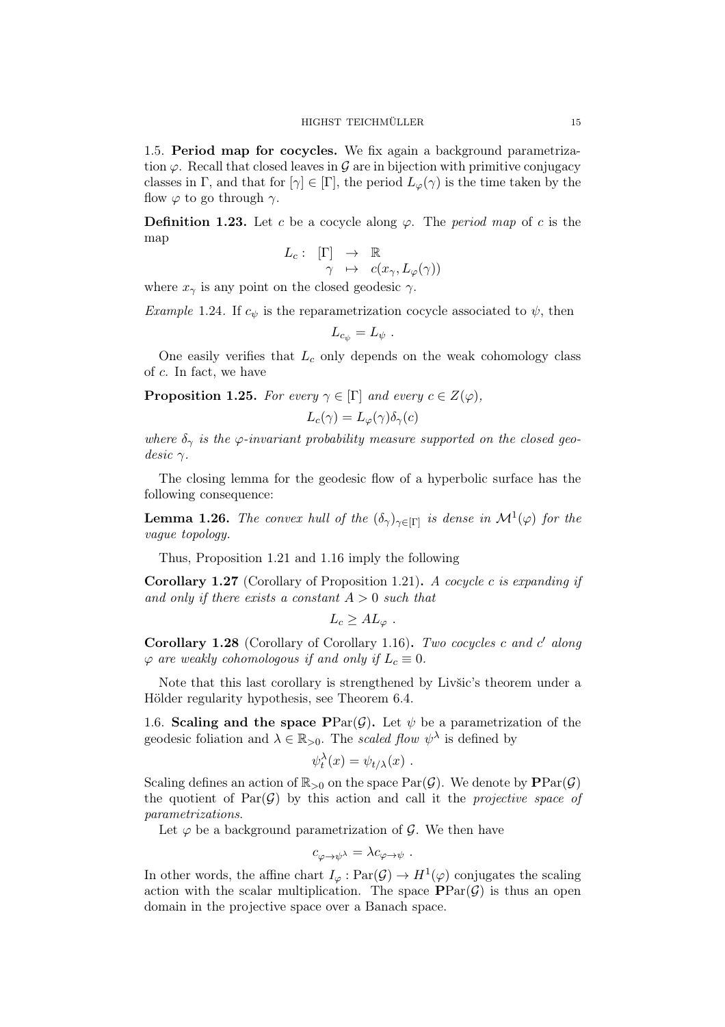1.5. Period map for cocycles. We fix again a background parametrization  $\varphi$ . Recall that closed leaves in  $\mathcal G$  are in bijection with primitive conjugacy classes in Γ, and that for  $[\gamma] \in [\Gamma]$ , the period  $L_{\varphi}(\gamma)$  is the time taken by the flow  $\varphi$  to go through  $\gamma$ .

**Definition 1.23.** Let c be a cocycle along  $\varphi$ . The *period map* of c is the map

$$
L_c: [\Gamma] \rightarrow \mathbb{R}
$$

$$
\gamma \mapsto c(x_\gamma, L_\varphi(\gamma))
$$

where  $x_{\gamma}$  is any point on the closed geodesic  $\gamma$ .

*Example 1.24.* If  $c_{\psi}$  is the reparametrization cocycle associated to  $\psi$ , then

$$
L_{c_{\psi}}=L_{\psi} .
$$

One easily verifies that  $L_c$  only depends on the weak cohomology class of c. In fact, we have

**Proposition 1.25.** For every  $\gamma \in [\Gamma]$  and every  $c \in Z(\varphi)$ ,

$$
L_c(\gamma) = L_\varphi(\gamma) \delta_\gamma(c)
$$

where  $\delta_{\gamma}$  is the  $\varphi$ -invariant probability measure supported on the closed geo $desic \gamma$ .

The closing lemma for the geodesic flow of a hyperbolic surface has the following consequence:

**Lemma 1.26.** The convex hull of the  $(\delta_{\gamma})_{\gamma \in [\Gamma]}$  is dense in  $\mathcal{M}^1(\varphi)$  for the vague topology.

Thus, Proposition 1.21 and 1.16 imply the following

**Corollary 1.27** (Corollary of Proposition 1.21). A cocycle c is expanding if and only if there exists a constant  $A > 0$  such that

$$
L_c \geq A L_{\varphi} \ .
$$

Corollary 1.28 (Corollary of Corollary 1.16). Two cocycles c and c' along  $\varphi$  are weakly cohomologous if and only if  $L_c \equiv 0$ .

Note that this last corollary is strengthened by Livšic's theorem under a Hölder regularity hypothesis, see Theorem 6.4.

1.6. Scaling and the space PPar $(\mathcal{G})$ . Let  $\psi$  be a parametrization of the geodesic foliation and  $\lambda \in \mathbb{R}_{>0}$ . The scaled flow  $\psi^{\lambda}$  is defined by

$$
\psi_t^{\lambda}(x) = \psi_{t/\lambda}(x) .
$$

Scaling defines an action of  $\mathbb{R}_{>0}$  on the space  $\text{Par}(\mathcal{G})$ . We denote by  $\text{PPar}(\mathcal{G})$ the quotient of  $Par(\mathcal{G})$  by this action and call it the *projective space of* parametrizations.

Let  $\varphi$  be a background parametrization of  $\mathcal{G}$ . We then have

$$
c_{\varphi \to \psi^\lambda} = \lambda c_{\varphi \to \psi} \ .
$$

In other words, the affine chart  $I_{\varphi} : \text{Par}(\mathcal{G}) \to H^1(\varphi)$  conjugates the scaling action with the scalar multiplication. The space  $\text{PPar}(\mathcal{G})$  is thus an open domain in the projective space over a Banach space.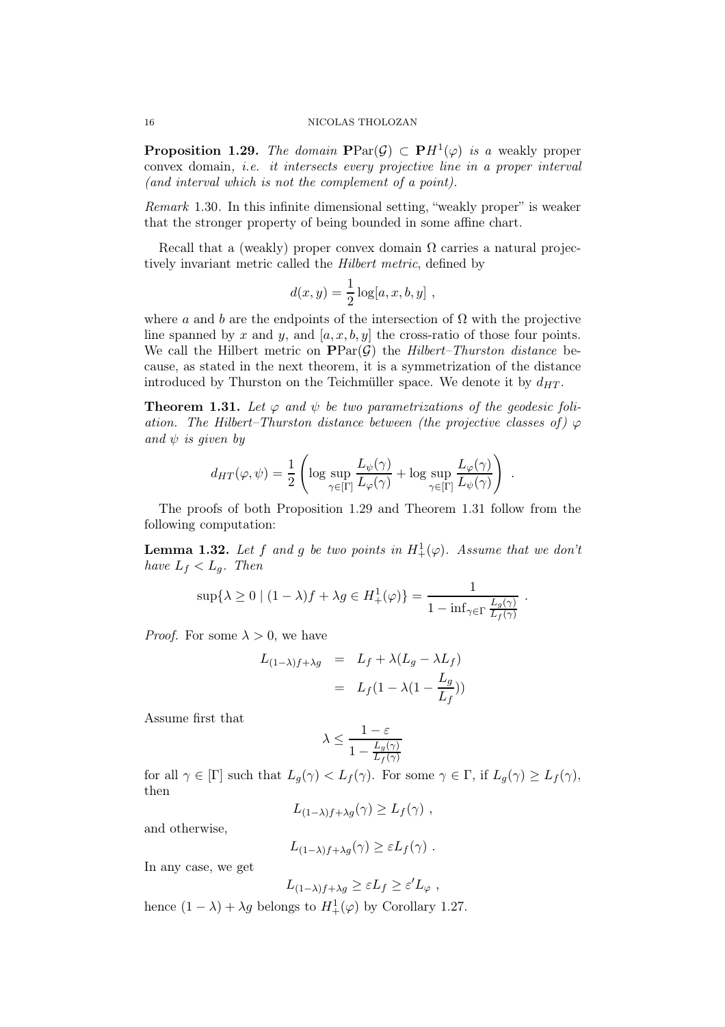### 16 NICOLAS THOLOZAN

**Proposition 1.29.** The domain  $\text{PPar}(\mathcal{G}) \subset \text{PH}^1(\varphi)$  is a weakly proper convex domain, i.e. it intersects every projective line in a proper interval (and interval which is not the complement of a point).

Remark 1.30. In this infinite dimensional setting, "weakly proper" is weaker that the stronger property of being bounded in some affine chart.

Recall that a (weakly) proper convex domain  $\Omega$  carries a natural projectively invariant metric called the Hilbert metric, defined by

$$
d(x, y) = \frac{1}{2} \log[a, x, b, y],
$$

where a and b are the endpoints of the intersection of  $\Omega$  with the projective line spanned by x and y, and  $[a, x, b, y]$  the cross-ratio of those four points. We call the Hilbert metric on  $\text{PPar}(\mathcal{G})$  the Hilbert–Thurston distance because, as stated in the next theorem, it is a symmetrization of the distance introduced by Thurston on the Teichmüller space. We denote it by  $d_{HT}$ .

**Theorem 1.31.** Let  $\varphi$  and  $\psi$  be two parametrizations of the geodesic foliation. The Hilbert–Thurston distance between (the projective classes of)  $\varphi$ and  $\psi$  is given by

$$
d_{HT}(\varphi, \psi) = \frac{1}{2} \left( \log \sup_{\gamma \in [\Gamma]} \frac{L_{\psi}(\gamma)}{L_{\varphi}(\gamma)} + \log \sup_{\gamma \in [\Gamma]} \frac{L_{\varphi}(\gamma)}{L_{\psi}(\gamma)} \right)
$$

.

The proofs of both Proposition 1.29 and Theorem 1.31 follow from the following computation:

**Lemma 1.32.** Let f and g be two points in  $H^1_+(\varphi)$ . Assume that we don't have  $L_f < L_q$ . Then

$$
\sup\{\lambda \ge 0 \mid (1-\lambda)f + \lambda g \in H^1_+(\varphi)\} = \frac{1}{1 - \inf_{\gamma \in \Gamma} \frac{L_g(\gamma)}{L_f(\gamma)}}.
$$

*Proof.* For some  $\lambda > 0$ , we have

$$
L_{(1-\lambda)f+\lambda g} = L_f + \lambda (L_g - \lambda L_f)
$$
  
=  $L_f(1 - \lambda (1 - \frac{L_g}{L_f}))$ 

Assume first that

$$
\lambda \le \frac{1-\varepsilon}{1-\frac{L_g(\gamma)}{L_f(\gamma)}}
$$

for all  $\gamma \in [\Gamma]$  such that  $L_q(\gamma) < L_f(\gamma)$ . For some  $\gamma \in \Gamma$ , if  $L_q(\gamma) \ge L_f(\gamma)$ , then

$$
L_{(1-\lambda)f+\lambda g}(\gamma) \ge L_f(\gamma) ,
$$

and otherwise,

$$
L_{(1-\lambda)f+\lambda g}(\gamma) \geq \varepsilon L_f(\gamma) .
$$

In any case, we get

$$
L_{(1-\lambda)f+\lambda g} \geq \varepsilon L_f \geq \varepsilon' L_\varphi ,
$$

hence  $(1 - \lambda) + \lambda g$  belongs to  $H^1_+(\varphi)$  by Corollary 1.27.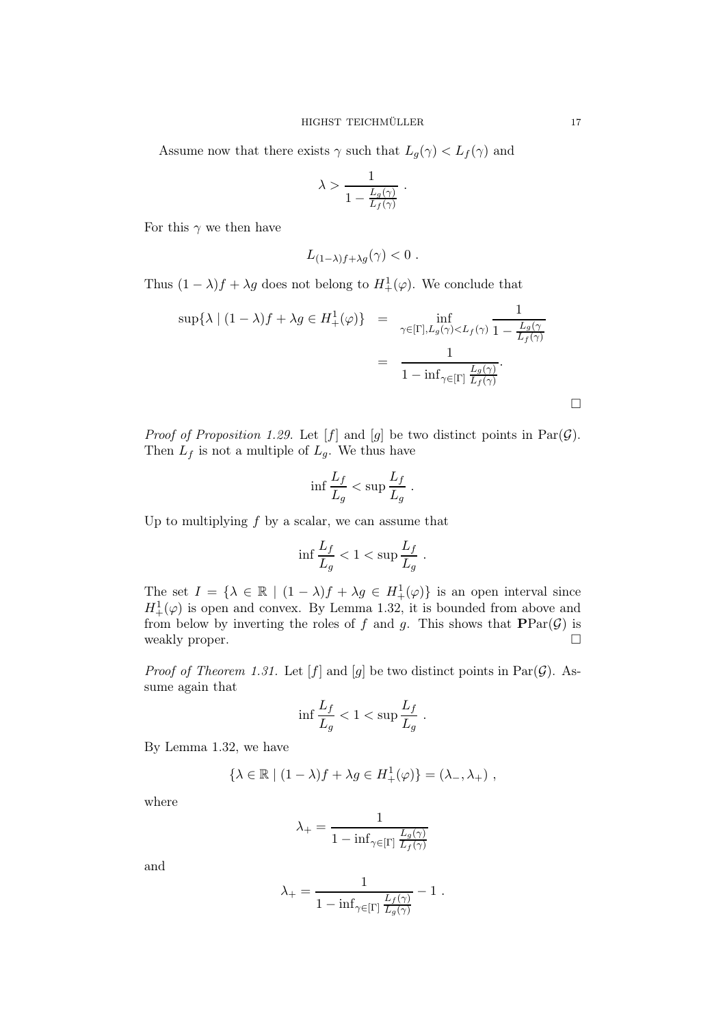Assume now that there exists  $\gamma$  such that  $L_g(\gamma) < L_f(\gamma)$  and

$$
\lambda > \frac{1}{1 - \frac{L_g(\gamma)}{L_f(\gamma)}}.
$$

For this  $\gamma$  we then have

$$
L_{(1-\lambda)f+\lambda g}(\gamma) < 0.
$$

Thus  $(1 - \lambda)f + \lambda g$  does not belong to  $H^1_+(\varphi)$ . We conclude that

$$
\sup \{ \lambda \mid (1 - \lambda)f + \lambda g \in H_+^1(\varphi) \} = \inf_{\gamma \in [\Gamma], L_g(\gamma) < L_f(\gamma)} \frac{1}{1 - \frac{L_g(\gamma)}{L_f(\gamma)}} = \frac{1}{1 - \inf_{\gamma \in [\Gamma]} \frac{L_g(\gamma)}{L_f(\gamma)}}.
$$

*Proof of Proposition 1.29.* Let  $[f]$  and  $[g]$  be two distinct points in  $Par(G)$ . Then  $L_f$  is not a multiple of  $L_g$ . We thus have

$$
\inf \frac{L_f}{L_g} < \sup \frac{L_f}{L_g} \; .
$$

Up to multiplying  $f$  by a scalar, we can assume that

$$
\inf \frac{L_f}{L_g} < 1 < \sup \frac{L_f}{L_g} .
$$

The set  $I = \{ \lambda \in \mathbb{R} \mid (1 - \lambda)f + \lambda g \in H^1_+(\varphi) \}$  is an open interval since  $H^1_+(\varphi)$  is open and convex. By Lemma 1.32, it is bounded from above and from below by inverting the roles of f and g. This shows that  $\text{PPar}(\mathcal{G})$  is weakly proper.

*Proof of Theorem 1.31.* Let  $[f]$  and  $[g]$  be two distinct points in Par $(G)$ . Assume again that

$$
\inf \frac{L_f}{L_g} < 1 < \sup \frac{L_f}{L_g} .
$$

By Lemma 1.32, we have

$$
\{\lambda \in \mathbb{R} \mid (1 - \lambda)f + \lambda g \in H^1_+(\varphi)\} = (\lambda_-, \lambda_+) ,
$$

where

$$
\lambda_+ = \frac{1}{1 - \inf_{\gamma \in [\Gamma]} \frac{L_g(\gamma)}{L_f(\gamma)}}
$$

and

$$
\lambda_+ = \frac{1}{1 - \inf_{\gamma \in [\Gamma]} \frac{L_f(\gamma)}{L_g(\gamma)}} - 1.
$$

 $\Box$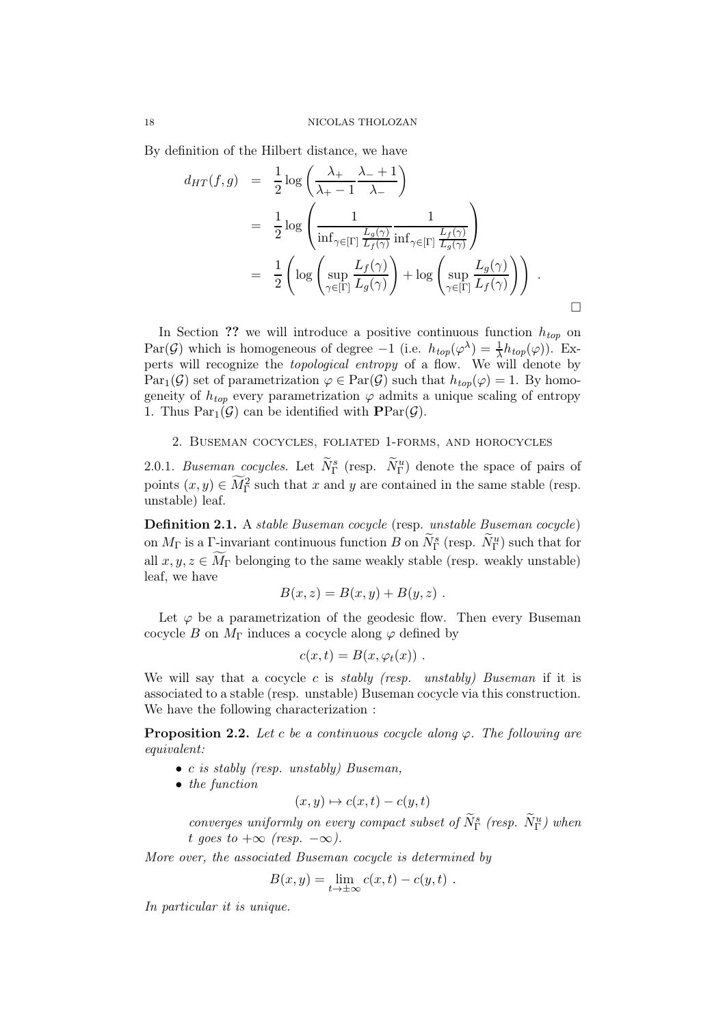By definition of the Hilbert distance, we have

$$
d_{HT}(f,g) = \frac{1}{2} \log \left( \frac{\lambda_+}{\lambda_+ - 1} \frac{\lambda_- + 1}{\lambda_-} \right)
$$
  
\n
$$
= \frac{1}{2} \log \left( \frac{1}{\inf_{\gamma \in [\Gamma]} \frac{L_g(\gamma)}{L_f(\gamma)}} \frac{1}{\inf_{\gamma \in [\Gamma]} \frac{L_f(\gamma)}{L_g(\gamma)}} \right)
$$
  
\n
$$
= \frac{1}{2} \left( \log \left( \sup_{\gamma \in [\Gamma]} \frac{L_f(\gamma)}{L_g(\gamma)} \right) + \log \left( \sup_{\gamma \in [\Gamma]} \frac{L_g(\gamma)}{L_f(\gamma)} \right) \right) .
$$

In Section ?? we will introduce a positive continuous function  $h_{top}$  on Par(G) which is homogeneous of degree  $-1$  (i.e.  $h_{top}(\varphi^{\lambda}) = \frac{1}{\lambda} h_{top}(\varphi)$ ). Experts will recognize the topological entropy of a flow. We will denote by  $Par_{1}(\mathcal{G})$  set of parametrization  $\varphi \in Par(\mathcal{G})$  such that  $h_{top}(\varphi) = 1$ . By homogeneity of  $h_{top}$  every parametrization  $\varphi$  admits a unique scaling of entropy 1. Thus  $Par_{1}(\mathcal{G})$  can be identified with  $PPar(\mathcal{G})$ .

## 2. Buseman cocycles, foliated 1-forms, and horocycles

2.0.1. Buseman cocycles. Let  $N_{\Gamma}^{s}$  (resp.  $N_{\Gamma}^{u}$ ) denote the space of pairs of points  $(x, y) \in \widetilde{M}_{\Gamma}^2$  such that x and y are contained in the same stable (resp. unstable) leaf.

Definition 2.1. A stable Buseman cocycle (resp. unstable Buseman cocycle) on  $M_{\Gamma}$  is a  $\Gamma$ -invariant continuous function B on  $\widetilde{N}_{\Gamma}^s$  (resp.  $\widetilde{N}_{\Gamma}^u$ ) such that for all  $x, y, z \in \widetilde{M}_{\Gamma}$  belonging to the same weakly stable (resp. weakly unstable) leaf, we have

$$
B(x, z) = B(x, y) + B(y, z) .
$$

Let  $\varphi$  be a parametrization of the geodesic flow. Then every Buseman cocycle B on  $M_{\Gamma}$  induces a cocycle along  $\varphi$  defined by

$$
c(x,t)=B(x,\varphi_t(x))\;.
$$

We will say that a cocycle c is stably (resp. unstably) Buseman if it is associated to a stable (resp. unstable) Buseman cocycle via this construction. We have the following characterization :

**Proposition 2.2.** Let c be a continuous cocycle along  $\varphi$ . The following are equivalent:

- c is stably (resp. unstably) Buseman,
- the function

$$
(x, y) \mapsto c(x, t) - c(y, t)
$$

converges uniformly on every compact subset of  $\tilde{N}_\Gamma^s$  (resp.  $\tilde{N}_\Gamma^u$ ) when t goes to  $+\infty$  (resp.  $-\infty$ ).

More over, the associated Buseman cocycle is determined by

$$
B(x,y) = \lim_{t \to \pm \infty} c(x,t) - c(y,t) .
$$

In particular it is unique.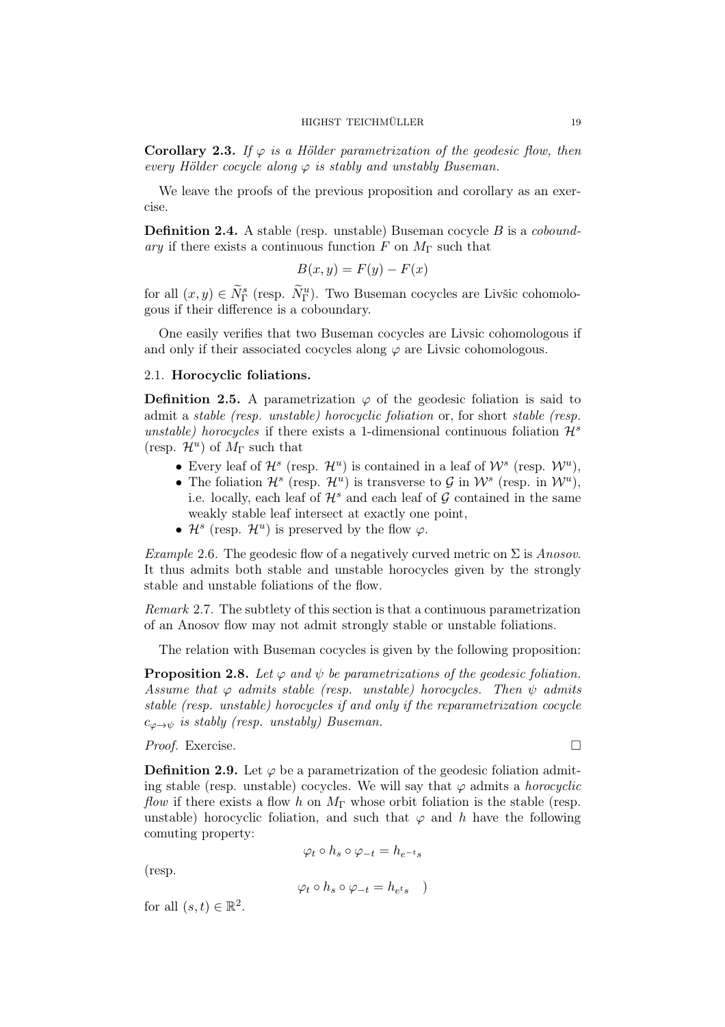**Corollary 2.3.** If  $\varphi$  is a Hölder parametrization of the geodesic flow, then every Hölder cocycle along  $\varphi$  is stably and unstably Buseman.

We leave the proofs of the previous proposition and corollary as an exercise.

**Definition 2.4.** A stable (resp. unstable) Buseman cocycle  $B$  is a *cobound*ary if there exists a continuous function F on  $M_{\Gamma}$  such that

$$
B(x, y) = F(y) - F(x)
$$

for all  $(x, y) \in \widetilde{N}_{\Gamma}^{s}$  (resp.  $\widetilde{N}_{\Gamma}^{u}$ ). Two Buseman cocycles are Livšic cohomologous if their difference is a coboundary.

One easily verifies that two Buseman cocycles are Livsic cohomologous if and only if their associated cocycles along  $\varphi$  are Livsic cohomologous.

## 2.1. Horocyclic foliations.

**Definition 2.5.** A parametrization  $\varphi$  of the geodesic foliation is said to admit a stable (resp. unstable) horocyclic foliation or, for short stable (resp. unstable) horocycles if there exists a 1-dimensional continuous foliation  $\mathcal{H}^s$ (resp.  $\mathcal{H}^u$ ) of  $M_\Gamma$  such that

- Every leaf of  $\mathcal{H}^s$  (resp.  $\mathcal{H}^u$ ) is contained in a leaf of  $\mathcal{W}^s$  (resp.  $\mathcal{W}^u$ ),
- The foliation  $\mathcal{H}^s$  (resp.  $\mathcal{H}^u$ ) is transverse to  $\mathcal{G}$  in  $\mathcal{W}^s$  (resp. in  $\mathcal{W}^u$ ), i.e. locally, each leaf of  $\mathcal{H}^s$  and each leaf of  $\mathcal G$  contained in the same weakly stable leaf intersect at exactly one point,
- $\mathcal{H}^s$  (resp.  $\mathcal{H}^u$ ) is preserved by the flow  $\varphi$ .

*Example* 2.6. The geodesic flow of a negatively curved metric on  $\Sigma$  is Anosov. It thus admits both stable and unstable horocycles given by the strongly stable and unstable foliations of the flow.

Remark 2.7. The subtlety of this section is that a continuous parametrization of an Anosov flow may not admit strongly stable or unstable foliations.

The relation with Buseman cocycles is given by the following proposition:

**Proposition 2.8.** Let  $\varphi$  and  $\psi$  be parametrizations of the geodesic foliation. Assume that  $\varphi$  admits stable (resp. unstable) horocycles. Then  $\psi$  admits stable (resp. unstable) horocycles if and only if the reparametrization cocycle  $c_{\varphi \to \psi}$  is stably (resp. unstably) Buseman.

*Proof.* Exercise. □

**Definition 2.9.** Let  $\varphi$  be a parametrization of the geodesic foliation admiting stable (resp. unstable) cocycles. We will say that  $\varphi$  admits a *horocyclic* flow if there exists a flow h on  $M_{\Gamma}$  whose orbit foliation is the stable (resp. unstable) horocyclic foliation, and such that  $\varphi$  and h have the following comuting property:

$$
\varphi_t \circ h_s \circ \varphi_{-t} = h_{e^{-t}s}
$$

(resp.

$$
\varphi_t \circ h_s \circ \varphi_{-t} = h_{e^t s} \quad )
$$

for all  $(s,t) \in \mathbb{R}^2$ .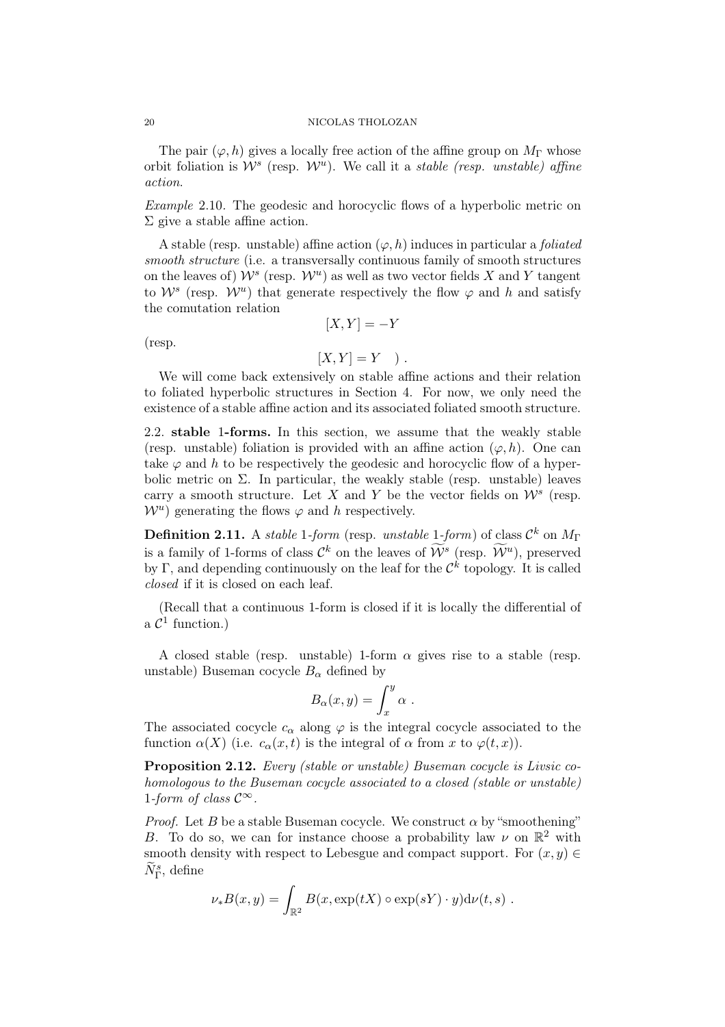The pair  $(\varphi, h)$  gives a locally free action of the affine group on  $M_{\Gamma}$  whose orbit foliation is  $W^s$  (resp.  $W^u$ ). We call it a *stable (resp. unstable) affine* action.

Example 2.10. The geodesic and horocyclic flows of a hyperbolic metric on Σ give a stable affine action.

A stable (resp. unstable) affine action  $(\varphi, h)$  induces in particular a *foliated* smooth structure (i.e. a transversally continuous family of smooth structures on the leaves of)  $\mathcal{W}^s$  (resp.  $\mathcal{W}^u$ ) as well as two vector fields X and Y tangent to  $\mathcal{W}^s$  (resp.  $\mathcal{W}^u$ ) that generate respectively the flow  $\varphi$  and h and satisfy the comutation relation

(resp.

 $[X, Y] = Y$ ).

 $[X, Y] = -Y$ 

We will come back extensively on stable affine actions and their relation to foliated hyperbolic structures in Section 4. For now, we only need the existence of a stable affine action and its associated foliated smooth structure.

2.2. stable 1-forms. In this section, we assume that the weakly stable (resp. unstable) foliation is provided with an affine action  $(\varphi, h)$ . One can take  $\varphi$  and h to be respectively the geodesic and horocyclic flow of a hyperbolic metric on  $\Sigma$ . In particular, the weakly stable (resp. unstable) leaves carry a smooth structure. Let X and Y be the vector fields on  $\mathcal{W}^s$  (resp.  $\mathcal{W}^u$ ) generating the flows  $\varphi$  and h respectively.

**Definition 2.11.** A stable 1-form (resp. unstable 1-form) of class  $\mathcal{C}^k$  on  $M_{\Gamma}$ is a family of 1-forms of class  $\mathcal{C}^k$  on the leaves of  $\mathcal{W}^s$  (resp.  $\mathcal{W}^u$ ), preserved by Γ, and depending continuously on the leaf for the  $\mathcal{C}^k$  topology. It is called closed if it is closed on each leaf.

(Recall that a continuous 1-form is closed if it is locally the differential of a  $\mathcal{C}^1$  function.)

A closed stable (resp. unstable) 1-form  $\alpha$  gives rise to a stable (resp. unstable) Buseman cocycle  $B_{\alpha}$  defined by

$$
B_{\alpha}(x,y) = \int_{x}^{y} \alpha .
$$

The associated cocycle  $c_{\alpha}$  along  $\varphi$  is the integral cocycle associated to the function  $\alpha(X)$  (i.e.  $c_{\alpha}(x,t)$  is the integral of  $\alpha$  from x to  $\varphi(t,x)$ ).

Proposition 2.12. Every (stable or unstable) Buseman cocycle is Livsic cohomologous to the Buseman cocycle associated to a closed (stable or unstable) 1-form of class  $\mathcal{C}^{\infty}$ .

*Proof.* Let B be a stable Buseman cocycle. We construct  $\alpha$  by "smoothening" B. To do so, we can for instance choose a probability law  $\nu$  on  $\mathbb{R}^2$  with smooth density with respect to Lebesgue and compact support. For  $(x, y) \in$  $\widetilde{N}_{\Gamma}^s$ , define

$$
\nu_*B(x,y) = \int_{\mathbb{R}^2} B(x,\exp(tX)\circ\exp(sY)\cdot y)\mathrm{d}\nu(t,s) .
$$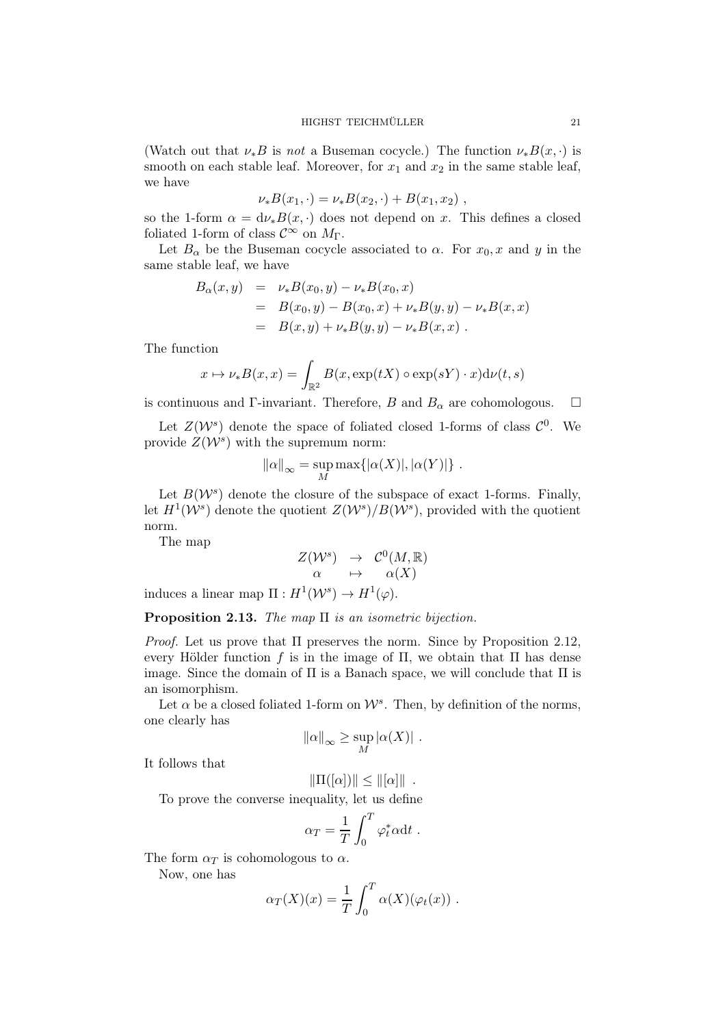(Watch out that  $\nu_* B$  is not a Buseman cocycle.) The function  $\nu_* B(x, \cdot)$  is smooth on each stable leaf. Moreover, for  $x_1$  and  $x_2$  in the same stable leaf, we have

$$
\nu_* B(x_1, \cdot) = \nu_* B(x_2, \cdot) + B(x_1, x_2) ,
$$

so the 1-form  $\alpha = d\nu_*B(x, \cdot)$  does not depend on x. This defines a closed foliated 1-form of class  $\mathcal{C}^{\infty}$  on  $M_{\Gamma}$ .

Let  $B_{\alpha}$  be the Buseman cocycle associated to  $\alpha$ . For  $x_0, x$  and y in the same stable leaf, we have

$$
B_{\alpha}(x, y) = \nu_* B(x_0, y) - \nu_* B(x_0, x)
$$
  
= 
$$
B(x_0, y) - B(x_0, x) + \nu_* B(y, y) - \nu_* B(x, x)
$$
  
= 
$$
B(x, y) + \nu_* B(y, y) - \nu_* B(x, x)
$$
.

The function

$$
x \mapsto \nu_* B(x, x) = \int_{\mathbb{R}^2} B(x, \exp(tX) \circ \exp(sY) \cdot x) d\nu(t, s)
$$

is continuous and Γ-invariant. Therefore, B and  $B_{\alpha}$  are cohomologous.  $\square$ 

Let  $Z(\mathcal{W}^s)$  denote the space of foliated closed 1-forms of class  $\mathcal{C}^0$ . We provide  $Z(\mathcal{W}^s)$  with the supremum norm:

$$
\|\alpha\|_{\infty} = \sup_{M} \max\{|\alpha(X)|, |\alpha(Y)|\} .
$$

Let  $B(\mathcal{W}^s)$  denote the closure of the subspace of exact 1-forms. Finally, let  $H^1(\mathcal{W}^s)$  denote the quotient  $Z(\mathcal{W}^s)/B(\mathcal{W}^s)$ , provided with the quotient norm.

The map

$$
\begin{array}{rcl}Z(\mathcal{W}^s)&\to&\mathcal{C}^0(M,\mathbb{R})\\ \alpha&\mapsto&\alpha(X) \end{array}
$$

induces a linear map  $\Pi: H^1(\mathcal{W}^s) \to H^1(\varphi)$ .

**Proposition 2.13.** The map  $\Pi$  is an isometric bijection.

*Proof.* Let us prove that  $\Pi$  preserves the norm. Since by Proposition 2.12, every Hölder function f is in the image of  $\Pi$ , we obtain that  $\Pi$  has dense image. Since the domain of  $\Pi$  is a Banach space, we will conclude that  $\Pi$  is an isomorphism.

Let  $\alpha$  be a closed foliated 1-form on  $\mathcal{W}^s$ . Then, by definition of the norms, one clearly has

$$
\|\alpha\|_{\infty} \ge \sup_{M} |\alpha(X)|.
$$

It follows that

$$
\|\Pi([\alpha])\| \leq \|[\alpha]\|.
$$

To prove the converse inequality, let us define

$$
\alpha_T = \frac{1}{T} \int_0^T \varphi_t^* \alpha \mathrm{d}t \ .
$$

The form  $\alpha_T$  is cohomologous to  $\alpha$ .

Now, one has

$$
\alpha_T(X)(x) = \frac{1}{T} \int_0^T \alpha(X)(\varphi_t(x)) .
$$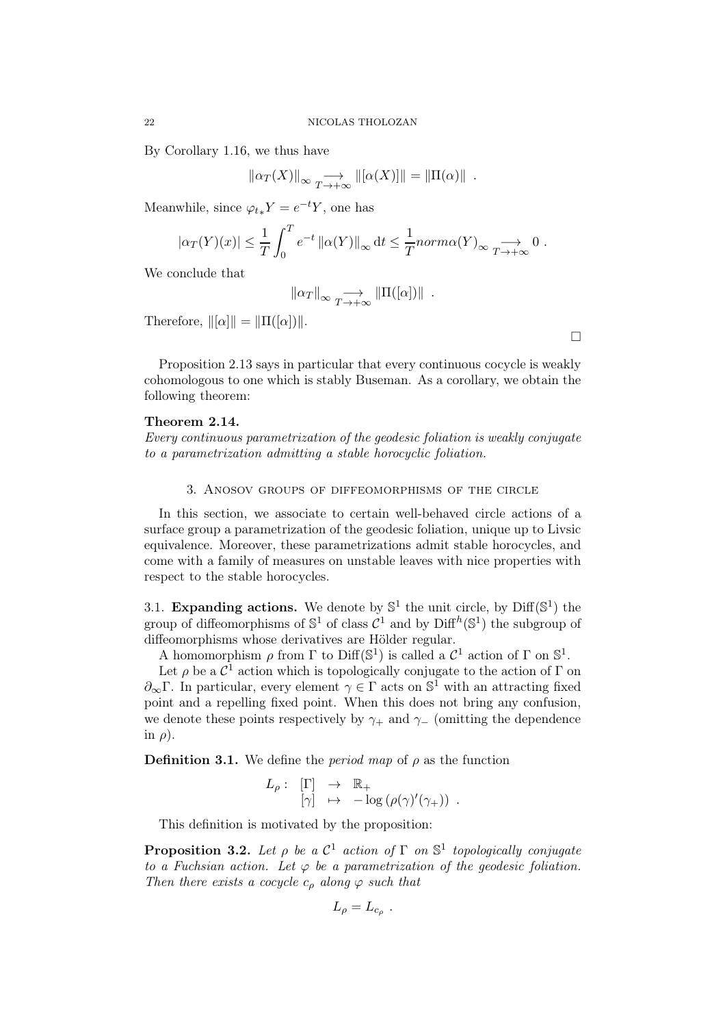By Corollary 1.16, we thus have

$$
\|\alpha_T(X)\|_{\infty} \longrightarrow_{T \to +\infty} \|[\alpha(X)]\| = \|\Pi(\alpha)\|.
$$

Meanwhile, since  $\varphi_{t*} Y = e^{-t} Y$ , one has

$$
|\alpha_T(Y)(x)| \leq \frac{1}{T} \int_0^T e^{-t} ||\alpha(Y)||_{\infty} dt \leq \frac{1}{T} norm\alpha(Y)_{\infty} \longrightarrow 0.
$$

We conclude that

$$
\|\alpha_T\|_{\infty} \underset{T \to +\infty}{\longrightarrow} \|\Pi([\alpha])\| .
$$

Therefore,  $\|\alpha\| = \|\Pi([\alpha])\|.$ 

Proposition 2.13 says in particular that every continuous cocycle is weakly cohomologous to one which is stably Buseman. As a corollary, we obtain the following theorem:

# Theorem 2.14.

Every continuous parametrization of the geodesic foliation is weakly conjugate to a parametrization admitting a stable horocyclic foliation.

3. Anosov groups of diffeomorphisms of the circle

In this section, we associate to certain well-behaved circle actions of a surface group a parametrization of the geodesic foliation, unique up to Livsic equivalence. Moreover, these parametrizations admit stable horocycles, and come with a family of measures on unstable leaves with nice properties with respect to the stable horocycles.

3.1. Expanding actions. We denote by  $\mathbb{S}^1$  the unit circle, by  $\text{Diff}(\mathbb{S}^1)$  the group of diffeomorphisms of  $\mathbb{S}^1$  of class  $\mathcal{C}^1$  and by  $\text{Diff}^h(\mathbb{S}^1)$  the subgroup of diffeomorphisms whose derivatives are Hölder regular.

A homomorphism  $\rho$  from  $\Gamma$  to Diff( $\mathbb{S}^1$ ) is called a  $\mathcal{C}^1$  action of  $\Gamma$  on  $\mathbb{S}^1$ .

Let  $\rho$  be a  $\mathcal{C}^1$  action which is topologically conjugate to the action of  $\Gamma$  on  $\partial_{\infty}\Gamma$ . In particular, every element  $\gamma \in \Gamma$  acts on  $\mathbb{S}^1$  with an attracting fixed point and a repelling fixed point. When this does not bring any confusion, we denote these points respectively by  $\gamma_+$  and  $\gamma_-$  (omitting the dependence in  $\rho$ ).

**Definition 3.1.** We define the *period map* of  $\rho$  as the function

$$
L_{\rho}: \begin{array}{l} [\Gamma] \rightarrow \mathbb{R}_{+} \\ [\gamma] \rightarrow -\log (\rho(\gamma)'(\gamma_{+})) \end{array}.
$$

This definition is motivated by the proposition:

**Proposition 3.2.** Let  $\rho$  be a  $\mathcal{C}^1$  action of  $\Gamma$  on  $\mathbb{S}^1$  topologically conjugate to a Fuchsian action. Let  $\varphi$  be a parametrization of the geodesic foliation. Then there exists a cocycle  $c<sub>o</sub>$  along  $\varphi$  such that

$$
L_{\rho}=L_{c_{\rho}}.
$$

 $\Box$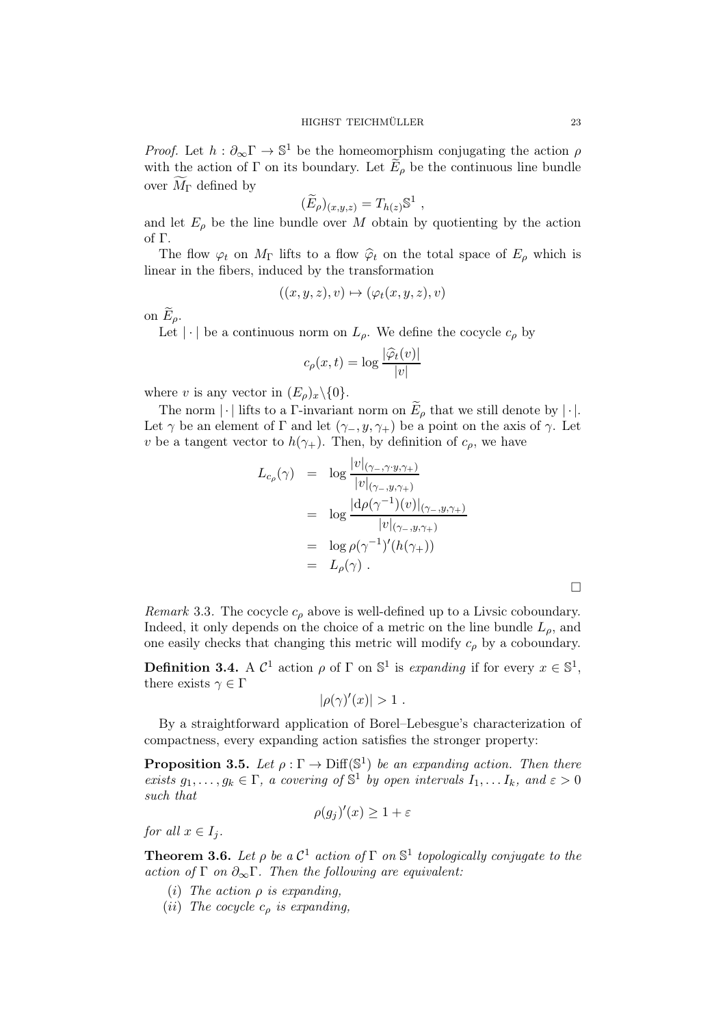*Proof.* Let  $h: \partial_{\infty} \Gamma \to \mathbb{S}^1$  be the homeomorphism conjugating the action  $\rho$ with the action of Γ on its boundary. Let  $E_{\rho}$  be the continuous line bundle over  $M_{\Gamma}$  defined by

$$
(\widetilde{E}_{\rho})_{(x,y,z)} = T_{h(z)} \mathbb{S}^1 ,
$$

and let  $E_{\rho}$  be the line bundle over M obtain by quotienting by the action of Γ.

The flow  $\varphi_t$  on  $M_{\Gamma}$  lifts to a flow  $\hat{\varphi}_t$  on the total space of  $E_{\rho}$  which is linear in the fibers, induced by the transformation

$$
((x, y, z), v) \mapsto (\varphi_t(x, y, z), v)
$$

on  $E_{\rho}$ .

Let  $|\cdot|$  be a continuous norm on  $L_{\rho}$ . We define the cocycle  $c_{\rho}$  by

$$
c_{\rho}(x,t) = \log \frac{|\widehat{\varphi}_t(v)|}{|v|}
$$

where v is any vector in  $(E_{\rho})_x \backslash \{0\}.$ 

The norm  $|\cdot|$  lifts to a Γ-invariant norm on  $\widetilde{E}_{\rho}$  that we still denote by  $|\cdot|$ . Let  $\gamma$  be an element of Γ and let  $(\gamma_-, y, \gamma_+)$  be a point on the axis of  $\gamma$ . Let v be a tangent vector to  $h(\gamma_+)$ . Then, by definition of  $c_\rho$ , we have

$$
L_{c_{\rho}}(\gamma) = \log \frac{|v|_{(\gamma_-,\gamma\cdot y,\gamma_+)}}{|v|_{(\gamma_-, y,\gamma_+)}}
$$
  
\n
$$
= \log \frac{|d\rho(\gamma^{-1})(v)|_{(\gamma_-, y,\gamma_+)}}{|v|_{(\gamma_-, y,\gamma_+)}}
$$
  
\n
$$
= \log \rho(\gamma^{-1})'(h(\gamma_+))
$$
  
\n
$$
= L_{\rho}(\gamma) .
$$

Remark 3.3. The cocycle  $c_{\rho}$  above is well-defined up to a Livsic coboundary. Indeed, it only depends on the choice of a metric on the line bundle  $L_{\rho}$ , and one easily checks that changing this metric will modify  $c<sub>o</sub>$  by a coboundary.

**Definition 3.4.** A  $\mathcal{C}^1$  action  $\rho$  of  $\Gamma$  on  $\mathbb{S}^1$  is expanding if for every  $x \in \mathbb{S}^1$ , there exists  $\gamma \in \Gamma$ 

$$
|\rho(\gamma)'(x)| > 1.
$$

By a straightforward application of Borel–Lebesgue's characterization of compactness, every expanding action satisfies the stronger property:

**Proposition 3.5.** Let  $\rho : \Gamma \to \text{Diff}(\mathbb{S}^1)$  be an expanding action. Then there exists  $g_1, \ldots, g_k \in \Gamma$ , a covering of  $\mathbb{S}^1$  by open intervals  $I_1, \ldots I_k$ , and  $\varepsilon > 0$ such that

$$
\rho(g_j)'(x) \ge 1 + \varepsilon
$$

for all  $x \in I_i$ .

**Theorem 3.6.** Let  $\rho$  be a  $\mathcal{C}^1$  action of  $\Gamma$  on  $\mathbb{S}^1$  topologically conjugate to the action of Γ on  $\partial_{\infty} \Gamma$ . Then the following are equivalent:

- (i) The action  $\rho$  is expanding,
- (*ii*) The cocycle  $c<sub>o</sub>$  is expanding,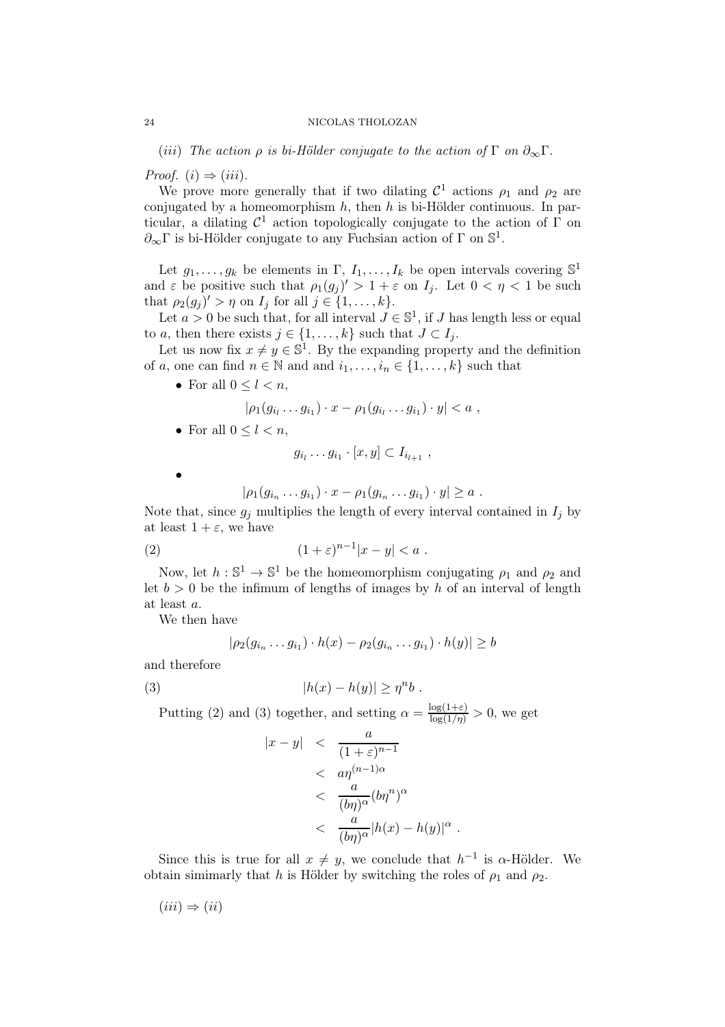(iii) The action  $\rho$  is bi-Hölder conjugate to the action of  $\Gamma$  on  $\partial_{\infty}\Gamma$ .

Proof.  $(i) \Rightarrow (iii)$ .

We prove more generally that if two dilating  $\mathcal{C}^1$  actions  $\rho_1$  and  $\rho_2$  are conjugated by a homeomorphism  $h$ , then  $h$  is bi-Hölder continuous. In particular, a dilating  $\mathcal{C}^1$  action topologically conjugate to the action of  $\Gamma$  on  $\partial_{\infty} \Gamma$  is bi-Hölder conjugate to any Fuchsian action of  $\Gamma$  on  $\mathbb{S}^1$ .

Let  $g_1, \ldots, g_k$  be elements in  $\Gamma, I_1, \ldots, I_k$  be open intervals covering  $\mathbb{S}^1$ and  $\varepsilon$  be positive such that  $\rho_1(g_j)' > 1 + \varepsilon$  on  $I_j$ . Let  $0 < \eta < 1$  be such that  $\rho_2(g_j)' > \eta$  on  $I_j$  for all  $j \in \{1, \ldots, k\}.$ 

Let  $a > 0$  be such that, for all interval  $J \in \mathbb{S}^1$ , if J has length less or equal to a, then there exists  $j \in \{1, \ldots, k\}$  such that  $J \subset I_i$ .

Let us now fix  $x \neq y \in \mathbb{S}^1$ . By the expanding property and the definition of a, one can find  $n \in \mathbb{N}$  and and  $i_1, \ldots, i_n \in \{1, \ldots, k\}$  such that

• For all  $0 \leq l \leq n$ ,

$$
|\rho_1(g_{i_1}\ldots g_{i_1})\cdot x-\rho_1(g_{i_1}\ldots g_{i_1})\cdot y|
$$

• For all  $0 \leq l < n$ ,

$$
g_{i_l}\ldots g_{i_1}\cdot [x,y]\subset I_{i_{l+1}}\ ,
$$

•

$$
|\rho_1(g_{i_n}\dots g_{i_1})\cdot x-\rho_1(g_{i_n}\dots g_{i_1})\cdot y|\geq a.
$$

Note that, since  $g_j$  multiplies the length of every interval contained in  $I_j$  by at least  $1 + \varepsilon$ , we have

$$
(2) \qquad \qquad (1+\varepsilon)^{n-1}|x-y|
$$

Now, let  $h: \mathbb{S}^1 \to \mathbb{S}^1$  be the homeomorphism conjugating  $\rho_1$  and  $\rho_2$  and let  $b > 0$  be the infimum of lengths of images by h of an interval of length at least a.

We then have

$$
|\rho_2(g_{i_n}\dots g_{i_1})\cdot h(x)-\rho_2(g_{i_n}\dots g_{i_1})\cdot h(y)|\geq b
$$

and therefore

(3) 
$$
|h(x) - h(y)| \geq \eta^n b.
$$

Putting (2) and (3) together, and setting  $\alpha = \frac{\log(1+\varepsilon)}{\log(1/\eta)} > 0$ , we get

$$
|x - y| < \frac{a}{(1 + \varepsilon)^{n-1}}
$$
  

$$
< \frac{a \eta^{(n-1)\alpha}}{(b\eta)^{\alpha}} (b\eta^n)^{\alpha}
$$
  

$$
< \frac{a}{(b\eta)^{\alpha}} |h(x) - h(y)|^{\alpha}
$$

Since this is true for all  $x \neq y$ , we conclude that  $h^{-1}$  is  $\alpha$ -Hölder. We obtain simimarly that h is Hölder by switching the roles of  $\rho_1$  and  $\rho_2$ .

.

 $(iii) \Rightarrow (ii)$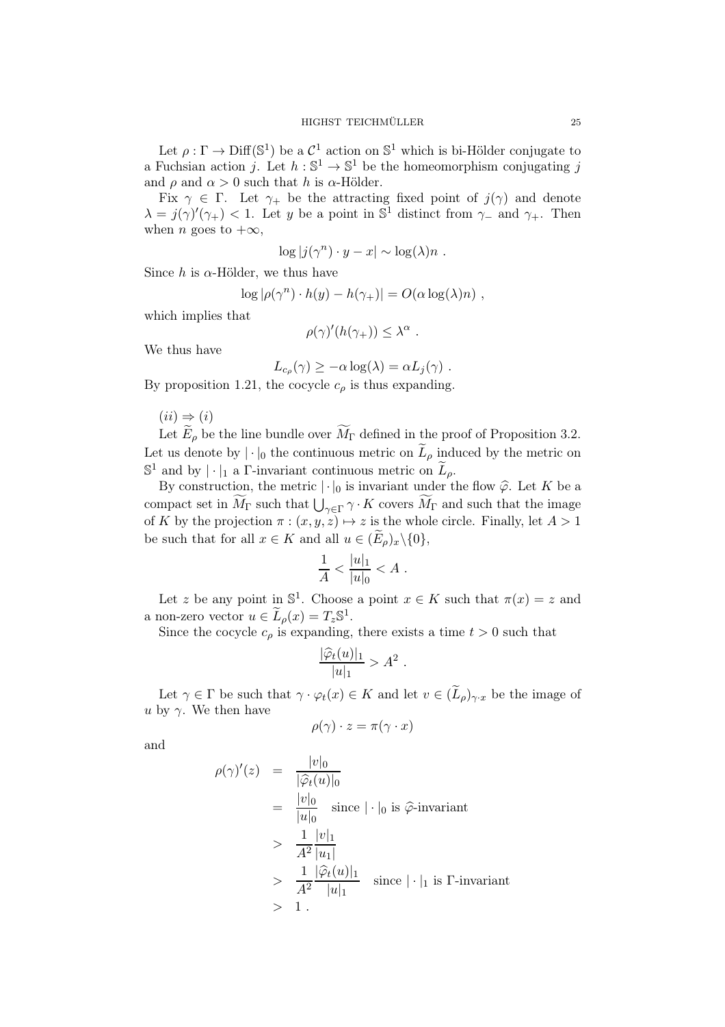Let  $\rho : \Gamma \to \text{Diff}(\mathbb{S}^1)$  be a  $\mathcal{C}^1$  action on  $\mathbb{S}^1$  which is bi-Hölder conjugate to a Fuchsian action j. Let  $h : \mathbb{S}^1 \to \mathbb{S}^1$  be the homeomorphism conjugating j and  $\rho$  and  $\alpha > 0$  such that h is  $\alpha$ -Hölder.

Fix  $\gamma \in \Gamma$ . Let  $\gamma_+$  be the attracting fixed point of  $j(\gamma)$  and denote  $\lambda = j(\gamma)'(\gamma_+) < 1$ . Let y be a point in  $\mathbb{S}^1$  distinct from  $\gamma_-$  and  $\gamma_+$ . Then when *n* goes to  $+\infty$ ,

$$
\log |j(\gamma^n) \cdot y - x| \sim \log(\lambda) n .
$$

Since h is  $\alpha$ -Hölder, we thus have

$$
\log |\rho(\gamma^n) \cdot h(y) - h(\gamma_+)| = O(\alpha \log(\lambda)n) ,
$$

which implies that

$$
\rho(\gamma)'(h(\gamma_+)) \leq \lambda^{\alpha} .
$$

We thus have

$$
L_{c_{\rho}}(\gamma) \geq -\alpha \log(\lambda) = \alpha L_{j}(\gamma) .
$$

By proposition 1.21, the cocycle  $c_{\rho}$  is thus expanding.

 $(ii) \Rightarrow (i)$ 

Let  $\widetilde{E}_{\rho}$  be the line bundle over  $\widetilde{M}_{\Gamma}$  defined in the proof of Proposition 3.2. Let us denote by  $|\cdot|_0$  the continuous metric on  $\widetilde{L}_{\rho}$  induced by the metric on  $\mathbb{S}^1$  and by  $|\cdot|_1$  a  $\Gamma$ -invariant continuous metric on  $\widetilde{L}_{\rho}$ .

By construction, the metric  $|\cdot|_0$  is invariant under the flow  $\hat{\varphi}$ . Let K be a compact set in  $\widetilde{M}_{\Gamma}$  such that  $\bigcup_{\gamma \in \Gamma} \gamma \cdot K$  covers  $\widetilde{M}_{\Gamma}$  and such that the image of K by the projection  $\pi : (x, y, z) \mapsto z$  is the whole circle. Finally, let  $A > 1$ be such that for all  $x \in K$  and all  $u \in (E_\rho)_x \backslash \{0\},\$ 

$$
\frac{1}{A} < \frac{|u|_1}{|u|_0} < A \; .
$$

Let z be any point in  $\mathbb{S}^1$ . Choose a point  $x \in K$  such that  $\pi(x) = z$  and a non-zero vector  $u \in \widetilde{L}_{\rho}(x) = T_z \mathbb{S}^1$ .

Since the cocycle  $c_{\rho}$  is expanding, there exists a time  $t > 0$  such that

$$
\frac{|\widehat{\varphi}_t(u)|_1}{|u|_1} > A^2
$$

.

Let  $\gamma \in \Gamma$  be such that  $\gamma \cdot \varphi_t(x) \in K$  and let  $v \in (\widetilde{L}_{\rho})_{\gamma \cdot x}$  be the image of u by  $\gamma$ . We then have

$$
\rho(\gamma)\cdot z=\pi(\gamma\cdot x)
$$

and

$$
\rho(\gamma)'(z) = \frac{|v|_0}{|\hat{\varphi}_t(u)|_0}
$$
  
\n
$$
= \frac{|v|_0}{|u|_0} \text{ since } |\cdot|_0 \text{ is } \hat{\varphi}\text{-invariant}
$$
  
\n
$$
> \frac{1}{A^2} \frac{|v|_1}{|u_1|}
$$
  
\n
$$
> \frac{1}{A^2} \frac{|\hat{\varphi}_t(u)|_1}{|u|_1} \text{ since } |\cdot|_1 \text{ is } \Gamma\text{-invariant}
$$
  
\n
$$
> 1.
$$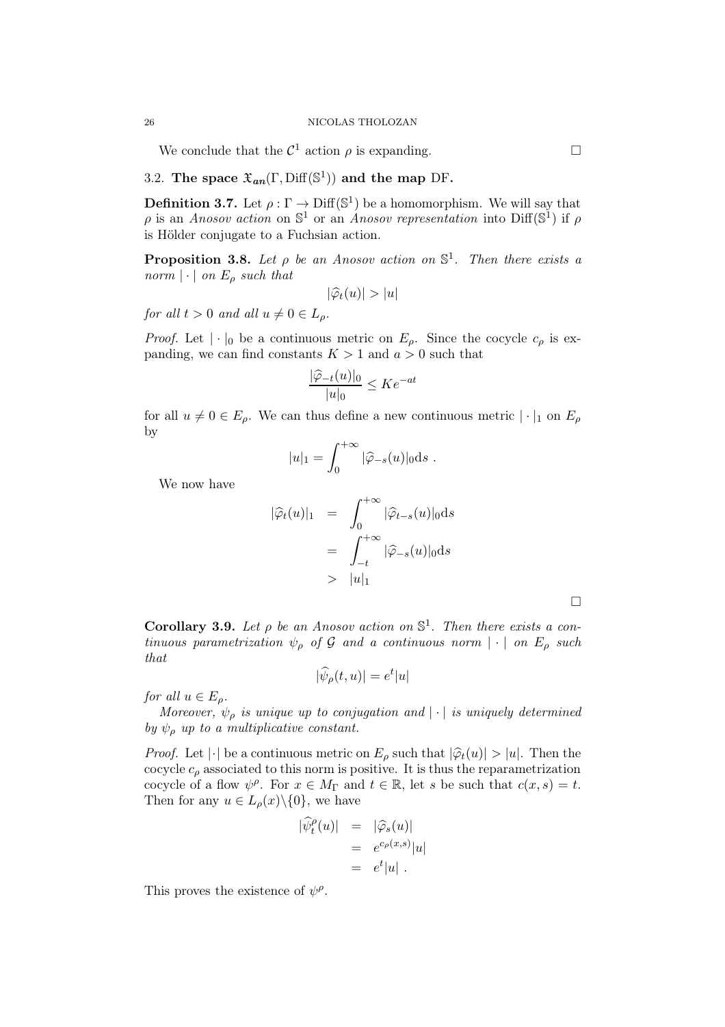We conclude that the  $\mathcal{C}^1$  action  $\rho$  is expanding.

# 3.2. The space  $\mathfrak{X}_{an}(\Gamma, \text{Diff}(\mathbb{S}^1))$  and the map DF.

**Definition 3.7.** Let  $\rho : \Gamma \to \text{Diff}(\mathbb{S}^1)$  be a homomorphism. We will say that  $\rho$  is an Anosov action on  $\mathbb{S}^1$  or an Anosov representation into Diff( $\mathbb{S}^1$ ) if  $\rho$ is Hölder conjugate to a Fuchsian action.

**Proposition 3.8.** Let  $\rho$  be an Anosov action on  $\mathbb{S}^1$ . Then there exists a norm  $|\cdot|$  on  $E_{\rho}$  such that

$$
|\widehat{\varphi}_t(u)| > |u|
$$

for all  $t > 0$  and all  $u \neq 0 \in L_{\rho}$ .

*Proof.* Let  $|\cdot|_0$  be a continuous metric on  $E_\rho$ . Since the cocycle  $c_\rho$  is expanding, we can find constants  $K > 1$  and  $a > 0$  such that

$$
\frac{|\widehat{\varphi}_{-t}(u)|_0}{|u|_0} \le Ke^{-at}
$$

for all  $u \neq 0 \in E_o$ . We can thus define a new continuous metric  $|\cdot|_1$  on  $E_o$ by

$$
|u|_1 = \int_0^{+\infty} |\widehat{\varphi}_{-s}(u)|_0 \mathrm{d} s.
$$

We now have

$$
|\widehat{\varphi}_t(u)|_1 = \int_0^{+\infty} |\widehat{\varphi}_{t-s}(u)|_0 ds
$$
  
= 
$$
\int_{-t}^{+\infty} |\widehat{\varphi}_{-s}(u)|_0 ds
$$
  
> 
$$
|u|_1
$$

**Corollary 3.9.** Let  $\rho$  be an Anosov action on  $\mathbb{S}^1$ . Then there exists a continuous parametrization  $\psi_{\rho}$  of G and a continuous norm  $|\cdot|$  on  $E_{\rho}$  such that

$$
|\widehat{\psi}_{\rho}(t,u)| = e^t|u|
$$

for all  $u \in E_{\rho}$ .

Moreover,  $\psi_{\rho}$  is unique up to conjugation and  $|\cdot|$  is uniquely determined by  $\psi_o$  up to a multiplicative constant.

*Proof.* Let  $|\cdot|$  be a continuous metric on  $E_{\rho}$  such that  $|\hat{\varphi}_t(u)| > |u|$ . Then the cocycle  $c_{\rho}$  associated to this norm is positive. It is thus the reparametrization cocycle of a flow  $\psi^{\rho}$ . For  $x \in M_{\Gamma}$  and  $t \in \mathbb{R}$ , let s be such that  $c(x, s) = t$ . Then for any  $u \in L_{\rho}(x) \setminus \{0\}$ , we have

$$
\begin{array}{rcl}\n|\widehat{\psi}^{\rho}_t(u)| &=& |\widehat{\varphi}_s(u)| \\
&=& e^{c_{\rho}(x,s)}|u| \\
&=& e^t|u| \;.\n\end{array}
$$

This proves the existence of  $\psi^{\rho}$ .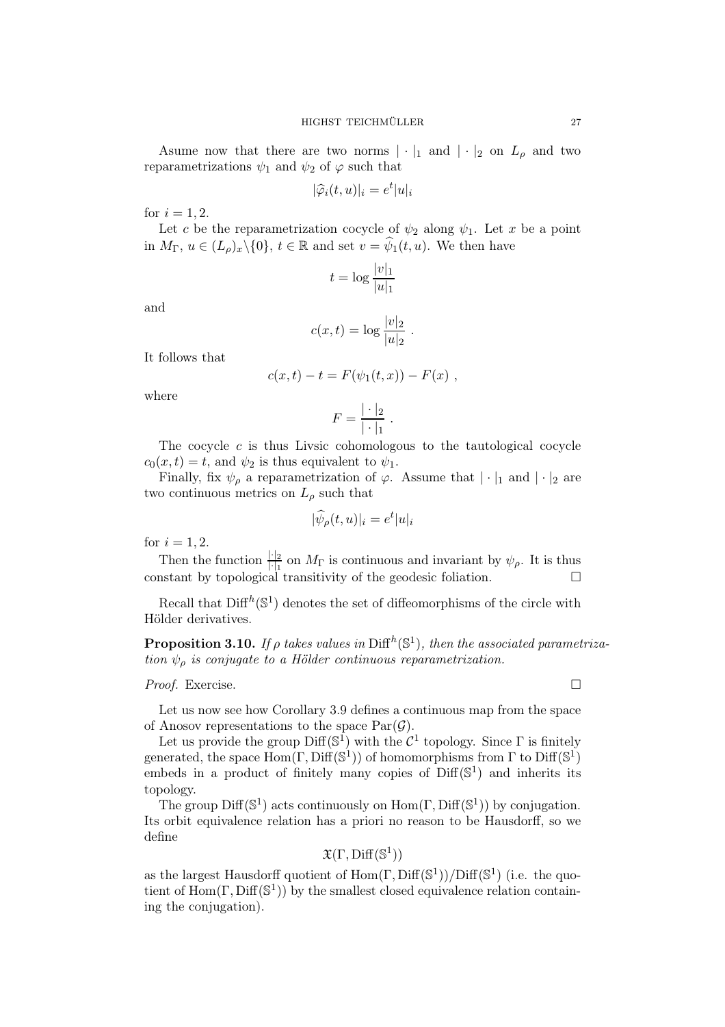Asume now that there are two norms  $|\cdot|_1$  and  $|\cdot|_2$  on  $L_\rho$  and two reparametrizations  $\psi_1$  and  $\psi_2$  of  $\varphi$  such that

$$
|\widehat{\varphi}_i(t, u)|_i = e^t |u|_i
$$

for  $i = 1, 2$ .

Let c be the reparametrization cocycle of  $\psi_2$  along  $\psi_1$ . Let x be a point in  $M_{\Gamma}$ ,  $u \in (L_{\rho})_x \backslash \{0\}$ ,  $t \in \mathbb{R}$  and set  $v = \widehat{\psi}_1(t, u)$ . We then have

$$
t = \log \frac{|v|_1}{|u|_1}
$$

and

$$
c(x,t) = \log \frac{|v|_2}{|u|_2} .
$$

It follows that

$$
c(x,t) - t = F(\psi_1(t,x)) - F(x) ,
$$

where

$$
F = \frac{|\cdot|_2}{|\cdot|_1}.
$$

The cocycle  $c$  is thus Livsic cohomologous to the tautological cocycle  $c_0(x,t) = t$ , and  $\psi_2$  is thus equivalent to  $\psi_1$ .

Finally, fix  $\psi_{\rho}$  a reparametrization of  $\varphi$ . Assume that  $|\cdot|_1$  and  $|\cdot|_2$  are two continuous metrics on  $L_\rho$  such that

$$
|\widehat{\psi}_{\rho}(t,u)|_i = e^t |u|_i
$$

for  $i = 1, 2$ .

Then the function  $\frac{||\cdot||_2}{||_1}$  on  $M_{\Gamma}$  is continuous and invariant by  $\psi_{\rho}$ . It is thus constant by topological transitivity of the geodesic foliation.  $\Box$ 

Recall that  $\text{Diff}^{h}(\mathbb{S}^{1})$  denotes the set of diffeomorphisms of the circle with Hölder derivatives.

**Proposition 3.10.** If  $\rho$  takes values in  $\text{Diff}^h(\mathbb{S}^1)$ , then the associated parametrization  $\psi_{\rho}$  is conjugate to a Hölder continuous reparametrization.

## *Proof.* Exercise.  $\Box$

Let us now see how Corollary 3.9 defines a continuous map from the space of Anosov representations to the space  $Par(\mathcal{G})$ .

Let us provide the group  $\text{Diff}(\mathbb{S}^1)$  with the  $\mathcal{C}^1$  topology. Since  $\Gamma$  is finitely generated, the space  $Hom(\Gamma, Diff(S^1))$  of homomorphisms from  $\Gamma$  to  $Diff(S^1)$ embeds in a product of finitely many copies of  $Diff(\mathbb{S}^1)$  and inherits its topology.

The group  $\text{Diff}(\mathbb{S}^1)$  acts continuously on  $\text{Hom}(\Gamma, \text{Diff}(\mathbb{S}^1))$  by conjugation. Its orbit equivalence relation has a priori no reason to be Hausdorff, so we define

$$
\mathfrak{X}(\Gamma,\mathrm{Diff}(\mathbb{S}^1))
$$

as the largest Hausdorff quotient of  $Hom(\Gamma, Diff(S^1))/Diff(S^1)$  (i.e. the quotient of  $\text{Hom}(\Gamma, \text{Diff}(\mathbb{S}^1))$  by the smallest closed equivalence relation containing the conjugation).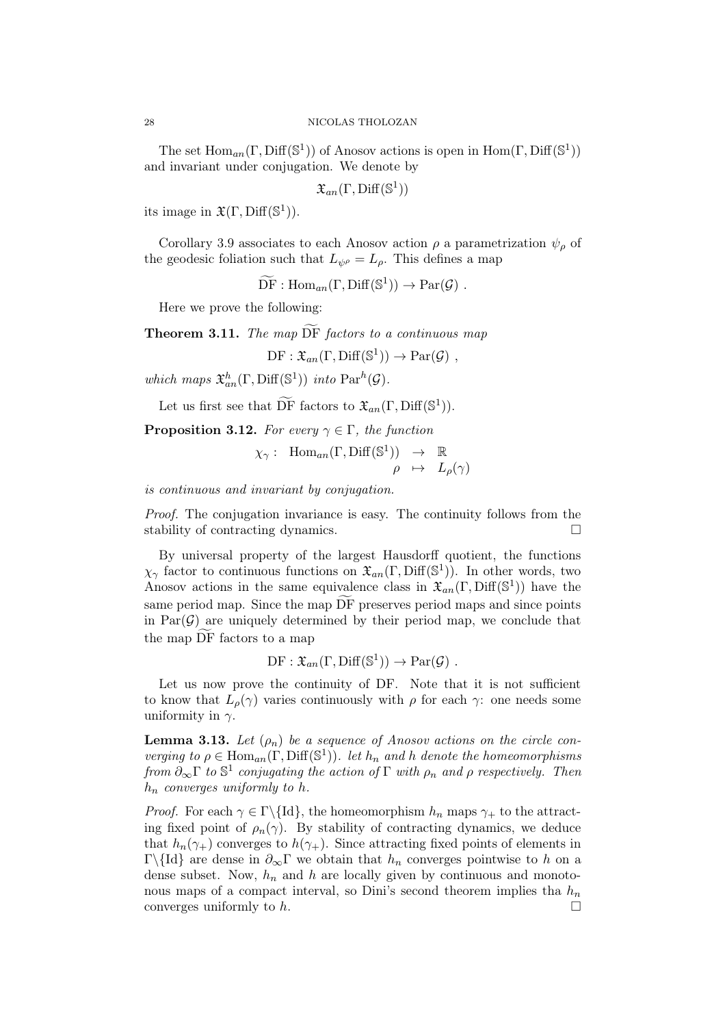The set  $\text{Hom}_{an}(\Gamma, \text{Diff}(\mathbb{S}^1))$  of Anosov actions is open in  $\text{Hom}(\Gamma, \text{Diff}(\mathbb{S}^1))$ and invariant under conjugation. We denote by

 $\mathfrak{X}_{an}(\Gamma,\text{Diff}(\mathbb{S}^{1}))$ 

its image in  $\mathfrak{X}(\Gamma,\mathrm{Diff}(\mathbb{S}^1)).$ 

Corollary 3.9 associates to each Anosov action  $\rho$  a parametrization  $\psi_{\rho}$  of the geodesic foliation such that  $L_{\psi} = L_{\rho}$ . This defines a map

 $\widetilde{\mathrm{DF}}: \mathrm{Hom}_{an}(\Gamma, \mathrm{Diff}(\mathbb{S}^1)) \to \mathrm{Par}(\mathcal{G})$ .

Here we prove the following:

**Theorem 3.11.** The map  $\widetilde{DF}$  factors to a continuous map

 $DF : \mathfrak{X}_{an}(\Gamma, \text{Diff}(\mathbb{S}^1)) \to \text{Par}(\mathcal{G})$ ,

which maps  $\mathfrak{X}_{an}^h(\Gamma, \text{Diff}(\mathbb{S}^1))$  into  $\text{Par}^h(\mathcal{G})$ .

Let us first see that  $\widetilde{\mathrm{DF}}$  factors to  $\mathfrak{X}_{an}(\Gamma, \mathrm{Diff}(\mathbb{S}^1)).$ 

**Proposition 3.12.** For every  $\gamma \in \Gamma$ , the function

$$
\chi_{\gamma}
$$
: Hom<sub>an</sub>( $\Gamma$ , Diff(S<sup>1</sup>))  $\rightarrow \mathbb{R}$   
 $\rho \rightarrow L_{\rho}(\gamma)$ 

is continuous and invariant by conjugation.

Proof. The conjugation invariance is easy. The continuity follows from the stability of contracting dynamics.

By universal property of the largest Hausdorff quotient, the functions  $\chi_{\gamma}$  factor to continuous functions on  $\mathfrak{X}_{an}(\Gamma, \text{Diff}(\mathbb{S}^1))$ . In other words, two Anosov actions in the same equivalence class in  $\mathfrak{X}_{an}(\Gamma,\text{Diff}(\mathbb{S}^1))$  have the same period map. Since the map DF preserves period maps and since points in  $Par(\mathcal{G})$  are uniquely determined by their period map, we conclude that the map DF factors to a map

$$
\mathrm{DF}: \mathfrak{X}_{an}(\Gamma, \mathrm{Diff}(\mathbb{S}^1)) \to \mathrm{Par}(\mathcal{G}) .
$$

Let us now prove the continuity of DF. Note that it is not sufficient to know that  $L_{\rho}(\gamma)$  varies continuously with  $\rho$  for each  $\gamma$ : one needs some uniformity in  $\gamma$ .

**Lemma 3.13.** Let  $(\rho_n)$  be a sequence of Anosov actions on the circle converging to  $\rho \in \text{Hom}_{an}(\Gamma, \text{Diff}(\mathbb{S}^1))$ . let  $h_n$  and h denote the homeomorphisms from  $\partial_{\infty} \Gamma$  to  $\mathbb{S}^1$  conjugating the action of  $\Gamma$  with  $\rho_n$  and  $\rho$  respectively. Then  $h_n$  converges uniformly to h.

*Proof.* For each  $\gamma \in \Gamma \setminus \{Id\}$ , the homeomorphism  $h_n$  maps  $\gamma_+$  to the attracting fixed point of  $\rho_n(\gamma)$ . By stability of contracting dynamics, we deduce that  $h_n(\gamma_+)$  converges to  $h(\gamma_+)$ . Since attracting fixed points of elements in Γ\{Id} are dense in  $\partial_{\infty} \Gamma$  we obtain that  $h_n$  converges pointwise to h on a dense subset. Now,  $h_n$  and h are locally given by continuous and monotonous maps of a compact interval, so Dini's second theorem implies tha  $h_n$ converges uniformly to  $h$ .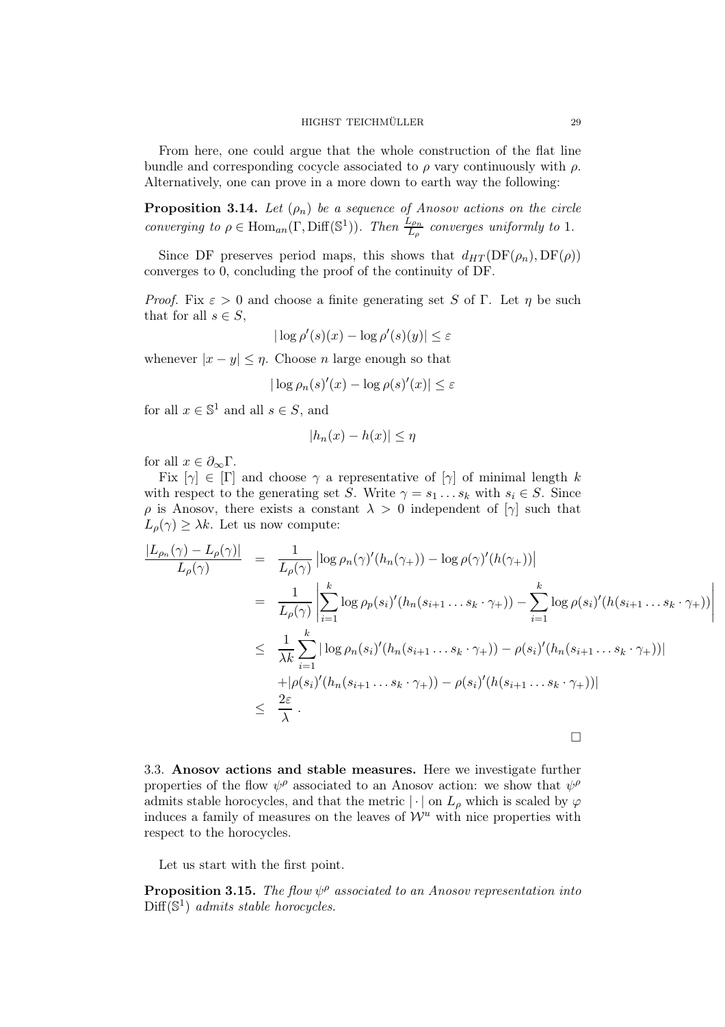From here, one could argue that the whole construction of the flat line bundle and corresponding cocycle associated to  $\rho$  vary continuously with  $\rho$ . Alternatively, one can prove in a more down to earth way the following:

**Proposition 3.14.** Let  $(\rho_n)$  be a sequence of Anosov actions on the circle converging to  $\rho \in \text{Hom}_{an}(\Gamma, \text{Diff}(\mathbb{S}^1))$ . Then  $\frac{L_{\rho_n}}{L_{\rho}}$  converges uniformly to 1.

Since DF preserves period maps, this shows that  $d_{HT}(\text{DF}(\rho_n), \text{DF}(\rho))$ converges to 0, concluding the proof of the continuity of DF.

*Proof.* Fix  $\varepsilon > 0$  and choose a finite generating set S of Γ. Let  $\eta$  be such that for all  $s \in S$ ,

$$
|\log \rho'(s)(x) - \log \rho'(s)(y)| \le \varepsilon
$$

whenever  $|x - y| \leq \eta$ . Choose *n* large enough so that

$$
|\log \rho_n(s)'(x) - \log \rho(s)'(x)| \le \varepsilon
$$

for all  $x \in \mathbb{S}^1$  and all  $s \in S$ , and

$$
|h_n(x) - h(x)| \le \eta
$$

for all  $x \in \partial_{\infty} \Gamma$ .

Fix  $[\gamma] \in [\Gamma]$  and choose  $\gamma$  a representative of  $[\gamma]$  of minimal length k with respect to the generating set S. Write  $\gamma = s_1 \dots s_k$  with  $s_i \in S$ . Since  $\rho$  is Anosov, there exists a constant  $\lambda > 0$  independent of  $[\gamma]$  such that  $L_{\rho}(\gamma) \geq \lambda k$ . Let us now compute:

$$
\frac{|L_{\rho_n}(\gamma) - L_{\rho}(\gamma)|}{L_{\rho}(\gamma)} = \frac{1}{L_{\rho}(\gamma)} \left| \log \rho_n(\gamma)'(h_n(\gamma_+)) - \log \rho(\gamma)'(h(\gamma_+)) \right|
$$
  
\n
$$
= \frac{1}{L_{\rho}(\gamma)} \left| \sum_{i=1}^k \log \rho_p(s_i)'(h_n(s_{i+1} \dots s_k \cdot \gamma_+) ) - \sum_{i=1}^k \log \rho(s_i)'(h(s_{i+1} \dots s_k \cdot \gamma_+)) \right|
$$
  
\n
$$
\leq \frac{1}{\lambda k} \sum_{i=1}^k |\log \rho_n(s_i)'(h_n(s_{i+1} \dots s_k \cdot \gamma_+) ) - \rho(s_i)'(h_n(s_{i+1} \dots s_k \cdot \gamma_+))|
$$
  
\n
$$
+ |\rho(s_i)'(h_n(s_{i+1} \dots s_k \cdot \gamma_+) ) - \rho(s_i)'(h(s_{i+1} \dots s_k \cdot \gamma_+))|
$$
  
\n
$$
\leq \frac{2\varepsilon}{\lambda}.
$$

3.3. Anosov actions and stable measures. Here we investigate further properties of the flow  $\psi^{\rho}$  associated to an Anosov action: we show that  $\psi^{\rho}$ admits stable horocycles, and that the metric  $|\cdot|$  on  $L_{\rho}$  which is scaled by  $\varphi$ induces a family of measures on the leaves of  $\mathcal{W}^u$  with nice properties with respect to the horocycles.

Let us start with the first point.

**Proposition 3.15.** The flow  $\psi^{\rho}$  associated to an Anosov representation into  $\text{Diff}(\mathbb{S}^1)$  admits stable horocycles.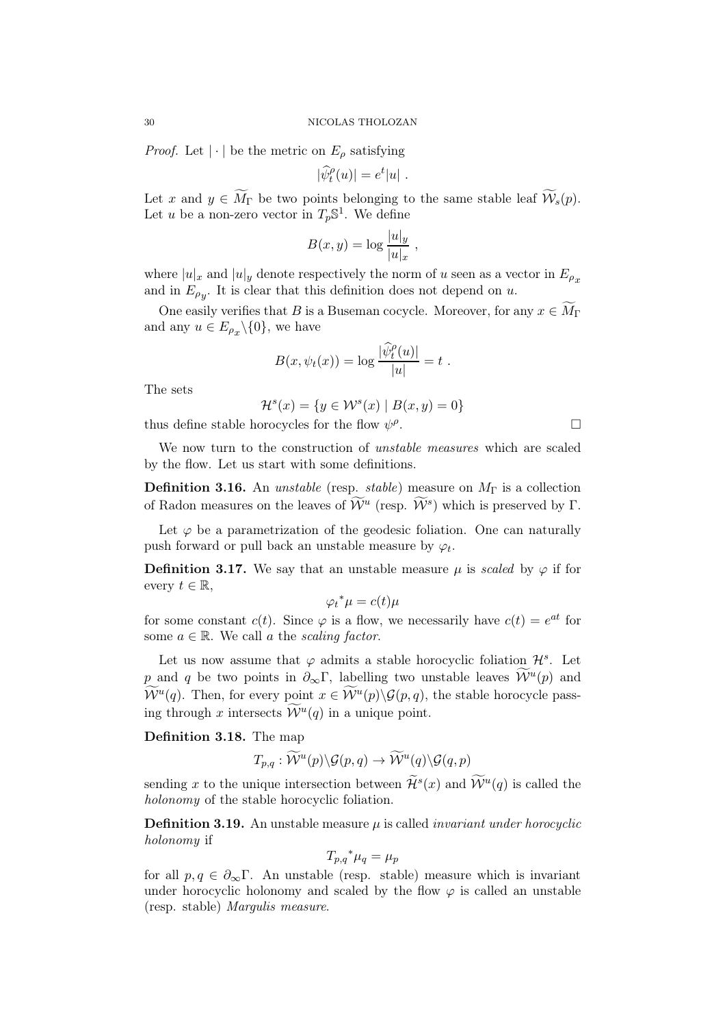*Proof.* Let  $|\cdot|$  be the metric on  $E_{\rho}$  satisfying

$$
|\widehat{\psi}_t^{\rho}(u)| = e^t |u|.
$$

Let x and  $y \in \widetilde{M}_{\Gamma}$  be two points belonging to the same stable leaf  $\widetilde{\mathcal{W}}_s(p)$ . Let u be a non-zero vector in  $T_p\mathbb{S}^1$ . We define

$$
B(x,y) = \log \frac{|u|_y}{|u|_x},
$$

where  $|u|_x$  and  $|u|_y$  denote respectively the norm of u seen as a vector in  $E_{\rho_x}$ and in  $E_{\rho_y}$ . It is clear that this definition does not depend on u.

One easily verifies that B is a Buseman cocycle. Moreover, for any  $x \in \widetilde{M}_{\Gamma}$ and any  $u \in E_{\rho_x} \backslash \{0\}$ , we have

$$
B(x,\psi_t(x)) = \log \frac{|\widehat{\psi}_t^{\rho}(u)|}{|u|} = t.
$$

The sets

 $\mathcal{H}^{s}(x) = \{y \in \mathcal{W}^{s}(x) \mid B(x, y) = 0\}$ thus define stable horocycles for the flow  $\psi^{\rho}$ . — Первый процесс в постановки программа в серверном становки производительно становки производительно станов<br>В серверном становки производительно становки производительно становки производительно становки производительн

We now turn to the construction of *unstable measures* which are scaled by the flow. Let us start with some definitions.

**Definition 3.16.** An *unstable* (resp. *stable*) measure on  $M_{\Gamma}$  is a collection of Radon measures on the leaves of  $\widetilde{\mathcal{W}}^u$  (resp.  $\widetilde{\mathcal{W}}^s$ ) which is preserved by  $\Gamma$ .

Let  $\varphi$  be a parametrization of the geodesic foliation. One can naturally push forward or pull back an unstable measure by  $\varphi_t$ .

**Definition 3.17.** We say that an unstable measure  $\mu$  is scaled by  $\varphi$  if for every  $t \in \mathbb{R}$ ,

 $\varphi_t^* \mu = c(t) \mu$ 

for some constant  $c(t)$ . Since  $\varphi$  is a flow, we necessarily have  $c(t) = e^{at}$  for some  $a \in \mathbb{R}$ . We call a the scaling factor.

Let us now assume that  $\varphi$  admits a stable horocyclic foliation  $\mathcal{H}^s$ . Let p and q be two points in  $\partial_{\infty} \Gamma$ , labelling two unstable leaves  $\mathcal{W}^u(p)$  and  $\mathcal{W}^u(q)$ . Then, for every point  $x \in \mathcal{W}^u(p) \backslash \mathcal{G}(p,q)$ , the stable horocycle passing through x intersects  $\mathcal{W}^u(q)$  in a unique point.

Definition 3.18. The map

$$
T_{p,q}:\widetilde{{\mathcal W}}^u(p)\backslash {\mathcal G}(p,q)\rightarrow \widetilde{{\mathcal W}}^u(q)\backslash {\mathcal G}(q,p)
$$

sending x to the unique intersection between  $\mathcal{H}^s(x)$  and  $\mathcal{W}^u(q)$  is called the holonomy of the stable horocyclic foliation.

**Definition 3.19.** An unstable measure  $\mu$  is called *invariant under horocyclic* holonomy if

$$
T_{p,q} \,^* \mu_q = \mu_p
$$

for all  $p, q \in \partial_{\infty} \Gamma$ . An unstable (resp. stable) measure which is invariant under horocyclic holonomy and scaled by the flow  $\varphi$  is called an unstable (resp. stable) Margulis measure.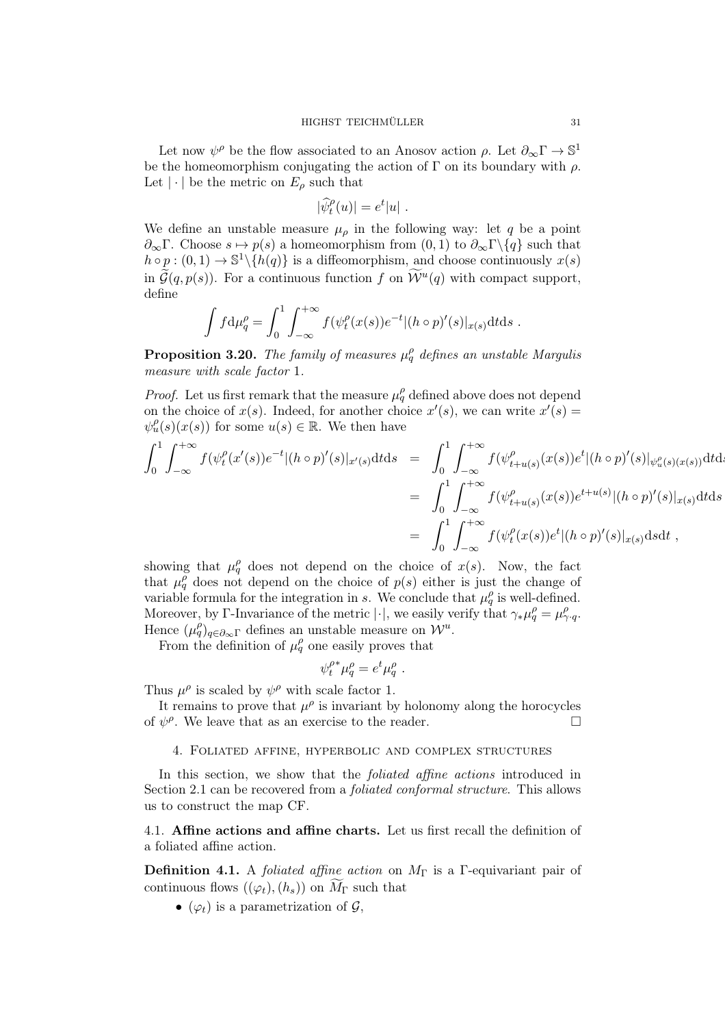Let now  $\psi^{\rho}$  be the flow associated to an Anosov action  $\rho$ . Let  $\partial_{\infty}\Gamma \to \mathbb{S}^1$ be the homeomorphism conjugating the action of  $\Gamma$  on its boundary with  $\rho$ . Let  $|\cdot|$  be the metric on  $E_{\rho}$  such that

$$
|\widehat{\psi}_t^{\rho}(u)| = e^t |u|.
$$

We define an unstable measure  $\mu_{\rho}$  in the following way: let q be a point  $\partial_{\infty}\Gamma$ . Choose  $s \mapsto p(s)$  a homeomorphism from  $(0, 1)$  to  $\partial_{\infty}\Gamma \setminus \{q\}$  such that  $h \circ p : (0,1) \to \mathbb{S}^1 \setminus \{h(q)\}\$ is a diffeomorphism, and choose continuously  $x(s)$ in  $\mathcal{G}(q,p(s))$ . For a continuous function f on  $\mathcal{W}^u(q)$  with compact support, define

$$
\int f d\mu_q^\rho = \int_0^1 \int_{-\infty}^{+\infty} f(\psi_t^\rho(x(s))e^{-t} |(h \circ p)'(s)|_{x(s)} dt ds.
$$

**Proposition 3.20.** The family of measures  $\mu_q^{\rho}$  defines an unstable Margulis measure with scale factor 1.

*Proof.* Let us first remark that the measure  $\mu_q^{\rho}$  defined above does not depend on the choice of  $x(s)$ . Indeed, for another choice  $x'(s)$ , we can write  $x'(s)$  $\psi_u^{\rho}(s)(x(s))$  for some  $u(s) \in \mathbb{R}$ . We then have

$$
\int_{0}^{1} \int_{-\infty}^{+\infty} f(\psi_{t}^{\rho}(x'(s))e^{-t} |(h \circ p)'(s)|_{x'(s)} \mathrm{d}t \mathrm{d}s = \int_{0}^{1} \int_{-\infty}^{+\infty} f(\psi_{t+u(s)}^{\rho}(x(s))e^{t} |(h \circ p)'(s)|_{\psi_{u}^{\rho}(s)(x(s))} \mathrm{d}t \mathrm{d}s
$$
  
\n
$$
= \int_{0}^{1} \int_{-\infty}^{+\infty} f(\psi_{t+u(s)}^{\rho}(x(s))e^{t+u(s)} |(h \circ p)'(s)|_{x(s)} \mathrm{d}t \mathrm{d}s
$$
  
\n
$$
= \int_{0}^{1} \int_{-\infty}^{+\infty} f(\psi_{t}^{\rho}(x(s))e^{t} |(h \circ p)'(s)|_{x(s)} \mathrm{d}s \mathrm{d}t,
$$

showing that  $\mu_q^{\rho}$  does not depend on the choice of  $x(s)$ . Now, the fact that  $\mu_q^{\rho}$  does not depend on the choice of  $p(s)$  either is just the change of variable formula for the integration in s. We conclude that  $\mu_q^{\rho}$  is well-defined. Moreover, by Γ-Invariance of the metric | $\cdot$ |, we easily verify that  $\gamma_* \mu_q^\rho = \mu_{\gamma \cdot q}^\rho$ . Hence  $(\mu_q^{\rho})_{q \in \partial_{\infty} \Gamma}$  defines an unstable measure on  $\mathcal{W}^u$ .

From the definition of  $\mu_q^{\rho}$  one easily proves that

$$
\psi_t^{\rho*}\mu_q^{\rho} = e^t \mu_q^{\rho} .
$$

Thus  $\mu^{\rho}$  is scaled by  $\psi^{\rho}$  with scale factor 1.

It remains to prove that  $\mu^{\rho}$  is invariant by holonomy along the horocycles of  $\psi^{\rho}$ . We leave that as an exercise to the reader.

## 4. Foliated affine, hyperbolic and complex structures

In this section, we show that the *foliated affine actions* introduced in Section 2.1 can be recovered from a foliated conformal structure. This allows us to construct the map CF.

4.1. Affine actions and affine charts. Let us first recall the definition of a foliated affine action.

**Definition 4.1.** A *foliated affine action* on  $M_{\Gamma}$  is a Γ-equivariant pair of continuous flows  $((\varphi_t),(h_s))$  on  $\widetilde{M}_{\Gamma}$  such that

•  $(\varphi_t)$  is a parametrization of  $\mathcal{G}$ ,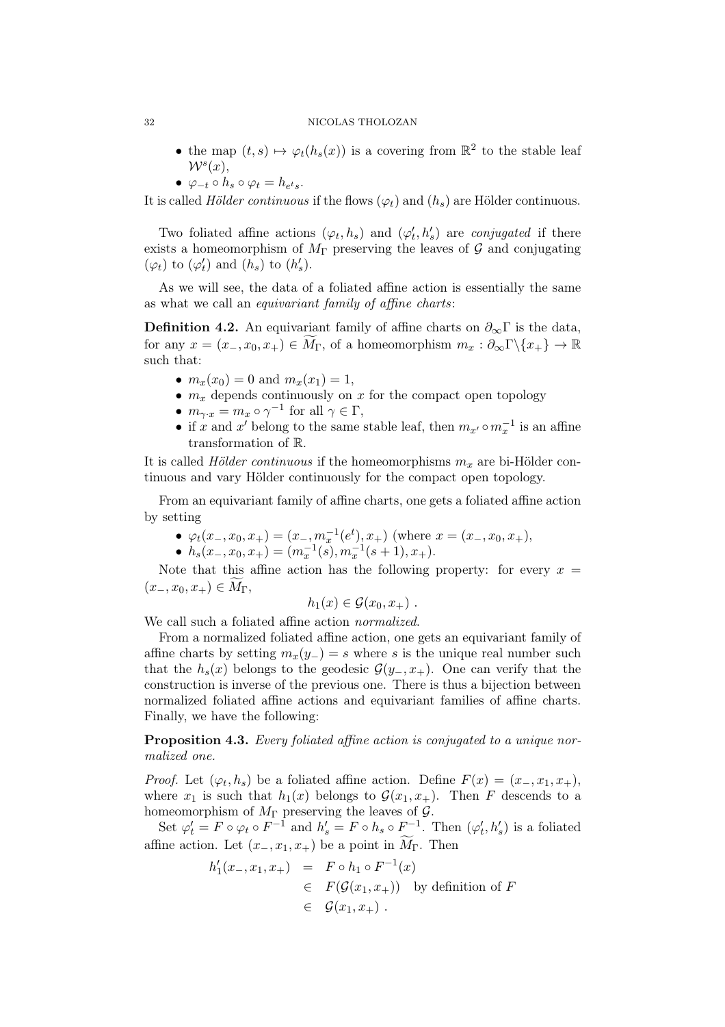### 32 NICOLAS THOLOZAN

- the map  $(t,s) \mapsto \varphi_t(h_s(x))$  is a covering from  $\mathbb{R}^2$  to the stable leaf  $W^s(x)$ ,
- $\varphi_{-t} \circ h_s \circ \varphi_t = h_{e^t s}.$

It is called Hölder continuous if the flows  $(\varphi_t)$  and  $(h_s)$  are Hölder continuous.

Two foliated affine actions  $(\varphi_t, h_s)$  and  $(\varphi'_t, h'_s)$  are conjugated if there exists a homeomorphism of  $M_{\Gamma}$  preserving the leaves of G and conjugating  $(\varphi_t)$  to  $(\varphi'_t)$  and  $(h_s)$  to  $(h'_s)$ .

As we will see, the data of a foliated affine action is essentially the same as what we call an equivariant family of affine charts:

**Definition 4.2.** An equivariant family of affine charts on  $\partial_{\infty} \Gamma$  is the data, for any  $x = (x_-, x_0, x_+) \in M_\Gamma$ , of a homeomorphism  $m_x : \partial_\infty \Gamma \backslash \{x_+\} \to \mathbb{R}$ such that:

- $m_x(x_0) = 0$  and  $m_x(x_1) = 1$ ,
- $m_x$  depends continuously on x for the compact open topology
- $m_{\gamma \cdot x} = m_x \circ \gamma^{-1}$  for all  $\gamma \in \Gamma$ ,
- if x and x' belong to the same stable leaf, then  $m_{x'} \circ m_x^{-1}$  is an affine transformation of R.

It is called *Hölder continuous* if the homeomorphisms  $m_x$  are bi-Hölder continuous and vary Hölder continuously for the compact open topology.

From an equivariant family of affine charts, one gets a foliated affine action by setting

- $\varphi_t(x_-, x_0, x_+) = (x_-, m_x^{-1}(e^t), x_+)$  (where  $x = (x_-, x_0, x_+),$
- $h_s(x_-, x_0, x_+) = (m_x^{-1}(s), m_x^{-1}(s+1), x_+).$

Note that this affine action has the following property: for every  $x =$  $(x_-, x_0, x_+) \in M_{\Gamma}$ 

$$
h_1(x) \in \mathcal{G}(x_0, x_+).
$$

We call such a foliated affine action *normalized*.

From a normalized foliated affine action, one gets an equivariant family of affine charts by setting  $m_x(y_+) = s$  where s is the unique real number such that the  $h_s(x)$  belongs to the geodesic  $\mathcal{G}(y_-, x_+)$ . One can verify that the construction is inverse of the previous one. There is thus a bijection between normalized foliated affine actions and equivariant families of affine charts. Finally, we have the following:

Proposition 4.3. Every foliated affine action is conjugated to a unique normalized one.

*Proof.* Let  $(\varphi_t, h_s)$  be a foliated affine action. Define  $F(x) = (x_-, x_1, x_+),$ where  $x_1$  is such that  $h_1(x)$  belongs to  $\mathcal{G}(x_1, x_+)$ . Then F descends to a homeomorphism of  $M_{\Gamma}$  preserving the leaves of  $\mathcal{G}$ .

Set  $\varphi'_t = F \circ \varphi_t \circ F^{-1}$  and  $h'_s = F \circ h_s \circ F^{-1}$ . Then  $(\varphi'_t, h'_s)$  is a foliated affine action. Let  $(x_-, x_1, x_+)$  be a point in  $M_{\Gamma}$ . Then

$$
h'_1(x_-, x_1, x_+) = F \circ h_1 \circ F^{-1}(x)
$$
  
\n
$$
\in F(\mathcal{G}(x_1, x_+))
$$
 by definition of  $F$   
\n
$$
\in \mathcal{G}(x_1, x_+).
$$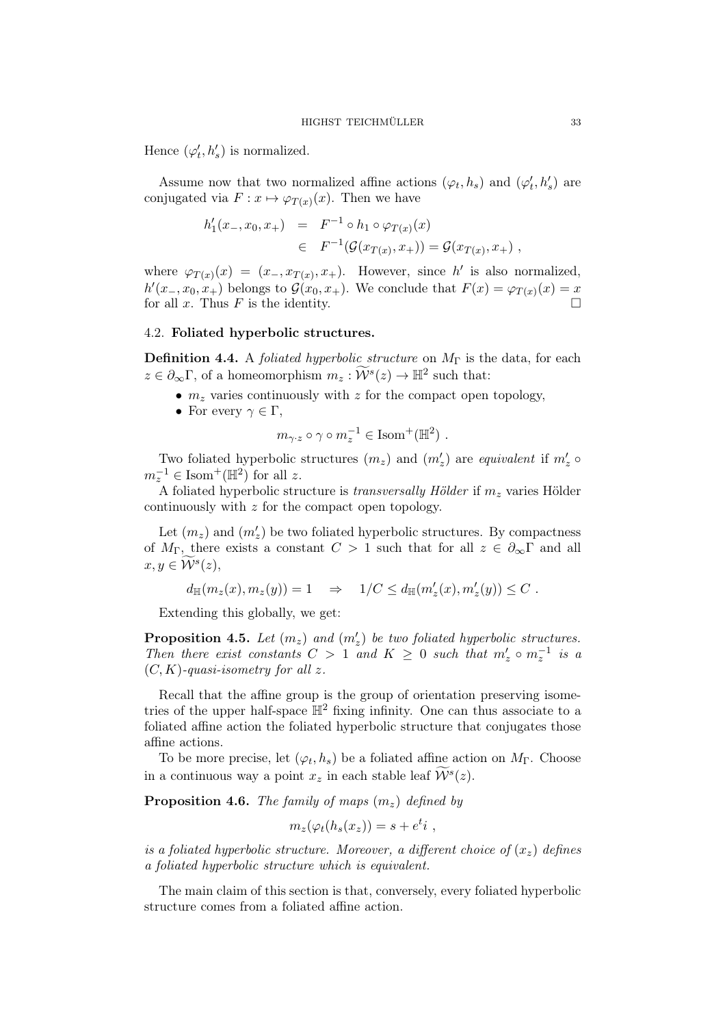Hence  $(\varphi'_t, h'_s)$  is normalized.

Assume now that two normalized affine actions  $(\varphi_t, h_s)$  and  $(\varphi'_t, h'_s)$  are conjugated via  $F: x \mapsto \varphi_{T(x)}(x)$ . Then we have

$$
h'_1(x_-, x_0, x_+) = F^{-1} \circ h_1 \circ \varphi_{T(x)}(x)
$$
  

$$
\in F^{-1}(\mathcal{G}(x_{T(x)}, x_+)) = \mathcal{G}(x_{T(x)}, x_+),
$$

where  $\varphi_{T(x)}(x) = (x_-, x_{T(x)}, x_+)$ . However, since h' is also normalized,  $h'(x_-,x_0,x_+)$  belongs to  $\mathcal{G}(x_0,x_+)$ . We conclude that  $F(x)=\varphi_{T(x)}(x)=x$ for all x. Thus F is the identity.  $\square$ 

## 4.2. Foliated hyperbolic structures.

**Definition 4.4.** A *foliated hyperbolic structure* on  $M_{\Gamma}$  is the data, for each  $z \in \partial_{\infty} \Gamma$ , of a homeomorphism  $m_z : \widetilde{\mathcal{W}}^s(z) \to \mathbb{H}^2$  such that:

- $m<sub>z</sub>$  varies continuously with z for the compact open topology,
- For every  $\gamma \in \Gamma$ ,

$$
m_{\gamma \cdot z} \circ \gamma \circ m_z^{-1} \in \text{Isom}^+(\mathbb{H}^2)
$$
.

Two foliated hyperbolic structures  $(m_z)$  and  $(m'_z)$  are equivalent if  $m'_z \circ$  $m_z^{-1} \in \text{Isom}^+(\mathbb{H}^2)$  for all z.

A foliated hyperbolic structure is *transversally Hölder* if  $m<sub>z</sub>$  varies Hölder continuously with z for the compact open topology.

Let  $(m_z)$  and  $(m'_z)$  be two foliated hyperbolic structures. By compactness of  $M_{\Gamma}$ , there exists a constant  $C > 1$  such that for all  $z \in \partial_{\infty} \Gamma$  and all  $x, y \in \mathcal{W}^s(z)$ ,

$$
d_{\mathbb{H}}(m_z(x),m_z(y))=1\quad\Rightarrow\quad 1/C\leq d_{\mathbb{H}}(m'_z(x),m'_z(y))\leq C\ .
$$

Extending this globally, we get:

**Proposition 4.5.** Let  $(m_z)$  and  $(m'_z)$  be two foliated hyperbolic structures. Then there exist constants  $C > 1$  and  $K \geq 0$  such that  $m'_z \circ m_z^{-1}$  is a  $(C, K)$ -quasi-isometry for all z.

Recall that the affine group is the group of orientation preserving isometries of the upper half-space  $\mathbb{H}^2$  fixing infinity. One can thus associate to a foliated affine action the foliated hyperbolic structure that conjugates those affine actions.

To be more precise, let  $(\varphi_t, h_s)$  be a foliated affine action on  $M_{\Gamma}$ . Choose in a continuous way a point  $x_z$  in each stable leaf  $\mathcal{W}^s(z)$ .

**Proposition 4.6.** The family of maps  $(m<sub>z</sub>)$  defined by

$$
m_z(\varphi_t(h_s(x_z)) = s + e^t i ,
$$

is a foliated hyperbolic structure. Moreover, a different choice of  $(x<sub>z</sub>)$  defines a foliated hyperbolic structure which is equivalent.

The main claim of this section is that, conversely, every foliated hyperbolic structure comes from a foliated affine action.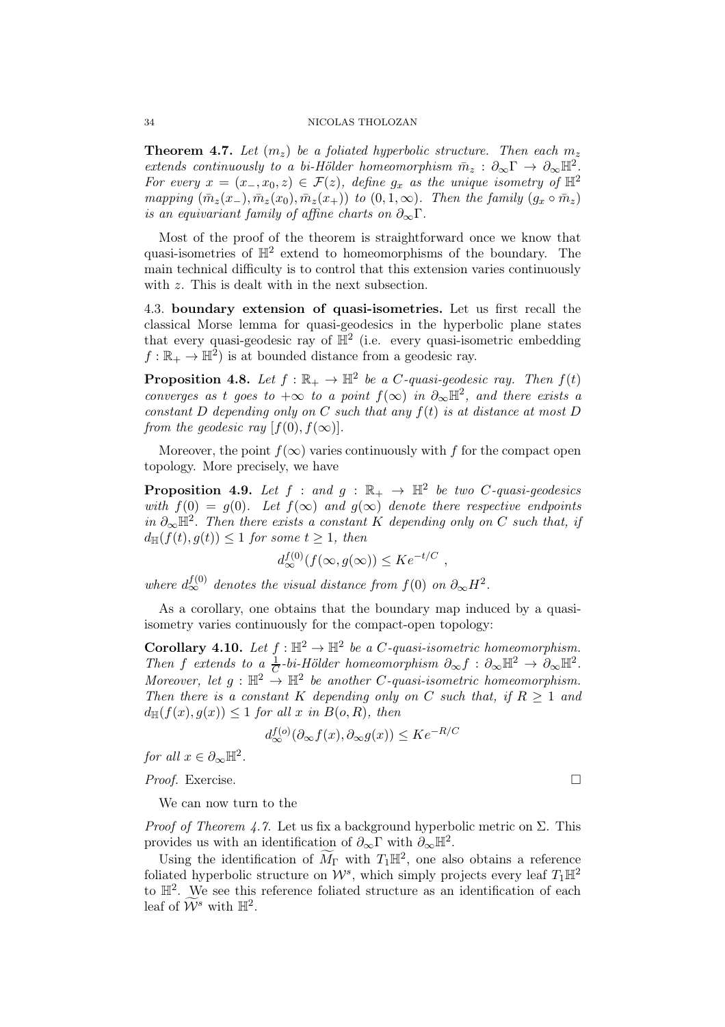**Theorem 4.7.** Let  $(m_z)$  be a foliated hyperbolic structure. Then each  $m_z$ extends continuously to a bi-Hölder homeomorphism  $\bar{m}_z : \partial_{\infty} \Gamma \to \partial_{\infty} \mathbb{H}^2$ . For every  $x = (x_-, x_0, z) \in \mathcal{F}(z)$ , define  $g_x$  as the unique isometry of  $\mathbb{H}^2$ mapping  $(\bar{m}_z(x_-), \bar{m}_z(x_0), \bar{m}_z(x_+))$  to  $(0, 1, \infty)$ . Then the family  $(g_x \circ \bar{m}_z)$ is an equivariant family of affine charts on  $\partial_{\infty} \Gamma$ .

Most of the proof of the theorem is straightforward once we know that quasi-isometries of  $\mathbb{H}^2$  extend to homeomorphisms of the boundary. The main technical difficulty is to control that this extension varies continuously with z. This is dealt with in the next subsection.

4.3. boundary extension of quasi-isometries. Let us first recall the classical Morse lemma for quasi-geodesics in the hyperbolic plane states that every quasi-geodesic ray of  $\mathbb{H}^2$  (i.e. every quasi-isometric embedding  $f:\mathbb{R}_+ \to \mathbb{H}^2$ ) is at bounded distance from a geodesic ray.

**Proposition 4.8.** Let  $f : \mathbb{R}_+ \to \mathbb{H}^2$  be a C-quasi-geodesic ray. Then  $f(t)$ converges as t goes to  $+\infty$  to a point  $f(\infty)$  in  $\partial_{\infty} \mathbb{H}^2$ , and there exists a constant  $D$  depending only on  $C$  such that any  $f(t)$  is at distance at most  $D$ from the geodesic ray  $[f(0), f(\infty)].$ 

Moreover, the point  $f(\infty)$  varies continuously with f for the compact open topology. More precisely, we have

**Proposition 4.9.** Let  $f : and g : \mathbb{R}_+ \to \mathbb{H}^2$  be two C-quasi-geodesics with  $f(0) = g(0)$ . Let  $f(\infty)$  and  $g(\infty)$  denote there respective endpoints in  $\partial_{\infty} \mathbb{H}^2$ . Then there exists a constant K depending only on C such that, if  $d_{\mathbb{H}}(f(t), g(t)) \leq 1$  for some  $t \geq 1$ , then

$$
d_{\infty}^{f(0)}(f(\infty, g(\infty)) \leq Ke^{-t/C} ,
$$

where  $d_{\infty}^{f(0)}$  denotes the visual distance from  $f(0)$  on  $\partial_{\infty}H^2$ .

As a corollary, one obtains that the boundary map induced by a quasiisometry varies continuously for the compact-open topology:

**Corollary 4.10.** Let  $f : \mathbb{H}^2 \to \mathbb{H}^2$  be a C-quasi-isometric homeomorphism. Then f extends to a  $\frac{1}{C}$ -bi-Hölder homeomorphism  $\partial_{\infty} f : \partial_{\infty} \mathbb{H}^2 \to \partial_{\infty} \mathbb{H}^2$ . Moreover, let  $g : \mathbb{H}^2 \to \mathbb{H}^2$  be another C-quasi-isometric homeomorphism. Then there is a constant K depending only on C such that, if  $R > 1$  and  $d_{\mathbb{H}}(f(x), g(x)) \leq 1$  for all x in  $B(o, R)$ , then

$$
d_{\infty}^{f(o)}(\partial_{\infty}f(x), \partial_{\infty}g(x)) \leq Ke^{-R/C}
$$

for all  $x \in \partial_{\infty} \mathbb{H}^2$ .

Proof. Exercise. □

We can now turn to the

*Proof of Theorem 4.7.* Let us fix a background hyperbolic metric on  $\Sigma$ . This provides us with an identification of  $\partial_{\infty} \Gamma$  with  $\partial_{\infty} \mathbb{H}^2$ .

Using the identification of  $\widetilde{M}_{\Gamma}$  with  $T_1\mathbb{H}^2$ , one also obtains a reference foliated hyperbolic structure on  $\mathcal{W}^s$ , which simply projects every leaf  $T_1\mathbb{H}^2$ to  $\mathbb{H}^2$ . We see this reference foliated structure as an identification of each leaf of  $\widetilde{\mathcal{W}}^s$  with  $\mathbb{H}^2$ .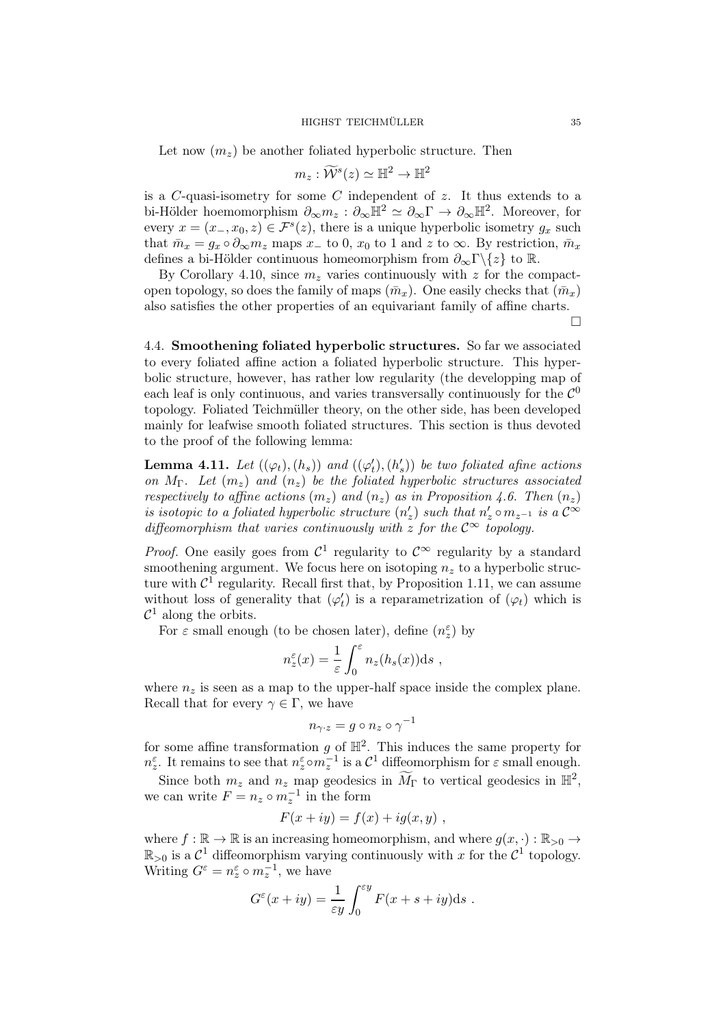Let now  $(m_z)$  be another foliated hyperbolic structure. Then

$$
m_z:\widetilde{{\mathcal W}}^s(z)\simeq {\mathbb H}^2\to {\mathbb H}^2
$$

is a  $C$ -quasi-isometry for some  $C$  independent of  $z$ . It thus extends to a bi-Hölder hoemomorphism  $\partial_{\infty} m_z : \partial_{\infty} \mathbb{H}^2 \simeq \partial_{\infty} \Gamma \to \partial_{\infty} \mathbb{H}^2$ . Moreover, for every  $x = (x_-, x_0, z) \in \mathcal{F}^s(z)$ , there is a unique hyperbolic isometry  $g_x$  such that  $\bar{m}_x = g_x \circ \partial_\infty m_z$  maps  $x_-$  to 0,  $x_0$  to 1 and z to  $\infty$ . By restriction,  $\bar{m}_x$ defines a bi-Hölder continuous homeomorphism from  $\partial_{\infty}\Gamma\backslash\{z\}$  to R.

By Corollary 4.10, since  $m_z$  varies continuously with z for the compactopen topology, so does the family of maps  $(\bar{m}_x)$ . One easily checks that  $(\bar{m}_x)$ also satisfies the other properties of an equivariant family of affine charts.  $\Box$ 

4.4. Smoothening foliated hyperbolic structures. So far we associated to every foliated affine action a foliated hyperbolic structure. This hyperbolic structure, however, has rather low regularity (the developping map of each leaf is only continuous, and varies transversally continuously for the  $\mathcal{C}^0$ topology. Foliated Teichmüller theory, on the other side, has been developed mainly for leafwise smooth foliated structures. This section is thus devoted to the proof of the following lemma:

**Lemma 4.11.** Let  $((\varphi_t), (h_s))$  and  $((\varphi'_t), (h'_s))$  be two foliated afine actions on  $M_{\Gamma}$ . Let  $(m_z)$  and  $(n_z)$  be the foliated hyperbolic structures associated respectively to affine actions  $(m_z)$  and  $(n_z)$  as in Proposition 4.6. Then  $(n_z)$ is isotopic to a foliated hyperbolic structure  $(n'_z)$  such that  $n'_z \circ m_{z^{-1}}$  is a  $\mathcal{C}^{\infty}$ diffeomorphism that varies continuously with z for the  $\mathcal{C}^{\infty}$  topology.

*Proof.* One easily goes from  $\mathcal{C}^1$  regularity to  $\mathcal{C}^{\infty}$  regularity by a standard smoothening argument. We focus here on isotoping  $n_z$  to a hyperbolic structure with  $\mathcal{C}^1$  regularity. Recall first that, by Proposition 1.11, we can assume without loss of generality that  $(\varphi'_t)$  is a reparametrization of  $(\varphi_t)$  which is  $\mathcal{C}^1$  along the orbits.

For  $\varepsilon$  small enough (to be chosen later), define  $(n_z^{\varepsilon})$  by

$$
n_z^{\varepsilon}(x) = \frac{1}{\varepsilon} \int_0^{\varepsilon} n_z(h_s(x)) \mathrm{d} s ,
$$

where  $n_z$  is seen as a map to the upper-half space inside the complex plane. Recall that for every  $\gamma \in \Gamma$ , we have

$$
n_{\gamma \cdot z} = g \circ n_z \circ \gamma^{-1}
$$

for some affine transformation g of  $\mathbb{H}^2$ . This induces the same property for  $n_z^{\varepsilon}$ . It remains to see that  $n_z^{\varepsilon} \circ m_z^{-1}$  is a  $\mathcal{C}^1$  diffeomorphism for  $\varepsilon$  small enough.

Since both  $m_z$  and  $n_z$  map geodesics in  $\widetilde{M}_{\Gamma}$  to vertical geodesics in  $\mathbb{H}^2$ , we can write  $F = n_z \circ m_z^{-1}$  in the form

$$
F(x+iy) = f(x) + ig(x, y) ,
$$

where  $f : \mathbb{R} \to \mathbb{R}$  is an increasing homeomorphism, and where  $g(x, \cdot) : \mathbb{R}_{>0} \to$  $\mathbb{R}_{>0}$  is a  $\mathcal{C}^1$  diffeomorphism varying continuously with x for the  $\mathcal{C}^1$  topology. Writing  $G^{\varepsilon} = n_{z}^{\varepsilon} \circ m_{z}^{-1}$ , we have

$$
G^{\varepsilon}(x+iy) = \frac{1}{\varepsilon y} \int_0^{\varepsilon y} F(x+s+iy) \mathrm{d} s.
$$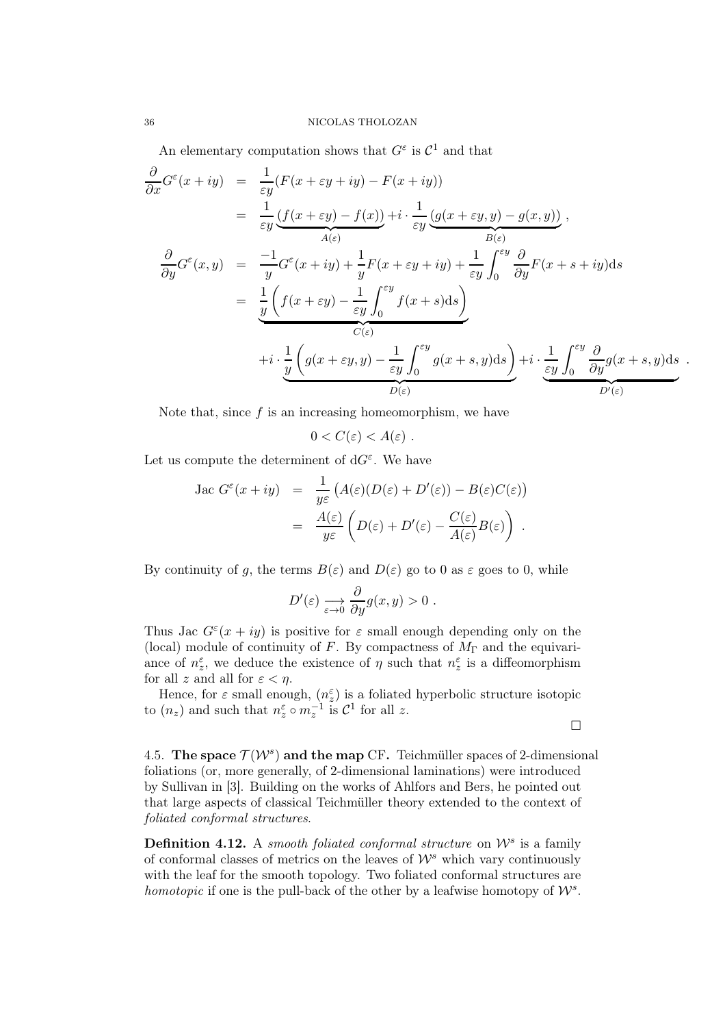An elementary computation shows that  $G^{\varepsilon}$  is  $\mathcal{C}^1$  and that

$$
\frac{\partial}{\partial x} G^{\varepsilon}(x+iy) = \frac{1}{\varepsilon y} (F(x+\varepsilon y+iy) - F(x+iy))
$$
\n
$$
= \frac{1}{\varepsilon y} \frac{(f(x+\varepsilon y) - f(x))}{A(\varepsilon)} + i \cdot \frac{1}{\varepsilon y} \frac{(g(x+\varepsilon y, y) - g(x, y))}{B(\varepsilon)},
$$
\n
$$
\frac{\partial}{\partial y} G^{\varepsilon}(x,y) = \frac{-1}{y} G^{\varepsilon}(x+iy) + \frac{1}{y} F(x+\varepsilon y+iy) + \frac{1}{\varepsilon y} \int_{0}^{\varepsilon y} \frac{\partial}{\partial y} F(x+s+iy) ds
$$
\n
$$
= \frac{1}{y} \left( f(x+\varepsilon y) - \frac{1}{\varepsilon y} \int_{0}^{\varepsilon y} f(x+s) ds \right)
$$
\n
$$
= \frac{1}{y} \left( g(x+\varepsilon y, y) - \frac{1}{\varepsilon y} \int_{0}^{\varepsilon y} g(x+s, y) ds \right) + i \cdot \underbrace{\frac{1}{\varepsilon y} \int_{0}^{\varepsilon y} \frac{\partial}{\partial y} g(x+s, y) ds}_{D(\varepsilon)}.
$$

Note that, since  $f$  is an increasing homeomorphism, we have

$$
0
$$

Let us compute the determinent of  $dG^{\varepsilon}$ . We have

Jac 
$$
G^{\varepsilon}(x+iy) = \frac{1}{y\varepsilon} (A(\varepsilon)(D(\varepsilon) + D'(\varepsilon)) - B(\varepsilon)C(\varepsilon))
$$
  

$$
= \frac{A(\varepsilon)}{y\varepsilon} \left( D(\varepsilon) + D'(\varepsilon) - \frac{C(\varepsilon)}{A(\varepsilon)} B(\varepsilon) \right).
$$

By continuity of g, the terms  $B(\varepsilon)$  and  $D(\varepsilon)$  go to 0 as  $\varepsilon$  goes to 0, while

$$
D'(\varepsilon) \xrightarrow[\varepsilon \to 0]{} \frac{\partial}{\partial y} g(x, y) > 0.
$$

Thus Jac  $G^{\varepsilon}(x+iy)$  is positive for  $\varepsilon$  small enough depending only on the (local) module of continuity of F. By compactness of  $M_{\Gamma}$  and the equivariance of  $n_{z}^{\varepsilon}$ , we deduce the existence of  $\eta$  such that  $n_{z}^{\varepsilon}$  is a diffeomorphism for all z and all for  $\varepsilon < \eta$ .

Hence, for  $\varepsilon$  small enough,  $(n_{z}^{\varepsilon})$  is a foliated hyperbolic structure isotopic to  $(n_z)$  and such that  $n_z^{\varepsilon} \circ m_z^{-1}$  is  $\mathcal{C}^1$  for all z.

 $\Box$ 

4.5. The space  $\mathcal{T}(W^s)$  and the map CF. Teichmüller spaces of 2-dimensional foliations (or, more generally, of 2-dimensional laminations) were introduced by Sullivan in [3]. Building on the works of Ahlfors and Bers, he pointed out that large aspects of classical Teichmüller theory extended to the context of foliated conformal structures.

**Definition 4.12.** A smooth foliated conformal structure on  $\mathcal{W}^s$  is a family of conformal classes of metrics on the leaves of  $\mathcal{W}^s$  which vary continuously with the leaf for the smooth topology. Two foliated conformal structures are homotopic if one is the pull-back of the other by a leafwise homotopy of  $\mathcal{W}^s$ .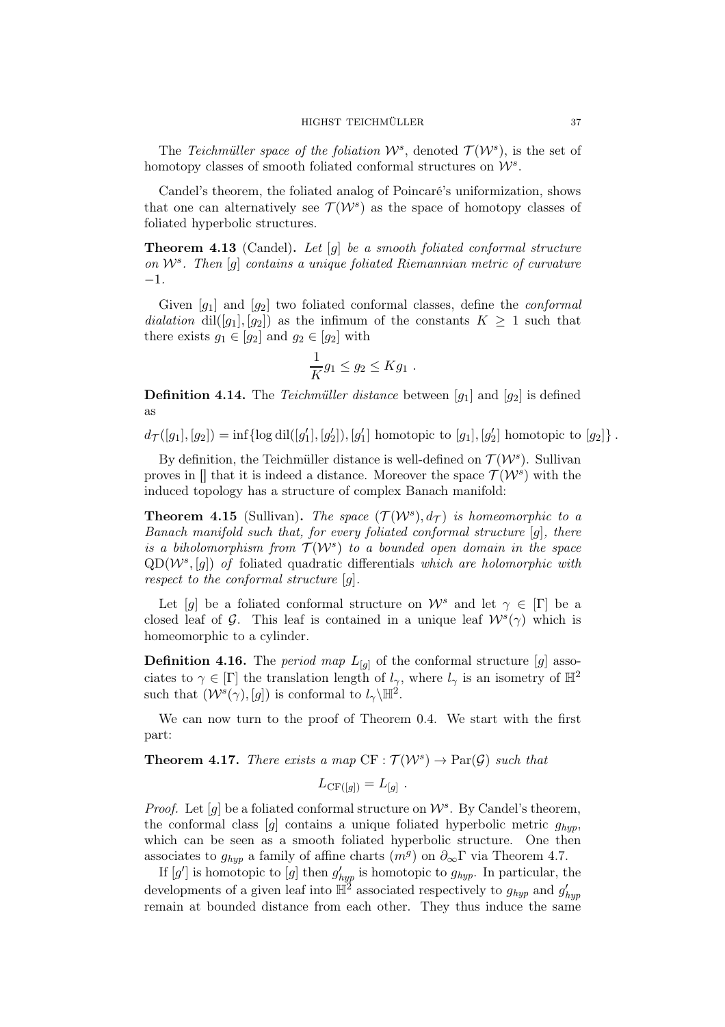The Teichmüller space of the foliation  $W^s$ , denoted  $\mathcal{T}(W^s)$ , is the set of homotopy classes of smooth foliated conformal structures on  $\mathcal{W}^s$ .

Candel's theorem, the foliated analog of Poincaré's uniformization, shows that one can alternatively see  $\mathcal{T}(\mathcal{W}^s)$  as the space of homotopy classes of foliated hyperbolic structures.

Theorem 4.13 (Candel). Let [g] be a smooth foliated conformal structure on W<sup>s</sup> . Then [g] contains a unique foliated Riemannian metric of curvature −1.

Given  $[g_1]$  and  $[g_2]$  two foliated conformal classes, define the *conformal* dialation dil([g<sub>1</sub>], [g<sub>2</sub>]) as the infimum of the constants  $K \geq 1$  such that there exists  $g_1 \in [g_2]$  and  $g_2 \in [g_2]$  with

$$
\frac{1}{K}g_1 \le g_2 \le Kg_1 .
$$

**Definition 4.14.** The Teichmüller distance between  $[q_1]$  and  $[q_2]$  is defined as

 $d_{\mathcal{T}}([g_1], [g_2]) = \inf \{ \log \text{dil}([g'_1], [g'_2]), [g'_1] \text{ homotopic to } [g_1], [g'_2] \text{ homotopic to } [g_2] \}.$ 

By definition, the Teichmüller distance is well-defined on  $\mathcal{T}(\mathcal{W}^s)$ . Sullivan proves in  $[]$  that it is indeed a distance. Moreover the space  $\mathcal{T}(W^s)$  with the induced topology has a structure of complex Banach manifold:

**Theorem 4.15** (Sullivan). The space  $(\mathcal{T}(W^s), d_{\mathcal{T}})$  is homeomorphic to a Banach manifold such that, for every foliated conformal structure  $[q]$ , there is a biholomorphism from  $\mathcal{T}(\mathcal{W}^s)$  to a bounded open domain in the space  $QD(\mathcal{W}^s,[g])$  of foliated quadratic differentials which are holomorphic with respect to the conformal structure  $[g]$ .

Let [g] be a foliated conformal structure on  $\mathcal{W}^s$  and let  $\gamma \in [\Gamma]$  be a closed leaf of G. This leaf is contained in a unique leaf  $W^s(\gamma)$  which is homeomorphic to a cylinder.

**Definition 4.16.** The *period map*  $L_{[q]}$  of the conformal structure  $[g]$  associates to  $\gamma \in [\Gamma]$  the translation length of  $l_{\gamma}$ , where  $l_{\gamma}$  is an isometry of  $\mathbb{H}^2$ such that  $(W^s(\gamma), [g])$  is conformal to  $l_{\gamma} \backslash \mathbb{H}^2$ .

We can now turn to the proof of Theorem 0.4. We start with the first part:

**Theorem 4.17.** There exists a map  $CF : \mathcal{T}(W^s) \to \text{Par}(\mathcal{G})$  such that

$$
L_{\mathrm{CF}([g])} = L_{[g]}.
$$

*Proof.* Let  $[g]$  be a foliated conformal structure on  $W^s$ . By Candel's theorem, the conformal class  $[g]$  contains a unique foliated hyperbolic metric  $g_{huv}$ , which can be seen as a smooth foliated hyperbolic structure. One then associates to  $g_{hyp}$  a family of affine charts  $(m<sup>g</sup>)$  on  $\partial_{\infty}\Gamma$  via Theorem 4.7.

If  $[g']$  is homotopic to  $[g]$  then  $g'_{hyp}$  is homotopic to  $g_{hyp}$ . In particular, the developments of a given leaf into  $\mathbb{H}^2$  associated respectively to  $g_{hyp}$  and  $g'_{hyp}$ remain at bounded distance from each other. They thus induce the same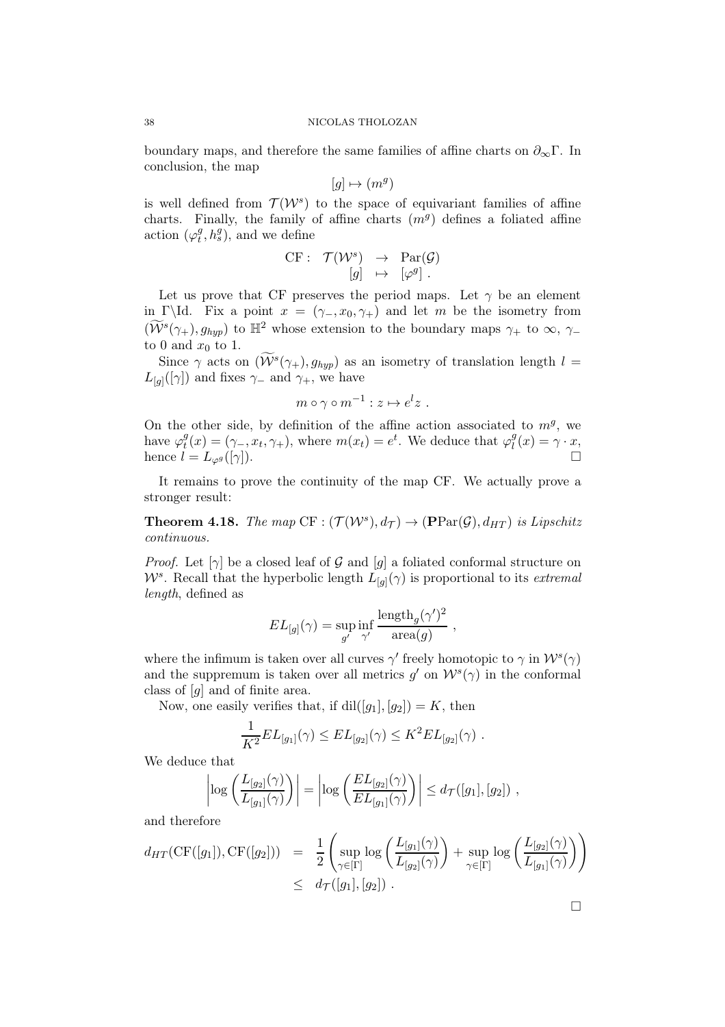boundary maps, and therefore the same families of affine charts on  $\partial_{\infty}\Gamma$ . In conclusion, the map

$$
[g] \mapsto (m^g)
$$

is well defined from  $\mathcal{T}(\mathcal{W}^s)$  to the space of equivariant families of affine charts. Finally, the family of affine charts  $(m<sup>g</sup>)$  defines a foliated affine action  $(\varphi_t^g)$  $(t<sup>g</sup>, h<sup>g</sup>)$ , and we define

$$
\begin{array}{rccc}\n\text{CF}: & \mathcal{T}(\mathcal{W}^s) & \rightarrow & \text{Par}(\mathcal{G}) \\
[g] & \mapsto & [\varphi^g] \, .\n\end{array}
$$

Let us prove that CF preserves the period maps. Let  $\gamma$  be an element in Γ\Id. Fix a point  $x = (\gamma_-, x_0, \gamma_+)$  and let m be the isometry from  $(\widetilde{\mathcal{W}}^{s}(\gamma_{+}), g_{hyp})$  to  $\mathbb{H}^{2}$  whose extension to the boundary maps  $\gamma_{+}$  to  $\infty$ ,  $\gamma_{-}$ to 0 and  $x_0$  to 1.

Since  $\gamma$  acts on  $(\widetilde{\mathcal{W}}^s(\gamma_+), g_{hyp})$  as an isometry of translation length  $l =$  $L_{[g]}([\gamma])$  and fixes  $\gamma_-$  and  $\gamma_+$ , we have

$$
m\circ\gamma\circ m^{-1}:z\mapsto e^l z\ .
$$

On the other side, by definition of the affine action associated to  $m<sup>g</sup>$ , we have  $\varphi_t^g$  $t^g(t) = (\gamma_-, x_t, \gamma_+)$ , where  $m(x_t) = e^t$ . We deduce that  $\varphi_t^g$  $\ell_i^g(x) = \gamma \cdot x,$ hence  $l = L_{\varphi g}([\gamma]).$ 

It remains to prove the continuity of the map CF. We actually prove a stronger result:

**Theorem 4.18.** The map  $CF : (\mathcal{T}(W^s), d_{\mathcal{T}}) \to (\mathbf{PPar}(\mathcal{G}), d_{HT})$  is Lipschitz continuous.

*Proof.* Let  $[\gamma]$  be a closed leaf of G and  $[g]$  a foliated conformal structure on  $W^s$ . Recall that the hyperbolic length  $L_{[g]}(\gamma)$  is proportional to its extremal length, defined as

$$
EL_{[g]}(\gamma) = \sup_{g'} \inf_{\gamma'} \frac{\text{length}_{g}(\gamma')^2}{\text{area}(g)} ,
$$

where the infimum is taken over all curves  $\gamma'$  freely homotopic to  $\gamma$  in  $\mathcal{W}^s(\gamma)$ and the suppremum is taken over all metrics  $g'$  on  $\mathcal{W}^s(\gamma)$  in the conformal class of [g] and of finite area.

Now, one easily verifies that, if  $\text{dil}([g_1], [g_2]) = K$ , then

$$
\frac{1}{K^2} EL_{[g_1]}(\gamma) \leq EL_{[g_2]}(\gamma) \leq K^2 EL_{[g_2]}(\gamma) .
$$

We deduce that

$$
\left|\log\left(\frac{L_{[g_2]}(\gamma)}{L_{[g_1]}(\gamma)}\right)\right| = \left|\log\left(\frac{EL_{[g_2]}(\gamma)}{EL_{[g_1]}(\gamma)}\right)\right| \leq d_{\mathcal{T}}([g_1], [g_2]) ,
$$

and therefore

$$
d_{HT}(\mathrm{CF}([g_1]), \mathrm{CF}([g_2])) = \frac{1}{2} \left( \sup_{\gamma \in [\Gamma]} \log \left( \frac{L_{[g_1]}(\gamma)}{L_{[g_2]}(\gamma)} \right) + \sup_{\gamma \in [\Gamma]} \log \left( \frac{L_{[g_2]}(\gamma)}{L_{[g_1]}(\gamma)} \right) \right) \leq d_{\mathcal{T}}([g_1], [g_2]) .
$$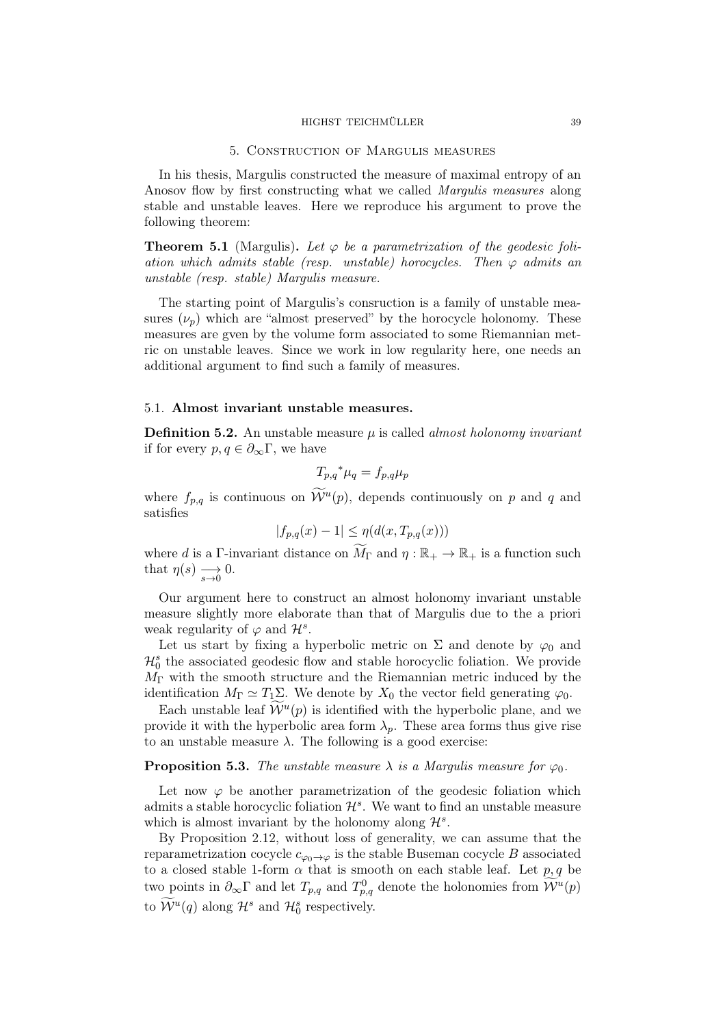#### HIGHST TEICHMÜLLER 39

### 5. Construction of Margulis measures

In his thesis, Margulis constructed the measure of maximal entropy of an Anosov flow by first constructing what we called Margulis measures along stable and unstable leaves. Here we reproduce his argument to prove the following theorem:

**Theorem 5.1** (Margulis). Let  $\varphi$  be a parametrization of the geodesic foliation which admits stable (resp. unstable) horocycles. Then  $\varphi$  admits an unstable (resp. stable) Margulis measure.

The starting point of Margulis's consruction is a family of unstable measures  $(\nu_n)$  which are "almost preserved" by the horocycle holonomy. These measures are gven by the volume form associated to some Riemannian metric on unstable leaves. Since we work in low regularity here, one needs an additional argument to find such a family of measures.

# 5.1. Almost invariant unstable measures.

**Definition 5.2.** An unstable measure  $\mu$  is called *almost holonomy invariant* if for every  $p, q \in \partial_{\infty} \Gamma$ , we have

$$
T_{p,q}^* \mu_q = f_{p,q} \mu_p
$$

where  $f_{p,q}$  is continuous on  $\widetilde{\mathcal{W}}^u(p)$ , depends continuously on p and q and satisfies

$$
|f_{p,q}(x) - 1| \le \eta(d(x, T_{p,q}(x)))
$$

where d is a Γ-invariant distance on  $\widetilde{M}_{\Gamma}$  and  $\eta : \mathbb{R}_+ \to \mathbb{R}_+$  is a function such that  $\eta(s) \longrightarrow_{s\to 0} 0$ .

Our argument here to construct an almost holonomy invariant unstable measure slightly more elaborate than that of Margulis due to the a priori weak regularity of  $\varphi$  and  $\mathcal{H}^s$ .

Let us start by fixing a hyperbolic metric on  $\Sigma$  and denote by  $\varphi_0$  and  $\mathcal{H}_0^s$  the associated geodesic flow and stable horocyclic foliation. We provide  $M_{\Gamma}$  with the smooth structure and the Riemannian metric induced by the identification  $M_{\Gamma} \simeq T_1 \Sigma$ . We denote by  $X_0$  the vector field generating  $\varphi_0$ .

Each unstable leaf  $\widetilde{\mathcal{W}}^u(p)$  is identified with the hyperbolic plane, and we provide it with the hyperbolic area form  $\lambda_p$ . These area forms thus give rise to an unstable measure  $\lambda$ . The following is a good exercise:

# **Proposition 5.3.** The unstable measure  $\lambda$  is a Margulis measure for  $\varphi_0$ .

Let now  $\varphi$  be another parametrization of the geodesic foliation which admits a stable horocyclic foliation  $\mathcal{H}^s$ . We want to find an unstable measure which is almost invariant by the holonomy along  $\mathcal{H}^s$ .

By Proposition 2.12, without loss of generality, we can assume that the reparametrization cocycle  $c_{\varphi_0 \to \varphi}$  is the stable Buseman cocycle B associated to a closed stable 1-form  $\alpha$  that is smooth on each stable leaf. Let  $p, q$  be two points in  $\partial_{\infty} \Gamma$  and let  $T_{p,q}$  and  $T_{p,q}^0$  denote the holonomies from  $\mathcal{W}^u(p)$ to  $\widetilde{\mathcal{W}}^u(q)$  along  $\mathcal{H}^s$  and  $\mathcal{H}^s_0$  respectively.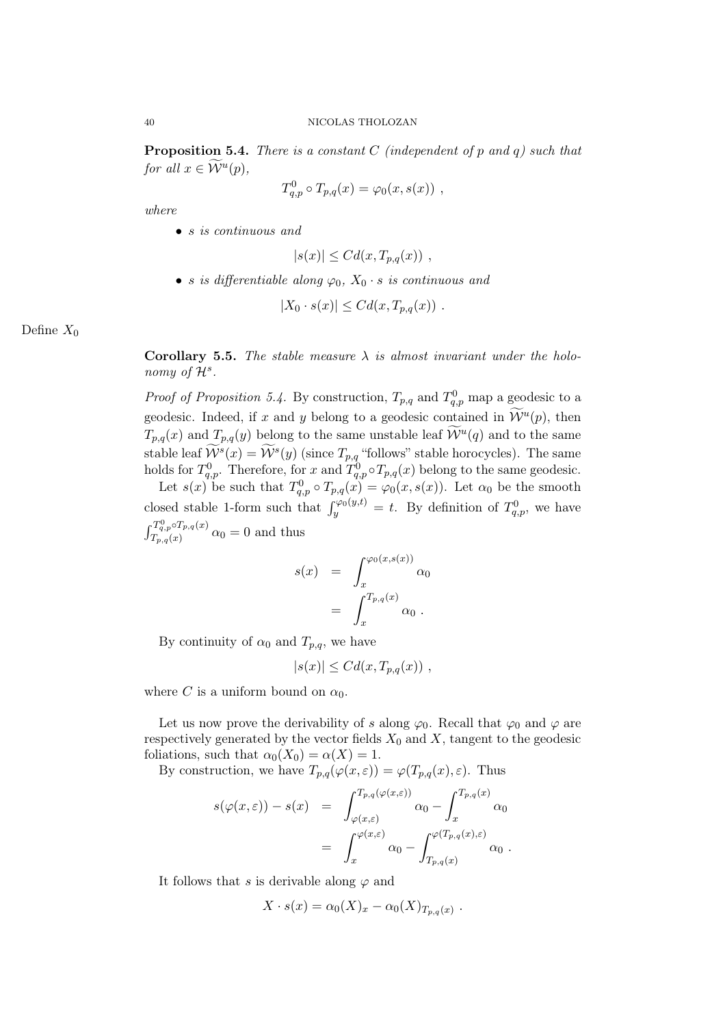**Proposition 5.4.** There is a constant  $C$  (independent of  $p$  and  $q$ ) such that for all  $x \in \widetilde{\mathcal{W}}^u(p)$ ,

$$
T_{q,p}^0 \circ T_{p,q}(x) = \varphi_0(x, s(x)) ,
$$

where

• *s* is continuous and

$$
|s(x)| \leq C d(x, T_{p,q}(x)) ,
$$

• s is differentiable along  $\varphi_0$ ,  $X_0 \cdot s$  is continuous and

$$
|X_0 \cdot s(x)| \leq C d(x, T_{p,q}(x)) .
$$

Define  $X_0$ 

Corollary 5.5. The stable measure  $\lambda$  is almost invariant under the holonomy of  $\mathcal{H}^s$ .

*Proof of Proposition 5.4.* By construction,  $T_{p,q}$  and  $T_{q,p}^0$  map a geodesic to a geodesic. Indeed, if x and y belong to a geodesic contained in  $\mathcal{W}^u(p)$ , then  $T_{p,q}(x)$  and  $T_{p,q}(y)$  belong to the same unstable leaf  $\widetilde{\mathcal{W}}^u(q)$  and to the same stable leaf  $\widetilde{\mathcal{W}}^s(x) = \widetilde{\mathcal{W}}^s(y)$  (since  $T_{p,q}$  "follows" stable horocycles). The same holds for  $T_{q,p}^0$ . Therefore, for x and  $T_{q,p}^0 \circ T_{p,q}(x)$  belong to the same geodesic.

Let  $s(x)$  be such that  $T_{q,p}^0 \circ T_{p,q}(x) = \varphi_0(x, s(x))$ . Let  $\alpha_0$  be the smooth closed stable 1-form such that  $\int_{y}^{\varphi_0(y,t)} = t$ . By definition of  $T_{q,p}^0$ , we have  $\int_{-\infty}^{T_q^0} \int_{-\infty}^{\infty} T_{p,q}(x)$  $T_{p,q}(x)$   $\alpha_0 = 0$  and thus

$$
s(x) = \int_x^{\varphi_0(x,s(x))} \alpha_0
$$
  
= 
$$
\int_x^{T_{p,q}(x)} \alpha_0.
$$

By continuity of  $\alpha_0$  and  $T_{p,q}$ , we have

$$
|s(x)| \leq C d(x, T_{p,q}(x)),
$$

where C is a uniform bound on  $\alpha_0$ .

Let us now prove the derivability of s along  $\varphi_0$ . Recall that  $\varphi_0$  and  $\varphi$  are respectively generated by the vector fields  $X_0$  and  $X$ , tangent to the geodesic foliations, such that  $\alpha_0(X_0) = \alpha(X) = 1$ .

By construction, we have  $T_{p,q}(\varphi(x,\varepsilon)) = \varphi(T_{p,q}(x),\varepsilon)$ . Thus

$$
s(\varphi(x,\varepsilon)) - s(x) = \int_{\varphi(x,\varepsilon)}^{T_{p,q}(\varphi(x,\varepsilon))} \alpha_0 - \int_x^{T_{p,q}(x)} \alpha_0
$$
  
= 
$$
\int_x^{\varphi(x,\varepsilon)} \alpha_0 - \int_{T_{p,q}(x)}^{\varphi(T_{p,q}(x),\varepsilon)} \alpha_0.
$$

It follows that s is derivable along  $\varphi$  and

$$
X \cdot s(x) = \alpha_0(X)_x - \alpha_0(X)_{T_{p,q}(x)}.
$$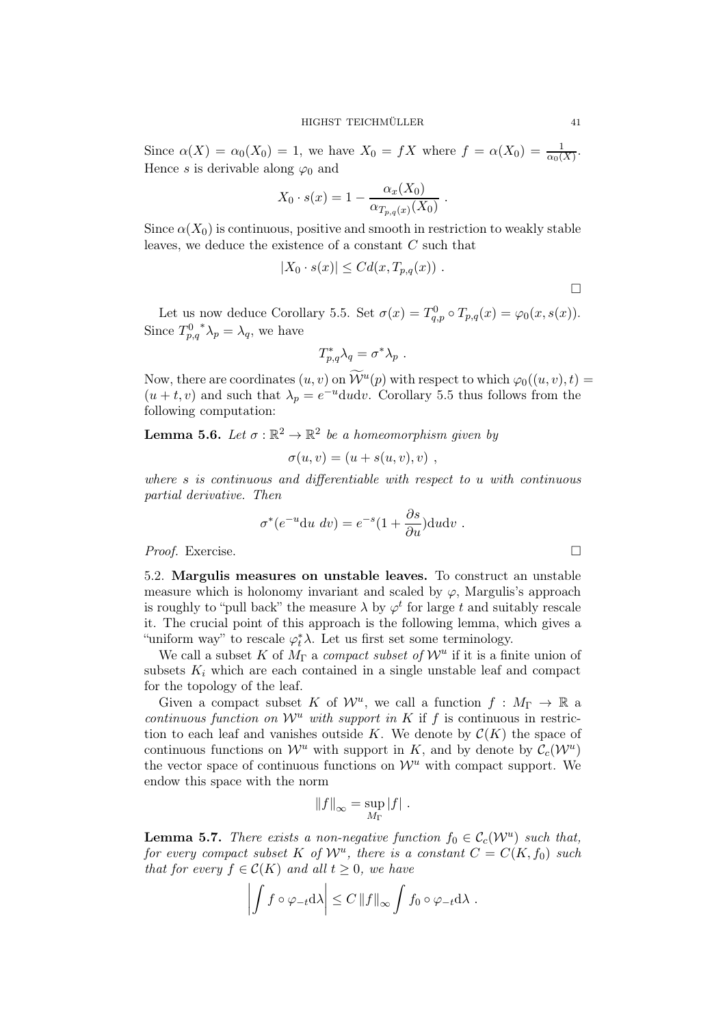Since  $\alpha(X) = \alpha_0(X_0) = 1$ , we have  $X_0 = fX$  where  $f = \alpha(X_0) = \frac{1}{\alpha_0(X)}$ . Hence s is derivable along  $\varphi_0$  and

$$
X_0 \cdot s(x) = 1 - \frac{\alpha_x(X_0)}{\alpha_{T_{p,q}(x)}(X_0)}.
$$

Since  $\alpha(X_0)$  is continuous, positive and smooth in restriction to weakly stable leaves, we deduce the existence of a constant C such that

$$
|X_0 \cdot s(x)| \leq C d(x, T_{p,q}(x)).
$$

Let us now deduce Corollary 5.5. Set  $\sigma(x) = T_{q,p}^0 \circ T_{p,q}(x) = \varphi_0(x, s(x)).$ Since  $T_{p,q}^0$ \* $\lambda_p = \lambda_q$ , we have

$$
T_{p,q}^*\lambda_q=\sigma^*\lambda_p\ .
$$

Now, there are coordinates  $(u, v)$  on  $\mathcal{W}^u(p)$  with respect to which  $\varphi_0((u, v), t) =$  $(u + t, v)$  and such that  $\lambda_p = e^{-u} du dv$ . Corollary 5.5 thus follows from the following computation:

**Lemma 5.6.** Let  $\sigma : \mathbb{R}^2 \to \mathbb{R}^2$  be a homeomorphism given by

$$
\sigma(u,v) = (u + s(u,v),v) ,
$$

where s is continuous and differentiable with respect to u with continuous partial derivative. Then

$$
\sigma^*(e^{-u} \mathrm{d}u \, dv) = e^{-s} (1 + \frac{\partial s}{\partial u}) \mathrm{d}u \mathrm{d}v \; .
$$

*Proof.* Exercise. □

5.2. Margulis measures on unstable leaves. To construct an unstable measure which is holonomy invariant and scaled by  $\varphi$ , Margulis's approach is roughly to "pull back" the measure  $\lambda$  by  $\varphi^t$  for large t and suitably rescale it. The crucial point of this approach is the following lemma, which gives a "uniform way" to rescale  $\varphi_t^* \lambda$ . Let us first set some terminology.

We call a subset K of  $M_{\Gamma}$  a *compact subset of*  $\mathcal{W}^u$  if it is a finite union of subsets  $K_i$  which are each contained in a single unstable leaf and compact for the topology of the leaf.

Given a compact subset K of  $\mathcal{W}^u$ , we call a function  $f : M_{\Gamma} \to \mathbb{R}$  a continuous function on  $\mathcal{W}^u$  with support in K if f is continuous in restriction to each leaf and vanishes outside K. We denote by  $\mathcal{C}(K)$  the space of continuous functions on  $\mathcal{W}^u$  with support in K, and by denote by  $\mathcal{C}_c(\mathcal{W}^u)$ the vector space of continuous functions on  $\mathcal{W}^u$  with compact support. We endow this space with the norm

$$
||f||_{\infty} = \sup_{M_{\Gamma}} |f|.
$$

**Lemma 5.7.** There exists a non-negative function  $f_0 \in C_c(\mathcal{W}^u)$  such that, for every compact subset K of  $\mathcal{W}^u$ , there is a constant  $C = C(K, f_0)$  such that for every  $f \in \mathcal{C}(K)$  and all  $t \geq 0$ , we have

$$
\left| \int f \circ \varphi_{-t} \mathrm{d}\lambda \right| \leq C \left\| f \right\|_{\infty} \int f_0 \circ \varphi_{-t} \mathrm{d}\lambda .
$$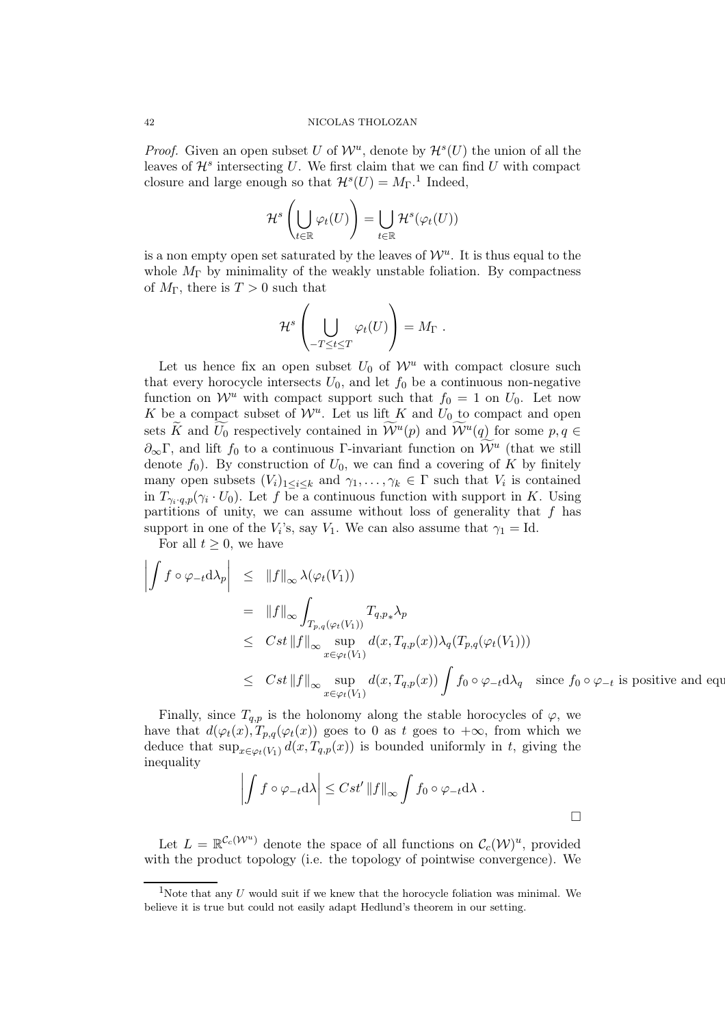*Proof.* Given an open subset U of  $W^u$ , denote by  $\mathcal{H}^s(U)$  the union of all the leaves of  $\mathcal{H}^s$  intersecting U. We first claim that we can find U with compact closure and large enough so that  $\mathcal{H}^s(U) = M_{\Gamma}$ .<sup>1</sup> Indeed,

$$
\mathcal{H}^{s}\left(\bigcup_{t\in \mathbb{R}}\varphi_{t}(U)\right)=\bigcup_{t\in \mathbb{R}}\mathcal{H}^{s}(\varphi_{t}(U))
$$

is a non empty open set saturated by the leaves of  $\mathcal{W}^u$ . It is thus equal to the whole  $M_{\Gamma}$  by minimality of the weakly unstable foliation. By compactness of  $M_{\Gamma}$ , there is  $T > 0$  such that

$$
\mathcal{H}^{s}\left(\bigcup_{-T\leq t\leq T}\varphi_{t}(U)\right)=M_{\Gamma}.
$$

Let us hence fix an open subset  $U_0$  of  $\mathcal{W}^u$  with compact closure such that every horocycle intersects  $U_0$ , and let  $f_0$  be a continuous non-negative function on  $\mathcal{W}^u$  with compact support such that  $f_0 = 1$  on  $U_0$ . Let now K be a compact subset of  $\mathcal{W}^u$ . Let us lift K and  $U_0$  to compact and open sets  $\widetilde{K}$  and  $\widetilde{U}_0$  respectively contained in  $\widetilde{\mathcal{W}}^u(p)$  and  $\widetilde{\mathcal{W}}^u(q)$  for some  $p, q \in$  $\partial_{\infty} \Gamma$ , and lift  $f_0$  to a continuous Γ-invariant function on  $\mathcal{W}^u$  (that we still denote  $f_0$ ). By construction of  $U_0$ , we can find a covering of K by finitely many open subsets  $(V_i)_{1 \leq i \leq k}$  and  $\gamma_1, \ldots, \gamma_k \in \Gamma$  such that  $V_i$  is contained in  $T_{\gamma_i \cdot q, p}(\gamma_i \cdot U_0)$ . Let f be a continuous function with support in K. Using partitions of unity, we can assume without loss of generality that  $f$  has support in one of the  $V_i$ 's, say  $V_1$ . We can also assume that  $\gamma_1 = \text{Id}$ .

For all  $t \geq 0$ , we have

$$
\left| \int f \circ \varphi_{-t} d\lambda_{p} \right| \leq \|f\|_{\infty} \lambda(\varphi_{t}(V_{1}))
$$
\n
$$
= \|f\|_{\infty} \int_{T_{p,q}(\varphi_{t}(V_{1}))} T_{q,p_{*}} \lambda_{p}
$$
\n
$$
\leq Cst \|f\|_{\infty} \sup_{x \in \varphi_{t}(V_{1})} d(x, T_{q,p}(x)) \lambda_{q}(T_{p,q}(\varphi_{t}(V_{1})))
$$
\n
$$
\leq Cst \|f\|_{\infty} \sup_{x \in \varphi_{t}(V_{1})} d(x, T_{q,p}(x)) \int f_{0} \circ \varphi_{-t} d\lambda_{q} \text{ since } f_{0} \circ \varphi_{-t} \text{ is positive and equa.}
$$

Finally, since  $T_{q,p}$  is the holonomy along the stable horocycles of  $\varphi$ , we have that  $d(\varphi_t(x), T_{p,q}(\varphi_t(x)))$  goes to 0 as t goes to  $+\infty$ , from which we deduce that  $\sup_{x \in \varphi_t(V_1)} d(x, T_{q,p}(x))$  is bounded uniformly in t, giving the inequality

$$
\left| \int f \circ \varphi_{-t} \mathrm{d}\lambda \right| \leq Cst' \left\| f \right\|_{\infty} \int f_0 \circ \varphi_{-t} \mathrm{d}\lambda \; .
$$

Let  $L = \mathbb{R}^{\mathcal{C}_c(\mathcal{W}^u)}$  denote the space of all functions on  $\mathcal{C}_c(\mathcal{W})^u$ , provided with the product topology (i.e. the topology of pointwise convergence). We

<sup>&</sup>lt;sup>1</sup>Note that any U would suit if we knew that the horocycle foliation was minimal. We believe it is true but could not easily adapt Hedlund's theorem in our setting.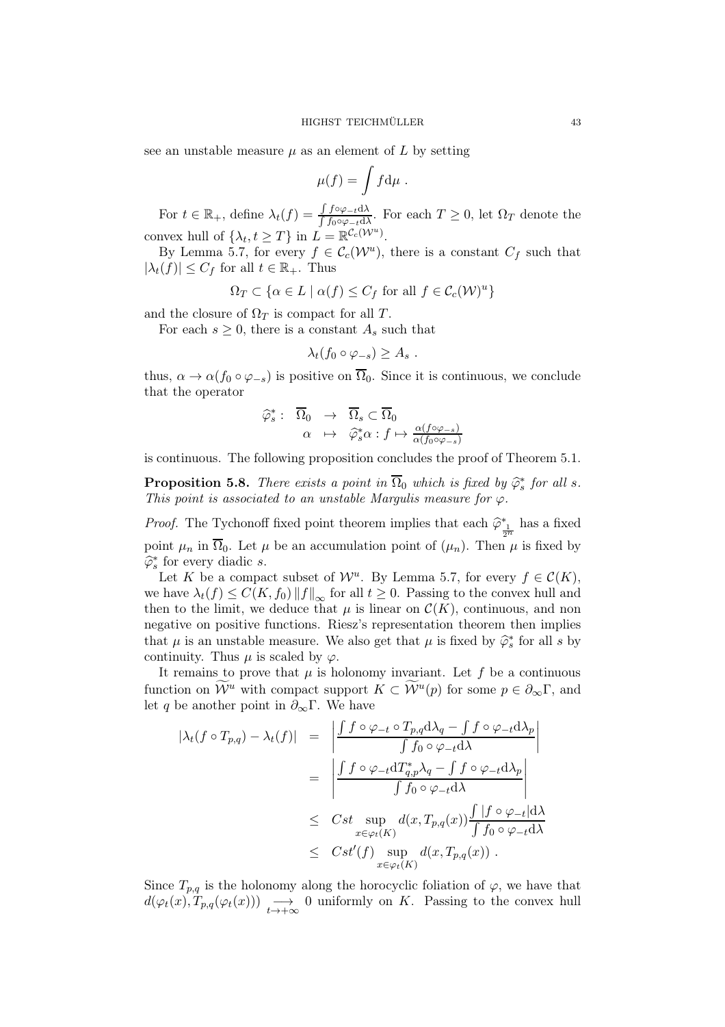see an unstable measure  $\mu$  as an element of  $L$  by setting

$$
\mu(f) = \int f \mathrm{d}\mu \; .
$$

For  $t \in \mathbb{R}_+$ , define  $\lambda_t(f) = \frac{\int f \circ \varphi_{-t} d\lambda}{\int f \circ \varphi_{-t} d\lambda}$ . For each  $T \geq 0$ , let  $\Omega_T$  denote the convex hull of  $\{\lambda_t, t \geq T\}$  in  $L = \mathbb{R}^{\mathcal{C}_c(\mathcal{W}^u)}$ .

By Lemma 5.7, for every  $f \in \mathcal{C}_c(\mathcal{W}^u)$ , there is a constant  $C_f$  such that  $|\lambda_t(f)| \leq C_f$  for all  $t \in \mathbb{R}_+$ . Thus

$$
\Omega_T \subset \{ \alpha \in L \mid \alpha(f) \le C_f \text{ for all } f \in \mathcal{C}_c(\mathcal{W})^u \}
$$

and the closure of  $\Omega_T$  is compact for all T.

For each  $s \geq 0$ , there is a constant  $A_s$  such that

$$
\lambda_t(f_0\circ\varphi_{-s})\geq A_s.
$$

thus,  $\alpha \to \alpha(f_0 \circ \varphi_{-s})$  is positive on  $\overline{\Omega}_0$ . Since it is continuous, we conclude that the operator

$$
\widehat{\varphi}_s^* : \overline{\Omega}_0 \rightarrow \overline{\Omega}_s \subset \overline{\Omega}_0
$$
  

$$
\alpha \mapsto \widehat{\varphi}_s^* \alpha : f \mapsto \frac{\alpha(f \circ \varphi_{-s})}{\alpha(f_0 \circ \varphi_{-s})}
$$

is continuous. The following proposition concludes the proof of Theorem 5.1.

**Proposition 5.8.** There exists a point in  $\overline{\Omega}_0$  which is fixed by  $\hat{\varphi}_s^*$  for all s. This point is associated to an unstable Margulis measure for  $\varphi$ .

*Proof.* The Tychonoff fixed point theorem implies that each  $\hat{\varphi}^*_{\frac{1}{2^n}}$  has a fixed point  $\mu_n$  in  $\overline{\Omega}_0$ . Let  $\mu$  be an accumulation point of  $(\mu_n)$ . Then  $\mu$  is fixed by  $\widehat{\varphi}_s^*$  for every diadic s.

Let K be a compact subset of  $\mathcal{W}^u$ . By Lemma 5.7, for every  $f \in \mathcal{C}(K)$ , we have  $\lambda_t(f) \leq C(K, f_0) ||f||_{\infty}$  for all  $t \geq 0$ . Passing to the convex hull and then to the limit, we deduce that  $\mu$  is linear on  $\mathcal{C}(K)$ , continuous, and non negative on positive functions. Riesz's representation theorem then implies that  $\mu$  is an unstable measure. We also get that  $\mu$  is fixed by  $\hat{\varphi}_s^*$  for all s by continuity. Thus  $\mu$  is scaled by  $\varphi$ .

It remains to prove that  $\mu$  is holonomy invariant. Let  $f$  be a continuous function on  $\widetilde{\mathcal{W}}^u$  with compact support  $K \subset \widetilde{\mathcal{W}}^u(p)$  for some  $p \in \partial_{\infty}\Gamma$ , and let q be another point in  $\partial_{\infty} \Gamma$ . We have

$$
|\lambda_t(f \circ T_{p,q}) - \lambda_t(f)| = \left| \frac{\int f \circ \varphi_{-t} \circ T_{p,q} d\lambda_q - \int f \circ \varphi_{-t} d\lambda_p}{\int f_0 \circ \varphi_{-t} d\lambda} \right|
$$
  

$$
= \left| \frac{\int f \circ \varphi_{-t} dT_{q,p}^* \lambda_q - \int f \circ \varphi_{-t} d\lambda_p}{\int f_0 \circ \varphi_{-t} d\lambda} \right|
$$
  

$$
\leq Cst \sup_{x \in \varphi_t(K)} d(x, T_{p,q}(x)) \frac{\int |f \circ \varphi_{-t}| d\lambda}{\int f_0 \circ \varphi_{-t} d\lambda}
$$
  

$$
\leq Cst'(f) \sup_{x \in \varphi_t(K)} d(x, T_{p,q}(x)) .
$$

Since  $T_{p,q}$  is the holonomy along the horocyclic foliation of  $\varphi$ , we have that  $d(\varphi_t(x), T_{p,q}(\varphi_t(x))) \longrightarrow_{t \to +\infty} 0$  uniformly on K. Passing to the convex hull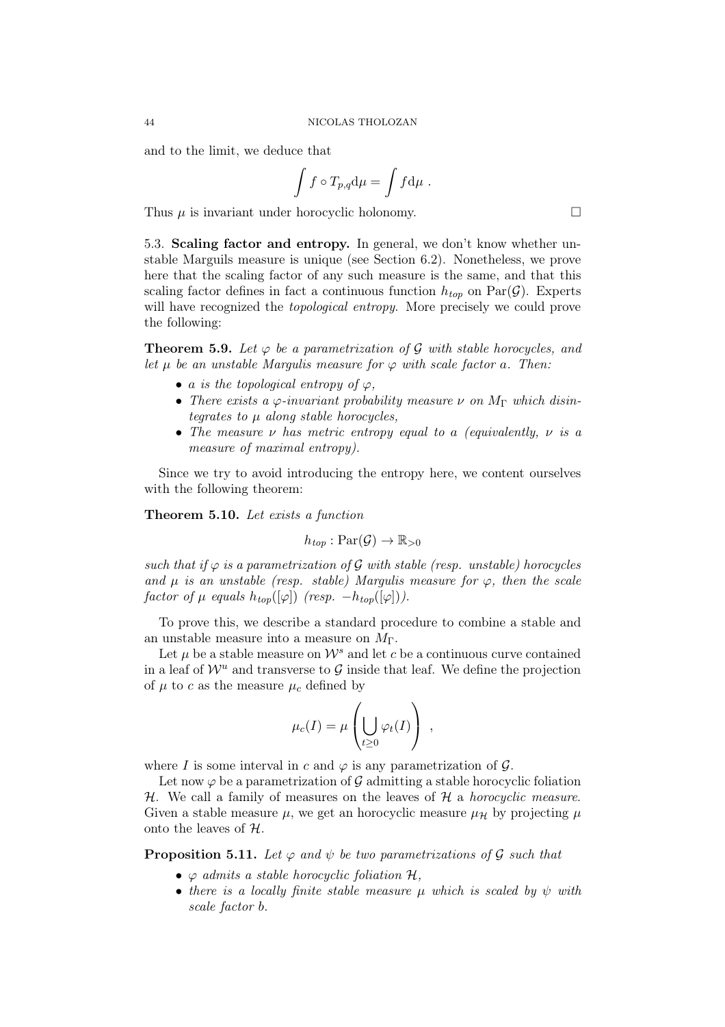and to the limit, we deduce that

$$
\int f \circ T_{p,q} d\mu = \int f d\mu .
$$

Thus  $\mu$  is invariant under horocyclic holonomy.

5.3. Scaling factor and entropy. In general, we don't know whether unstable Marguils measure is unique (see Section 6.2). Nonetheless, we prove here that the scaling factor of any such measure is the same, and that this scaling factor defines in fact a continuous function  $h_{top}$  on  $Par(\mathcal{G})$ . Experts will have recognized the *topological entropy*. More precisely we could prove the following:

**Theorem 5.9.** Let  $\varphi$  be a parametrization of  $\mathcal G$  with stable horocycles, and let  $\mu$  be an unstable Margulis measure for  $\varphi$  with scale factor a. Then:

- a is the topological entropy of  $\varphi$ ,
- There exists a  $\varphi$ -invariant probability measure  $\nu$  on  $M_{\Gamma}$  which disintegrates to  $\mu$  along stable horocycles,
- The measure  $\nu$  has metric entropy equal to a (equivalently,  $\nu$  is a measure of maximal entropy).

Since we try to avoid introducing the entropy here, we content ourselves with the following theorem:

Theorem 5.10. Let exists a function

$$
h_{top} : \mathrm{Par}(\mathcal{G}) \to \mathbb{R}_{>0}
$$

such that if  $\varphi$  is a parametrization of  $\mathcal G$  with stable (resp. unstable) horocycles and  $\mu$  is an unstable (resp. stable) Margulis measure for  $\varphi$ , then the scale factor of  $\mu$  equals  $h_{top}([\varphi])$  (resp.  $-h_{top}([\varphi])$ ).

To prove this, we describe a standard procedure to combine a stable and an unstable measure into a measure on  $M_{\Gamma}$ .

Let  $\mu$  be a stable measure on  $\mathcal{W}^s$  and let c be a continuous curve contained in a leaf of  $\mathcal{W}^u$  and transverse to  $\mathcal G$  inside that leaf. We define the projection of  $\mu$  to c as the measure  $\mu_c$  defined by

$$
\mu_c(I) = \mu\left(\bigcup_{t \geq 0} \varphi_t(I)\right) ,
$$

where I is some interval in c and  $\varphi$  is any parametrization of  $\mathcal{G}$ .

Let now  $\varphi$  be a parametrization of  $\mathcal G$  admitting a stable horocyclic foliation  $H$ . We call a family of measures on the leaves of  $H$  a *horocyclic measure*. Given a stable measure  $\mu$ , we get an horocyclic measure  $\mu$ <sub>H</sub> by projecting  $\mu$ onto the leaves of  $H$ .

**Proposition 5.11.** Let  $\varphi$  and  $\psi$  be two parametrizations of  $\mathcal G$  such that

- $\varphi$  admits a stable horocyclic foliation  $\mathcal{H}$ ,
- there is a locally finite stable measure  $\mu$  which is scaled by  $\psi$  with scale factor b.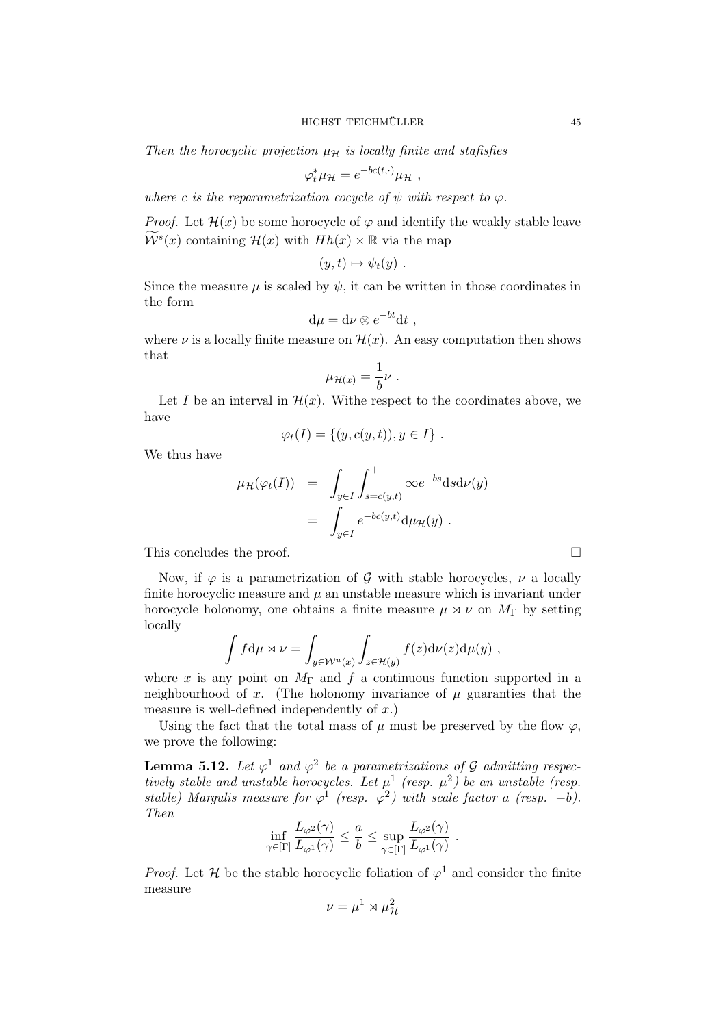Then the horocyclic projection  $\mu_{\mathcal{H}}$  is locally finite and stafisfies

$$
\varphi_t^* \mu_{\mathcal{H}} = e^{-bc(t,\cdot)} \mu_{\mathcal{H}} \ ,
$$

where c is the reparametrization cocycle of  $\psi$  with respect to  $\varphi$ .

*Proof.* Let  $\mathcal{H}(x)$  be some horocycle of  $\varphi$  and identify the weakly stable leave  $\widetilde{\mathcal{W}}^s(x)$  containing  $\mathcal{H}(x)$  with  $Hh(x) \times \mathbb{R}$  via the map

$$
(y,t)\mapsto \psi_t(y) .
$$

Since the measure  $\mu$  is scaled by  $\psi$ , it can be written in those coordinates in the form

$$
\mathrm{d}\mu = \mathrm{d}\nu \otimes e^{-bt} \mathrm{d}t ,
$$

where  $\nu$  is a locally finite measure on  $\mathcal{H}(x)$ . An easy computation then shows that

$$
\mu_{\mathcal{H}(x)} = \frac{1}{b} \nu \; .
$$

Let I be an interval in  $\mathcal{H}(x)$ . Withe respect to the coordinates above, we have

$$
\varphi_t(I) = \{(y, c(y, t)), y \in I\}.
$$

We thus have

$$
\mu_{\mathcal{H}}(\varphi_t(I)) = \int_{y \in I} \int_{s=c(y,t)}^+ \infty e^{-bs} ds d\nu(y)
$$

$$
= \int_{y \in I} e^{-bc(y,t)} d\mu_{\mathcal{H}}(y) .
$$

This concludes the proof.  $\Box$ 

Now, if  $\varphi$  is a parametrization of G with stable horocycles,  $\nu$  a locally finite horocyclic measure and  $\mu$  an unstable measure which is invariant under horocycle holonomy, one obtains a finite measure  $\mu \rtimes \nu$  on  $M_{\Gamma}$  by setting locally

$$
\int f d\mu \rtimes \nu = \int_{y \in \mathcal{W}^u(x)} \int_{z \in \mathcal{H}(y)} f(z) d\nu(z) d\mu(y) ,
$$

where x is any point on  $M_{\Gamma}$  and f a continuous function supported in a neighbourhood of x. (The holonomy invariance of  $\mu$  guaranties that the measure is well-defined independently of  $x$ .)

Using the fact that the total mass of  $\mu$  must be preserved by the flow  $\varphi$ , we prove the following:

**Lemma 5.12.** Let  $\varphi^1$  and  $\varphi^2$  be a parametrizations of G admitting respectively stable and unstable horocycles. Let  $\mu^1$  (resp.  $\mu^2$ ) be an unstable (resp. stable) Margulis measure for  $\varphi^1$  (resp.  $\varphi^2$ ) with scale factor a (resp. -b). Then

$$
\inf_{\gamma \in [\Gamma]} \frac{L_{\varphi^2}(\gamma)}{L_{\varphi^1}(\gamma)} \leq \frac{a}{b} \leq \sup_{\gamma \in [\Gamma]} \frac{L_{\varphi^2}(\gamma)}{L_{\varphi^1}(\gamma)}.
$$

*Proof.* Let H be the stable horocyclic foliation of  $\varphi^1$  and consider the finite measure

$$
\nu = \mu^1 \rtimes \mu^2_{\mathcal{H}}
$$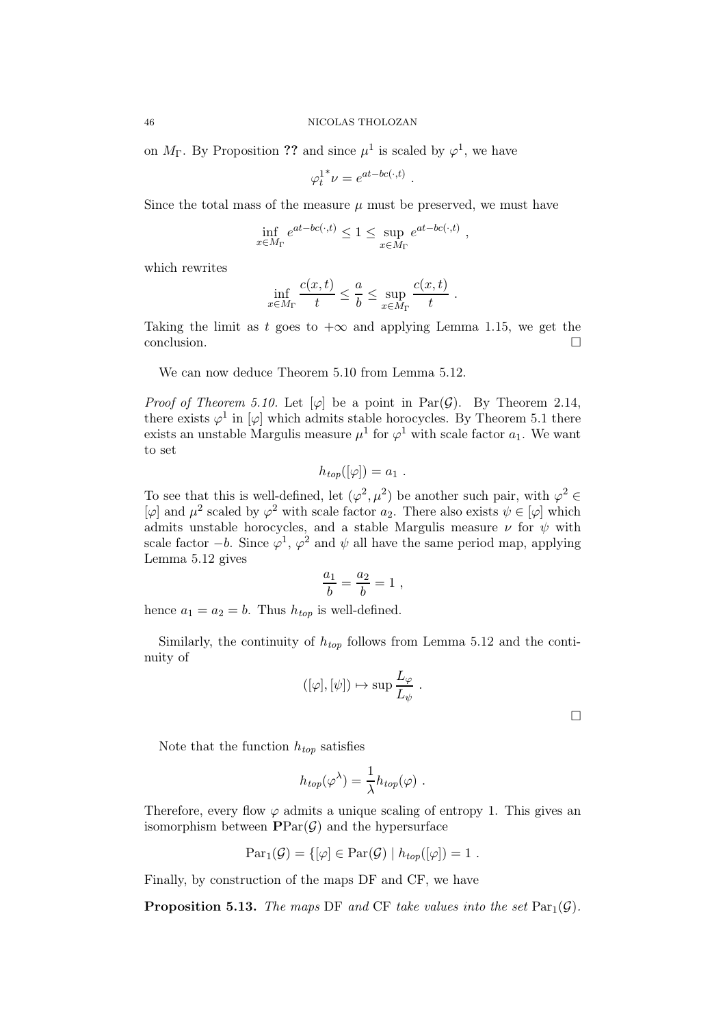on  $M_{\Gamma}$ . By Proposition ?? and since  $\mu^{1}$  is scaled by  $\varphi^{1}$ , we have

$$
\varphi_t^{1^*} \nu = e^{at - bc(\cdot, t)}.
$$

Since the total mass of the measure  $\mu$  must be preserved, we must have

$$
\inf_{x \in M_{\Gamma}} e^{at - bc(\cdot, t)} \le 1 \le \sup_{x \in M_{\Gamma}} e^{at - bc(\cdot, t)}
$$

,

which rewrites

$$
\inf_{x \in M_{\Gamma}} \frac{c(x,t)}{t} \leq \frac{a}{b} \leq \sup_{x \in M_{\Gamma}} \frac{c(x,t)}{t} .
$$

Taking the limit as t goes to  $+\infty$  and applying Lemma 1.15, we get the conclusion.

We can now deduce Theorem 5.10 from Lemma 5.12.

*Proof of Theorem 5.10.* Let  $[\varphi]$  be a point in Par $(\mathcal{G})$ . By Theorem 2.14, there exists  $\varphi^1$  in  $[\varphi]$  which admits stable horocycles. By Theorem 5.1 there exists an unstable Margulis measure  $\mu^1$  for  $\varphi^1$  with scale factor  $a_1$ . We want to set

$$
h_{top}([\varphi]) = a_1 \; .
$$

To see that this is well-defined, let  $(\varphi^2, \mu^2)$  be another such pair, with  $\varphi^2 \in$  $[\varphi]$  and  $\mu^2$  scaled by  $\varphi^2$  with scale factor  $a_2$ . There also exists  $\psi \in [\varphi]$  which admits unstable horocycles, and a stable Margulis measure  $\nu$  for  $\psi$  with scale factor  $-b$ . Since  $\varphi^1$ ,  $\varphi^2$  and  $\psi$  all have the same period map, applying Lemma 5.12 gives

$$
\frac{a_1}{b} = \frac{a_2}{b} = 1 \; ,
$$

hence  $a_1 = a_2 = b$ . Thus  $h_{top}$  is well-defined.

Similarly, the continuity of  $h_{top}$  follows from Lemma 5.12 and the continuity of

$$
([\varphi], [\psi]) \mapsto \sup \frac{L_{\varphi}}{L_{\psi}}.
$$

 $\Box$ 

Note that the function  $h_{top}$  satisfies

$$
h_{top}(\varphi^{\lambda}) = \frac{1}{\lambda} h_{top}(\varphi) .
$$

Therefore, every flow  $\varphi$  admits a unique scaling of entropy 1. This gives an isomorphism between  $\text{PPar}(\mathcal{G})$  and the hypersurface

$$
Par_{1}(\mathcal{G}) = \{ [\varphi] \in Par(\mathcal{G}) \mid h_{top}([\varphi]) = 1 \; .
$$

Finally, by construction of the maps DF and CF, we have

**Proposition 5.13.** The maps DF and CF take values into the set  $\text{Par}_1(\mathcal{G})$ .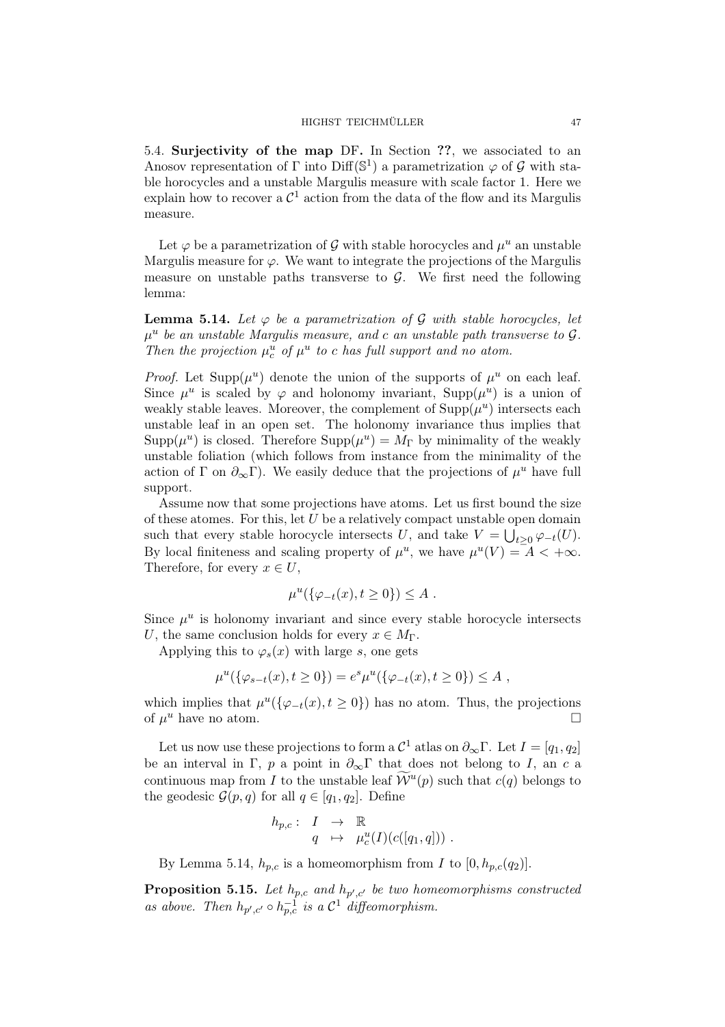5.4. Surjectivity of the map DF. In Section ??, we associated to an Anosov representation of  $\Gamma$  into  $\text{Diff}(\mathbb{S}^1)$  a parametrization  $\varphi$  of  $\mathcal G$  with stable horocycles and a unstable Margulis measure with scale factor 1. Here we explain how to recover a  $\mathcal{C}^1$  action from the data of the flow and its Margulis measure.

Let  $\varphi$  be a parametrization of  $\mathcal G$  with stable horocycles and  $\mu^u$  an unstable Margulis measure for  $\varphi$ . We want to integrate the projections of the Margulis measure on unstable paths transverse to  $\mathcal{G}$ . We first need the following lemma:

**Lemma 5.14.** Let  $\varphi$  be a parametrization of  $\mathcal G$  with stable horocycles, let  $\mu^u$  be an unstable Margulis measure, and c an unstable path transverse to  $\mathcal{G}$ . Then the projection  $\mu_c^u$  of  $\mu^u$  to c has full support and no atom.

*Proof.* Let Supp $(\mu^u)$  denote the union of the supports of  $\mu^u$  on each leaf. Since  $\mu^u$  is scaled by  $\varphi$  and holonomy invariant,  $\text{Supp}(\mu^u)$  is a union of weakly stable leaves. Moreover, the complement of  $\text{Supp}(\mu^u)$  intersects each unstable leaf in an open set. The holonomy invariance thus implies that  $\text{Supp}(\mu^u)$  is closed. Therefore  $\text{Supp}(\mu^u) = M_\Gamma$  by minimality of the weakly unstable foliation (which follows from instance from the minimality of the action of  $\Gamma$  on  $\partial_{\infty}\Gamma$ ). We easily deduce that the projections of  $\mu^u$  have full support.

Assume now that some projections have atoms. Let us first bound the size of these atomes. For this, let  $U$  be a relatively compact unstable open domain such that every stable horocycle intersects U, and take  $V = \bigcup_{t \geq 0} \varphi_{-t}(U)$ . By local finiteness and scaling property of  $\mu^u$ , we have  $\mu^u(V) = A < +\infty$ . Therefore, for every  $x \in U$ ,

$$
\mu^u(\{\varphi_{-t}(x), t \ge 0\}) \le A .
$$

Since  $\mu^u$  is holonomy invariant and since every stable horocycle intersects U, the same conclusion holds for every  $x \in M_{\Gamma}$ .

Applying this to  $\varphi_s(x)$  with large s, one gets

$$
\mu^u(\{\varphi_{s-t}(x), t \ge 0\}) = e^s \mu^u(\{\varphi_{-t}(x), t \ge 0\}) \le A ,
$$

which implies that  $\mu^u(\{\varphi_{-t}(x), t \ge 0\})$  has no atom. Thus, the projections of  $\mu^u$  have no atom.

Let us now use these projections to form a  $\mathcal{C}^1$  atlas on  $\partial_{\infty} \Gamma$ . Let  $I = [q_1, q_2]$ be an interval in Γ, p a point in  $\partial_{\infty} \Gamma$  that does not belong to I, an c a continuous map from I to the unstable leaf  $\widetilde{\mathcal{W}}^u(p)$  such that  $c(q)$  belongs to the geodesic  $\mathcal{G}(p,q)$  for all  $q \in [q_1,q_2]$ . Define

$$
h_{p,c}: I \rightarrow \mathbb{R}
$$
  
  $q \mapsto \mu_c^u(I)(c([q_1, q]))$ .

By Lemma 5.14,  $h_{p,c}$  is a homeomorphism from I to  $[0, h_{p,c}(q_2)]$ .

**Proposition 5.15.** Let  $h_{p,c}$  and  $h_{p',c'}$  be two homeomorphisms constructed as above. Then  $h_{p',c'} \circ h_{p,c}^{-1}$  is a  $\mathcal{C}^1$  diffeomorphism.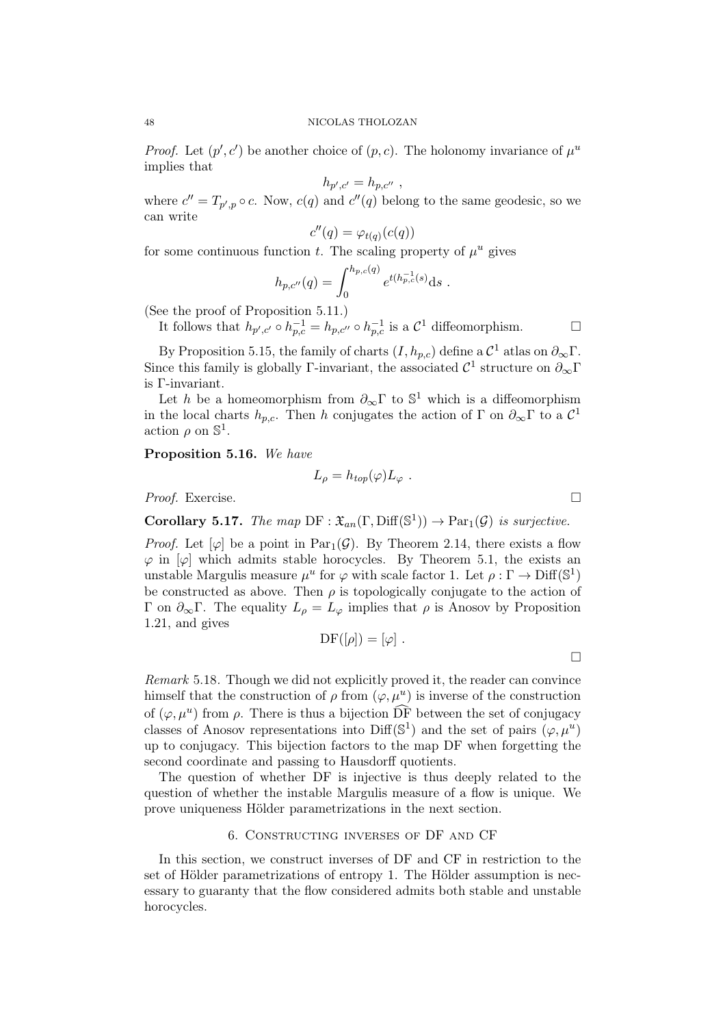*Proof.* Let  $(p', c')$  be another choice of  $(p, c)$ . The holonomy invariance of  $\mu^u$ implies that

$$
h_{p',c'}=h_{p,c''}
$$
,

where  $c'' = T_{p',p} \circ c$ . Now,  $c(q)$  and  $c''(q)$  belong to the same geodesic, so we can write

$$
c''(q) = \varphi_{t(q)}(c(q))
$$

for some continuous function t. The scaling property of  $\mu^u$  gives

$$
h_{p,c''}(q) = \int_0^{h_{p,c}(q)} e^{t(h_{p,c}^{-1}(s)} ds .
$$

(See the proof of Proposition 5.11.)

It follows that  $h_{p',c'} \circ h_{p,c}^{-1} = h_{p,c''} \circ h_{p,c}^{-1}$  is a  $\mathcal{C}^1$  diffeomorphism.

By Proposition 5.15, the family of charts  $(I, h_{p,c})$  define a  $\mathcal{C}^1$  atlas on  $\partial_{\infty}\Gamma$ . Since this family is globally  $\Gamma$ -invariant, the associated  $\mathcal{C}^1$  structure on  $\partial_{\infty}\Gamma$ is Γ-invariant.

Let h be a homeomorphism from  $\partial_{\infty} \Gamma$  to  $\mathbb{S}^1$  which is a diffeomorphism in the local charts  $h_{p,c}$ . Then h conjugates the action of  $\Gamma$  on  $\partial_{\infty}\Gamma$  to a  $\mathcal{C}^1$ action  $\rho$  on  $\mathbb{S}^1$ .

Proposition 5.16. We have

$$
L_{\rho} = h_{top}(\varphi) L_{\varphi} .
$$

Proof. Exercise. □

**Corollary 5.17.** The map  $DF : \mathfrak{X}_{an}(\Gamma, \text{Diff}(\mathbb{S}^1)) \to \text{Par}_1(\mathcal{G})$  is surjective.

*Proof.* Let  $[\varphi]$  be a point in Par<sub>1</sub>( $\mathcal{G}$ ). By Theorem 2.14, there exists a flow  $\varphi$  in  $[\varphi]$  which admits stable horocycles. By Theorem 5.1, the exists an unstable Margulis measure  $\mu^u$  for  $\varphi$  with scale factor 1. Let  $\rho : \Gamma \to \text{Diff}(\mathbb{S}^1)$ be constructed as above. Then  $\rho$  is topologically conjugate to the action of Γ on  $\partial_{\infty}$ Γ. The equality  $L_{\rho} = L_{\varphi}$  implies that  $\rho$  is Anosov by Proposition 1.21, and gives

$$
\mathrm{DF}([\rho]) = [\varphi] .
$$

Remark 5.18. Though we did not explicitly proved it, the reader can convince himself that the construction of  $\rho$  from  $(\varphi, \mu^u)$  is inverse of the construction of  $(\varphi, \mu^u)$  from  $\rho$ . There is thus a bijection  $\overrightarrow{DF}$  between the set of conjugacy classes of Anosov representations into Diff( $\mathbb{S}^1$ ) and the set of pairs  $(\varphi, \mu^u)$ up to conjugacy. This bijection factors to the map DF when forgetting the second coordinate and passing to Hausdorff quotients.

The question of whether DF is injective is thus deeply related to the question of whether the instable Margulis measure of a flow is unique. We prove uniqueness Hölder parametrizations in the next section.

# 6. Constructing inverses of DF and CF

In this section, we construct inverses of DF and CF in restriction to the set of Hölder parametrizations of entropy 1. The Hölder assumption is necessary to guaranty that the flow considered admits both stable and unstable horocycles.

 $\Box$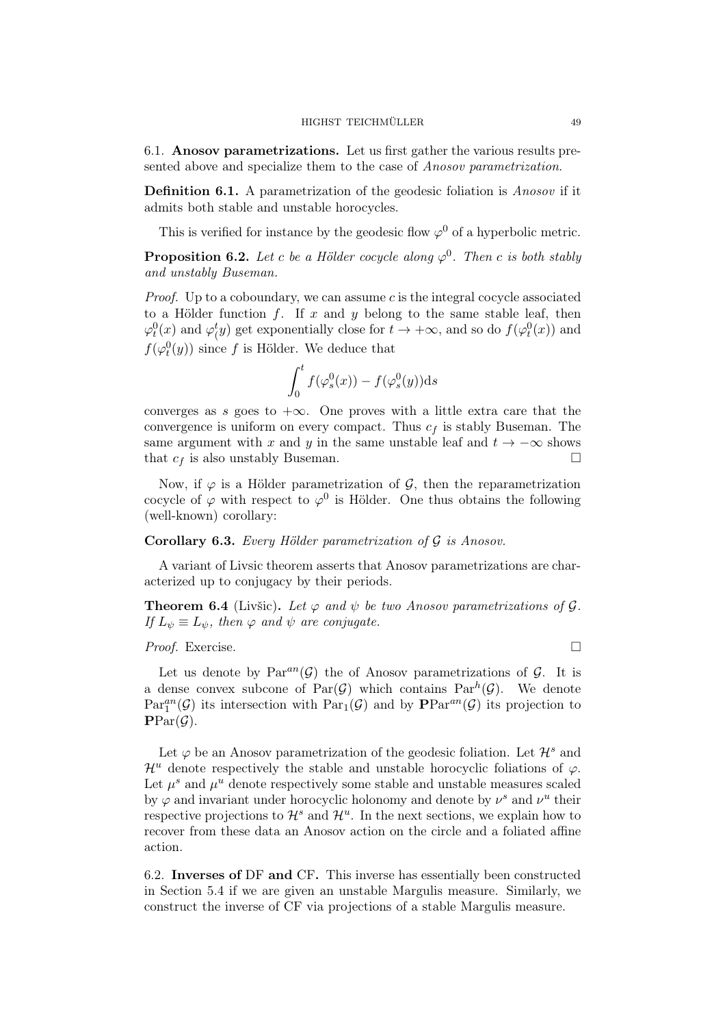6.1. Anosov parametrizations. Let us first gather the various results presented above and specialize them to the case of Anosov parametrization.

Definition 6.1. A parametrization of the geodesic foliation is *Anosov* if it admits both stable and unstable horocycles.

This is verified for instance by the geodesic flow  $\varphi^0$  of a hyperbolic metric.

**Proposition 6.2.** Let c be a Hölder cocycle along  $\varphi^0$ . Then c is both stably and unstably Buseman.

*Proof.* Up to a coboundary, we can assume c is the integral cocycle associated to a Hölder function  $f$ . If  $x$  and  $y$  belong to the same stable leaf, then  $\varphi_t^0(x)$  and  $\varphi_t^t(y)$  get exponentially close for  $t \to +\infty$ , and so do  $f(\varphi_t^0(x))$  and  $f(\varphi_t^0(y))$  since f is Hölder. We deduce that

$$
\int_0^t f(\varphi_s^0(x)) - f(\varphi_s^0(y)) \mathrm{d} s
$$

converges as s goes to  $+\infty$ . One proves with a little extra care that the convergence is uniform on every compact. Thus  $c_f$  is stably Buseman. The same argument with x and y in the same unstable leaf and  $t \to -\infty$  shows that  $c_f$  is also unstably Buseman.

Now, if  $\varphi$  is a Hölder parametrization of  $\mathcal{G}$ , then the reparametrization cocycle of  $\varphi$  with respect to  $\varphi^0$  is Hölder. One thus obtains the following (well-known) corollary:

# **Corollary 6.3.** Every Hölder parametrization of  $\mathcal G$  is Anosov.

A variant of Livsic theorem asserts that Anosov parametrizations are characterized up to conjugacy by their periods.

**Theorem 6.4** (Livšic). Let  $\varphi$  and  $\psi$  be two Anosov parametrizations of  $\mathcal{G}$ . If  $L_{\psi} \equiv L_{\psi}$ , then  $\varphi$  and  $\psi$  are conjugate.

## Proof. Exercise. □

Let us denote by  $Par^{an}(\mathcal{G})$  the of Anosov parametrizations of  $\mathcal{G}$ . It is a dense convex subcone of  $Par(\mathcal{G})$  which contains  $Par^h(\mathcal{G})$ . We denote  $Par_1^{an}(\mathcal{G})$  its intersection with  $Par_1(\mathcal{G})$  and by  $\mathbf{PPar}^{an}(\mathcal{G})$  its projection to  $\text{PPar}(\mathcal{G})$ .

Let  $\varphi$  be an Anosov parametrization of the geodesic foliation. Let  $\mathcal{H}^s$  and  $\mathcal{H}^u$  denote respectively the stable and unstable horocyclic foliations of  $\varphi$ . Let  $\mu^s$  and  $\mu^u$  denote respectively some stable and unstable measures scaled by  $\varphi$  and invariant under horocyclic holonomy and denote by  $\nu^s$  and  $\nu^u$  their respective projections to  $\mathcal{H}^s$  and  $\mathcal{H}^u$ . In the next sections, we explain how to recover from these data an Anosov action on the circle and a foliated affine action.

6.2. Inverses of DF and CF. This inverse has essentially been constructed in Section 5.4 if we are given an unstable Margulis measure. Similarly, we construct the inverse of CF via projections of a stable Margulis measure.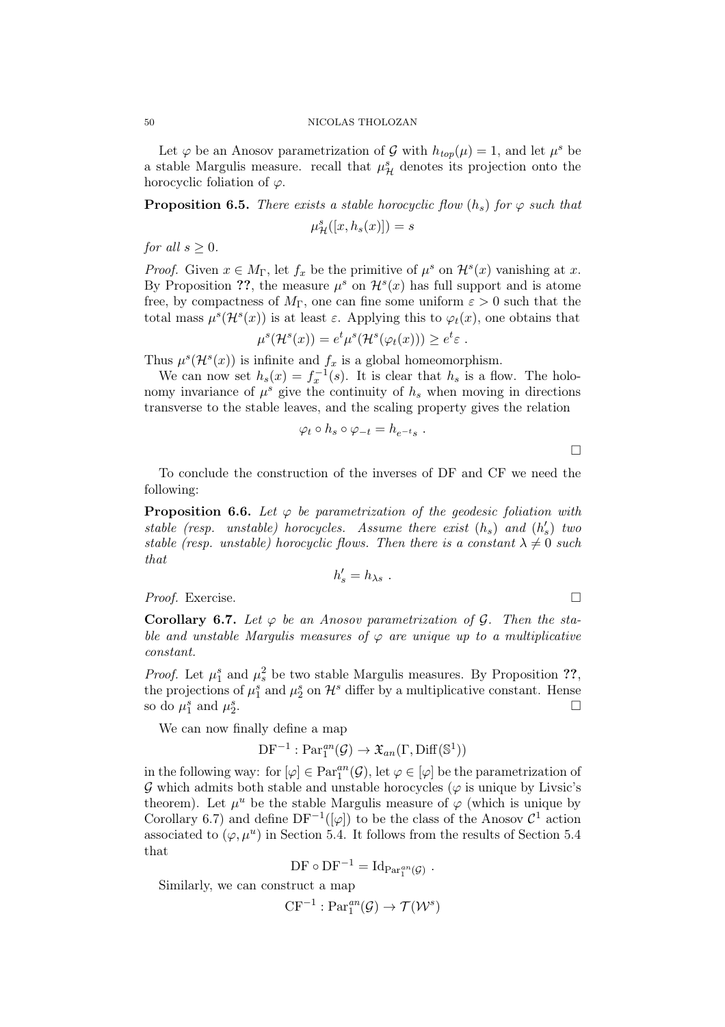Let  $\varphi$  be an Anosov parametrization of  $\mathcal G$  with  $h_{top}(\mu) = 1$ , and let  $\mu^s$  be a stable Margulis measure. recall that  $\mu^s_{\mathcal{H}}$  denotes its projection onto the horocyclic foliation of  $\varphi$ .

**Proposition 6.5.** There exists a stable horocyclic flow  $(h_s)$  for  $\varphi$  such that

$$
\mu^s_{\mathcal{H}}([x, h_s(x)]) = s
$$

for all  $s > 0$ .

*Proof.* Given  $x \in M_{\Gamma}$ , let  $f_x$  be the primitive of  $\mu^s$  on  $\mathcal{H}^s(x)$  vanishing at x. By Proposition ??, the measure  $\mu^s$  on  $\mathcal{H}^s(x)$  has full support and is atome free, by compactness of  $M_{\Gamma}$ , one can fine some uniform  $\varepsilon > 0$  such that the total mass  $\mu^s(\mathcal{H}^s(x))$  is at least  $\varepsilon$ . Applying this to  $\varphi_t(x)$ , one obtains that

$$
\mu^s(\mathcal{H}^s(x)) = e^t \mu^s(\mathcal{H}^s(\varphi_t(x))) \geq e^t \varepsilon.
$$

Thus  $\mu^{s}(\mathcal{H}^{s}(x))$  is infinite and  $f_{x}$  is a global homeomorphism.

We can now set  $h_s(x) = f_x^{-1}(s)$ . It is clear that  $h_s$  is a flow. The holonomy invariance of  $\mu^s$  give the continuity of  $h_s$  when moving in directions transverse to the stable leaves, and the scaling property gives the relation

$$
\varphi_t \circ h_s \circ \varphi_{-t} = h_{e^{-t}s} .
$$

To conclude the construction of the inverses of DF and CF we need the following:

**Proposition 6.6.** Let  $\varphi$  be parametrization of the geodesic foliation with stable (resp. unstable) horocycles. Assume there exist  $(h_s)$  and  $(h'_s)$  two stable (resp. unstable) horocyclic flows. Then there is a constant  $\lambda \neq 0$  such that

$$
h'_s = h_{\lambda s} .
$$

*Proof.* Exercise.  $\Box$ 

**Corollary 6.7.** Let  $\varphi$  be an Anosov parametrization of  $\mathcal{G}$ . Then the stable and unstable Margulis measures of  $\varphi$  are unique up to a multiplicative constant.

*Proof.* Let  $\mu_1^s$  and  $\mu_s^2$  be two stable Margulis measures. By Proposition ??, the projections of  $\mu_1^s$  and  $\mu_2^s$  on  $\mathcal{H}^s$  differ by a multiplicative constant. Hense so do  $\mu_1^s$  and  $\mu_2^s$ .

We can now finally define a map

 $DF^{-1}: Par_1^{an}(\mathcal{G}) \to \mathfrak{X}_{an}(\Gamma, \text{Diff}(\mathbb{S}^1))$ 

in the following way: for  $[\varphi] \in \operatorname{Par}^{an}_{1}(\mathcal{G})$ , let  $\varphi \in [\varphi]$  be the parametrization of  $\mathcal G$  which admits both stable and unstable horocycles ( $\varphi$  is unique by Livsic's theorem). Let  $\mu^u$  be the stable Margulis measure of  $\varphi$  (which is unique by Corollary 6.7) and define  $DF^{-1}([\varphi])$  to be the class of the Anosov  $\mathcal{C}^1$  action associated to  $(\varphi, \mu^u)$  in Section 5.4. It follows from the results of Section 5.4 that

$$
\mathrm{DF} \circ \mathrm{DF}^{-1} = \mathrm{Id}_{\mathrm{Par}_{1}^{an}(\mathcal{G})} .
$$

Similarly, we can construct a map

 $CF^{-1}$ :  $Par_1^{an}(\mathcal{G}) \rightarrow \mathcal{T}(\mathcal{W}^s)$